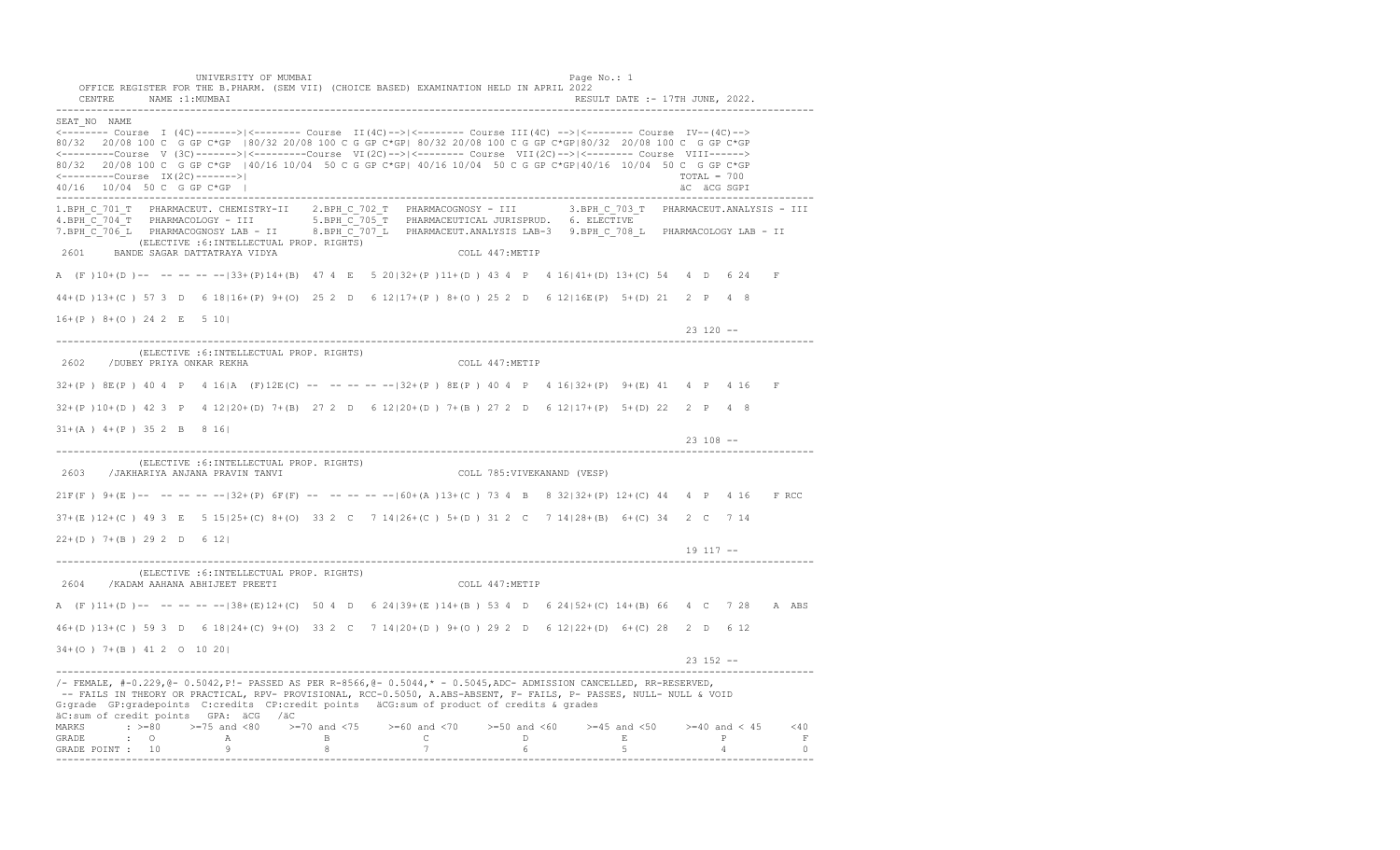UNIVERSITY OF MUMBAI PAGE OF THE PAGE OF THE PAGE NO.: 1 OFFICE REGISTER FOR THE B.PHARM. (SEM VII) (CHOICE BASED) EXAMINATION HELD IN APRIL 2022 CENTRE NAME :1:MUMBAI RESULT DATE :- 17TH JUNE, 2022. ---------------------------------------------------------------------------------------------------------------------------------- SEAT\_NO NAME <-------- Course I (4C)------->|<-------- Course II(4C)-->|<-------- Course III(4C) -->|<-------- Course IV--(4C)--> 80/32 20/08 100 C G GP C\*GP |80/32 20/08 100 C G GP C\*GP| 80/32 20/08 100 C G GP C\*GP|80/32 20/08 100 C G GP C\*GP <---------Course V (3C)------->|<---------Course VI(2C)-->|<-------- Course VII(2C)-->|<-------- Course VIII------> 80/32 20/08 100 C G GP C\*GP |40/16 10/04 50 C G GP C\*GP| 40/16 10/04 50 C G GP C\*GP|40/16 10/04 50 C G GP C\*GP <---------Course IX(2C)------->| TOTAL = 700 40/16 10/04 50 C G GP C\*GP | äC äCG SGPI ---------------------------------------------------------------------------------------------------------------------------------- 1.BPH\_C\_701\_T PHARMACEUT. CHEMISTRY-II 2.BPH\_C\_702\_T PHARMACOGNOSY - III 3.BPH\_C\_703\_T PHARMACEUT.ANALYSIS - III<br>4.BPH\_C\_704\_T PHARMACOLOGY - III 5.BPH\_C\_705\_T PHARMACEUTICAL JURISPRUD. 6. ELECTIVE<br>7.BPH\_C\_706\_L PHARMA (ELECTIVE :6:INTELLECTUAL PROP. RIGHTS) 2601 BANDE SAGAR DATTATRAYA VIDYA COLL 447:METIP A (F )10+(D )-- -- -- -- --|33+(P)14+(B) 47 4 E 5 20|32+(P )11+(D ) 43 4 P 4 16|41+(D) 13+(C) 54 4 D 6 24 F 44+(D )13+(C ) 57 3 D 6 18|16+(P) 9+(O) 25 2 D 6 12|17+(P ) 8+(O ) 25 2 D 6 12|16E(P) 5+(D) 21 2 P 4 8 16+(P ) 8+(O ) 24 2 E 5 10| 23 120 -- ---------------------------------------------------------------------------------------------------------------------------------- (ELECTIVE :6:INTELLECTUAL PROP. RIGHTS) 2602 /DUBEY PRIYA ONKAR REKHA COLL 447:METIP 32+(P ) 8E(P ) 40 4 P 4 16|A (F)12E(C) -- -- -- -- --|32+(P ) 8E(P ) 40 4 P 4 16|32+(P) 9+(E) 41 4 P 4 16 F 32+(P )10+(D ) 42 3 P 4 12|20+(D) 7+(B) 27 2 D 6 12|20+(D ) 7+(B ) 27 2 D 6 12|17+(P) 5+(D) 22 2 P 4 8 31+(A ) 4+(P ) 35 2 B 8 16| 23 108 -- ---------------------------------------------------------------------------------------------------------------------------------- (ELECTIVE :6:INTELLECTUAL PROP. RIGHTS) 2603 /JAKHARIYA ANJANA PRAVIN TANVI COLL 785:VIVEKANAND (VESP) 21F(F ) 9+(E )-- -- -- -- --|32+(P) 6F(F) -- -- -- -- --|60+(A )13+(C ) 73 4 B 8 32|32+(P) 12+(C) 44 4 P 4 16 F RCC 37+(E )12+(C ) 49 3 E 5 15|25+(C) 8+(O) 33 2 C 7 14|26+(C ) 5+(D ) 31 2 C 7 14|28+(B) 6+(C) 34 2 C 7 14 22+(D ) 7+(B ) 29 2 D 6 12| 19 117 -- ---------------------------------------------------------------------------------------------------------------------------------- (ELECTIVE :6:INTELLECTUAL PROP. RIGHTS) 2604 /KADAM AAHANA ABHIJEET PREETI COLL 447:METIP A (F )11+(D )-- -- -- -- --|38+(E)12+(C) 50 4 D 6 24|39+(E )14+(B ) 53 4 D 6 24|52+(C) 14+(B) 66 4 C 7 28 A ABS 46+(D )13+(C ) 59 3 D 6 18|24+(C) 9+(O) 33 2 C 7 14|20+(D ) 9+(O ) 29 2 D 6 12|22+(D) 6+(C) 28 2 D 6 12 34+(O ) 7+(B ) 41 2 O 10 20| 23 152 -- ---------------------------------------------------------------------------------------------------------------------------------- /- FEMALE, #-0.229,@- 0.5042,P!- PASSED AS PER R-8566,@- 0.5044,\* - 0.5045,ADC- ADMISSION CANCELLED, RR-RESERVED, -- FAILS IN THEORY OR PRACTICAL, RPV- PROVISIONAL, RCC-0.5050, A.ABS-ABSENT, F- FAILS, P- PASSES, NULL- NULL & VOID G:grade GP:gradepoints C:credits CP:credit points äCG:sum of product of credits & grades äC:sum of credit points GPA: äCG /äC MARKS : >=80 >=75 and <80 >=70 and <75 >=60 and <70 >=50 and <60 >=45 and <50 >=40 and < 45 <40 GRADE : O A B C D E P F<br>GRADE POINT : 10 9 8 7 6 5 4 0 ----------------------------------------------------------------------------------------------------------------------------------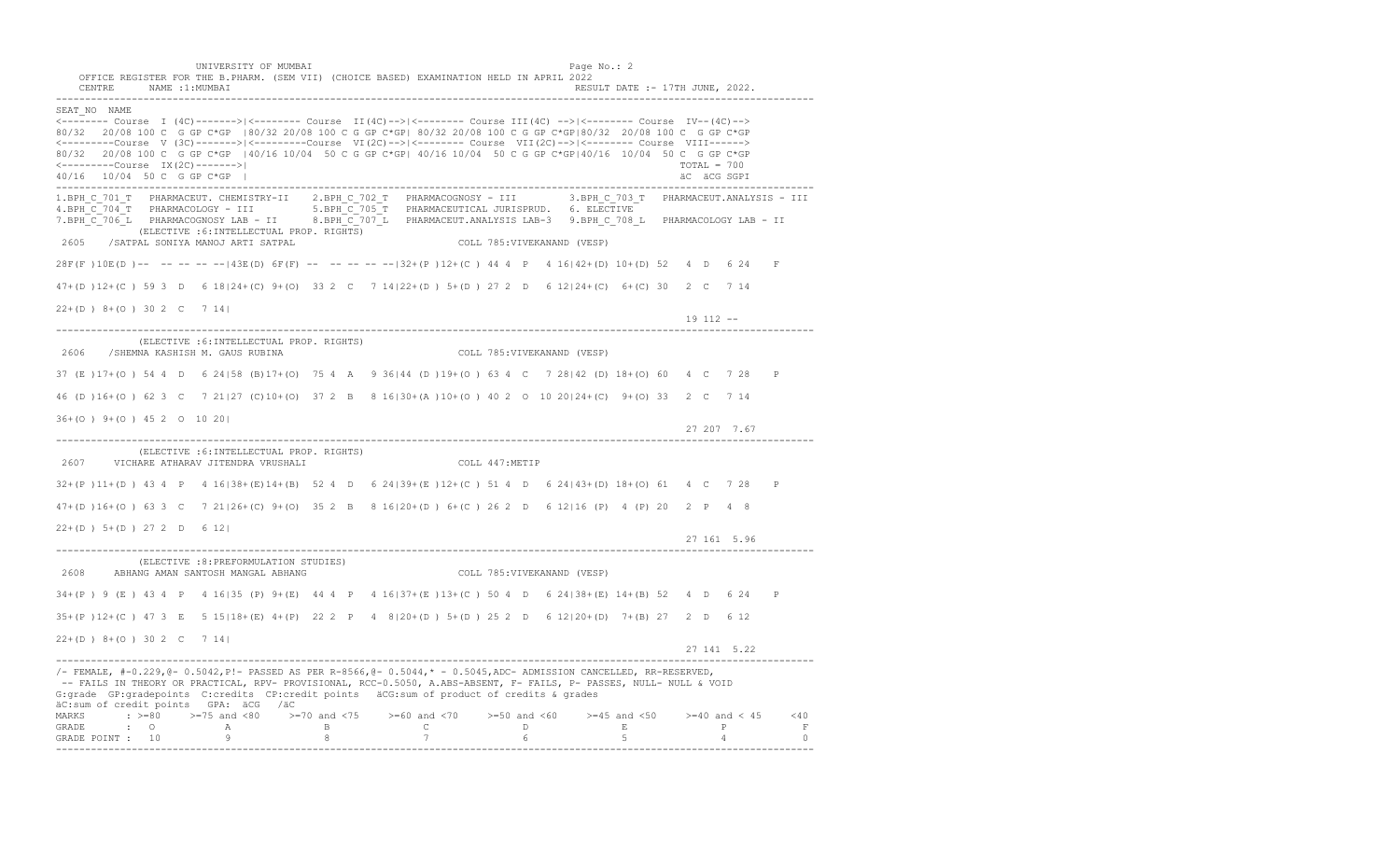UNIVERSITY OF MUMBAI PAGE OF A SALE PAGE OF A SALE PAGE OF A SALE PAGE OF A SALE PAGE OF A SALE PAGE OF A SALE OFFICE REGISTER FOR THE B.PHARM. (SEM VII) (CHOICE BASED) EXAMINATION HELD IN APRIL 2022 CENTRE NAME :1:MUMBAI RESULT DATE :- 17TH JUNE, 2022. ---------------------------------------------------------------------------------------------------------------------------------- SEAT\_NO NAME <-------- Course I (4C)------->|<-------- Course II(4C)-->|<-------- Course III(4C) -->|<-------- Course IV--(4C)--> 80/32 20/08 100 C G GP C\*GP |80/32 20/08 100 C G GP C\*GP| 80/32 20/08 100 C G GP C\*GP|80/32 20/08 100 C G GP C\*GP <---------Course V (3C)------->|<---------Course VI(2C)-->|<-------- Course VII(2C)-->|<-------- Course VIII------> 80/32 20/08 100 C G GP C\*GP |40/16 10/04 50 C G GP C\*GP| 40/16 10/04 50 C G GP C\*GP|40/16 10/04 50 C G GP C\*GP <---------Course IX(2C)------->| TOTAL = 700 40/16 10/04 50 C G GP C\*GP | äC äCG SGPI ---------------------------------------------------------------------------------------------------------------------------------- 1.BPH\_C\_701\_T PHARMACEUT. CHEMISTRY-II 2.BPH\_C\_702\_T PHARMACOGNOSY - III 3.BPH\_C\_703\_T PHARMACEUT.ANALYSIS - III 4.BPH\_C\_704\_T PHARMACOLOGY - III 5.BPH\_C\_705\_T PHARMACEUTICAL JURISPRUD. 6. ELECTIVE 7.BPH\_C\_706\_L PHARMACOGNOSY LAB - II 8.BPH\_C\_707\_L PHARMACEUT.ANALYSIS LAB-3 9.BPH\_C\_708\_L PHARMACOLOGY LAB - II (ELECTIVE :6:INTELLECTUAL PROP. RIGHTS) 2605 /SATPAL SONIYA MANOJ ARTI SATPAL COLL 785:VIVEKANAND (VESP) 28F(F)10E(D)-- -- -- -- -- 43E(D) 6F(F) -- -- -- -- -- 32+(P)12+(C) 44 4 P 4 16|42+(D) 10+(D) 52 4 D 6 24 F 47+(D )12+(C ) 59 3 D 6 18|24+(C) 9+(O) 33 2 C 7 14|22+(D ) 5+(D ) 27 2 D 6 12|24+(C) 6+(C) 30 2 C 7 14 22+(D ) 8+(O ) 30 2 C 7 14| 19 112 -- ---------------------------------------------------------------------------------------------------------------------------------- (ELECTIVE :6:INTELLECTUAL PROP. RIGHTS) 2606 /SHEMNA KASHISH M. GAUS RUBINA COLL 785:VIVEKANAND (VESP) 37 (E )17+(O ) 54 4 D 6 24|58 (B)17+(O) 75 4 A 9 36|44 (D )19+(O ) 63 4 C 7 28|42 (D) 18+(O) 60 4 C 7 28 P 46 (D )16+(O ) 62 3 C 7 21|27 (C)10+(O) 37 2 B 8 16|30+(A )10+(O ) 40 2 O 10 20|24+(C) 9+(O) 33 2 C 7 14 36+(O ) 9+(O ) 45 2 O 10 20| 27 207 7.67 ---------------------------------------------------------------------------------------------------------------------------------- (ELECTIVE :6:INTELLECTUAL PROP. RIGHTS) 2607 VICHARE ATHARAV JITENDRA VRUSHALI COLL 447:METIP 32+(P )11+(D ) 43 4 P 4 16|38+(E)14+(B) 52 4 D 6 24|39+(E )12+(C ) 51 4 D 6 24|43+(D) 18+(O) 61 4 C 7 28 P 47+(D )16+(O ) 63 3 C 7 21|26+(C) 9+(O) 35 2 B 8 16|20+(D ) 6+(C ) 26 2 D 6 12|16 (P) 4 (P) 20 2 P 4 8 22+(D ) 5+(D ) 27 2 D 6 12| 27 161 5.96 ---------------------------------------------------------------------------------------------------------------------------------- (ELECTIVE :8:PREFORMULATION STUDIES) 2608 ABHANG AMAN SANTOSH MANGAL ABHANG COLL 785:VIVEKANAND (VESP) 34+(P ) 9 (E ) 43 4 P 4 16|35 (P) 9+(E) 44 4 P 4 16|37+(E )13+(C ) 50 4 D 6 24|38+(E) 14+(B) 52 4 D 6 24 P 35+(P )12+(C ) 47 3 E 5 15|18+(E) 4+(P) 22 2 P 4 8|20+(D ) 5+(D ) 25 2 D 6 12|20+(D) 7+(B) 27 2 D 6 12 22+(D ) 8+(O ) 30 2 C 7 14| 27 141 5.22 ---------------------------------------------------------------------------------------------------------------------------------- /- FEMALE, #-0.229,@- 0.5042,P!- PASSED AS PER R-8566,@- 0.5044,\* - 0.5045,ADC- ADMISSION CANCELLED, RR-RESERVED, -- FAILS IN THEORY OR PRACTICAL, RPV- PROVISIONAL, RCC-0.5050, A.ABS-ABSENT, F- FAILS, P- PASSES, NULL- NULL & VOID G:grade GP:gradepoints C:credits CP:credit points äCG:sum of product of credits & grades äC:sum of credit points GPA: äCG /äC MARKS : >=80 >=75 and <80 >=70 and <75 >=60 and <70 >=50 and <60 >=45 and <50 >=40 and < 45 <40 GRADE : O A B C D E P F<br>GRADE POINT : 10 9 8 7 6 5 4 0

----------------------------------------------------------------------------------------------------------------------------------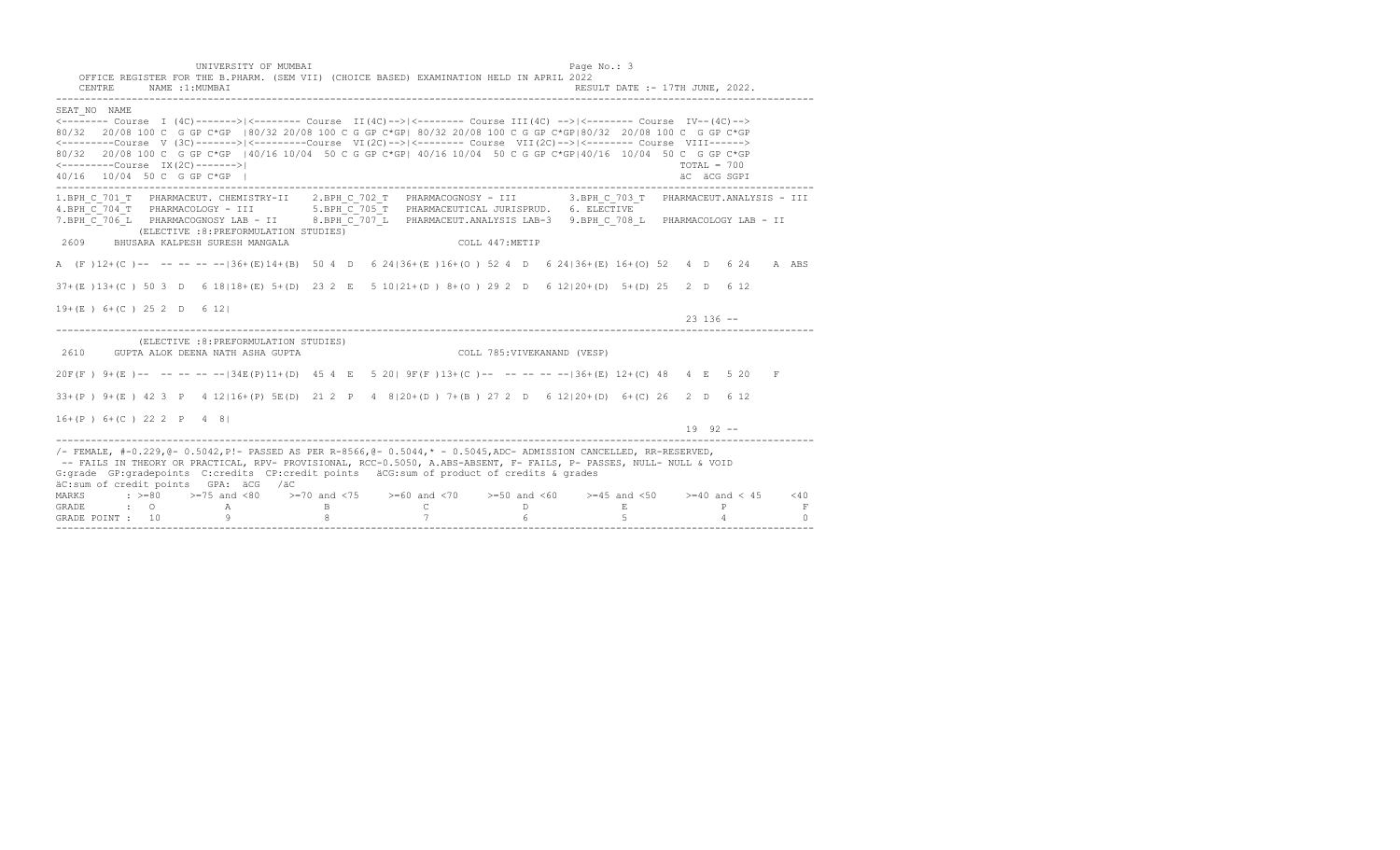|  | _____ |  | UNIVERSITY OF MUMBAI |  |
|--|-------|--|----------------------|--|
|--|-------|--|----------------------|--|

| UNIVERSITY OF MUMBAI<br>Page No.: 3<br>OFFICE REGISTER FOR THE B.PHARM. (SEM VII) (CHOICE BASED) EXAMINATION HELD IN APRIL 2022<br>RESULT DATE :- 17TH JUNE, 2022.<br><b>CENTRE</b><br>NAME :1:MUMBAI                                                                                                                                                                                                                                                                                                                                                                                                          |                 |
|----------------------------------------------------------------------------------------------------------------------------------------------------------------------------------------------------------------------------------------------------------------------------------------------------------------------------------------------------------------------------------------------------------------------------------------------------------------------------------------------------------------------------------------------------------------------------------------------------------------|-----------------|
| SEAT NO NAME<br><-------- Course I (4C)-------> <------- Course II(4C)--> <------- Course III(4C) --> <-------- Course IV--(4C)--><br>80/32 20/08 100 C G GP C*GP 180/32 20/08 100 C G GP C*GP1 80/32 20/08 100 C G GP C*GP180/32 20/08 100 C G GP C*GP<br><--------Course V (3C)-------> <--------Course VI(2C)--> <-------- Course VII(2C)--> <-------- Course VIII------><br>80/32 20/08 100 C G GP C*GP   40/16 10/04 50 C G GP C*GP  40/16 10/04 50 C G GP C*GP  40/16 10/04 50 C G GP C*GP<br>$\leftarrow$ --------Course IX(2C)-------><br>$TOTAI = 700$<br>40/16 10/04 50 C G GP C*GP I<br>äC äCG SGPI |                 |
| 1.BPH C 701 T PHARMACEUT. CHEMISTRY-II 2.BPH C 702 T PHARMACOGNOSY - III 3.BPH C 703 T<br>PHARMACEUT.ANALYSIS - III<br>4.BPH <sup>-C-704</sup> T PHARMACOLOGY - III 5.BPH <sup>-C-705</sup> T PHARMACEUTICAL JURISPRUD. 6. ELECTIVE<br>7.BPH <sup>-C-706</sup> L PHARMACOGNOSY LAB - II 8.BPH <sup>-C-707</sup> L PHARMACEUT.ANALYSIS LAB-3 9.BPH-C-708 L PHARMACOLOGY LAB - II<br>(ELECTIVE : 8: PREFORMULATION STUDIES)<br>2609 BHUSARA KALPESH SURESH MANGALA<br>COLL 447:METIP                                                                                                                             |                 |
| A (F)12+(C)-- -- -- -- -- -136+(E)14+(B) 50 4 D 6 24   36+(E)16+(0) 52 4 D 6 24   36+(E) 16+(0) 52 4 D 6 24 A ABS                                                                                                                                                                                                                                                                                                                                                                                                                                                                                              |                 |
| 37+(E)13+(C) 50 3 D 6 18 18+(E) 5+(D) 23 2 E 5 10 21+(D) 8+(O) 29 2 D 6 12 20+(D) 5+(D) 25 2 D 6 12                                                                                                                                                                                                                                                                                                                                                                                                                                                                                                            |                 |
| $19+(E)$ 6+(C) 25 2 D 6 12<br>$23136 - -$                                                                                                                                                                                                                                                                                                                                                                                                                                                                                                                                                                      |                 |
| 2610 GUPTA ALOK DEENA NATH ASHA GUPTA                                                                                                                                                                                                                                                                                                                                                                                                                                                                                                                                                                          |                 |
| 20F(F) 9+(E)-- -- -- -- -- 134E(P)11+(D) 45 4 E 5 201 9F(F)13+(C)-- -- -- -- -- 136+(E) 12+(C) 48 4 E 5 20                                                                                                                                                                                                                                                                                                                                                                                                                                                                                                     | $\mathbf{F}$    |
| 33+(P) 9+(E) 42 3 P 4 12116+(P) 5E(D) 21 2 P 4 8120+(D) 7+(B) 27 2 D 6 12120+(D) 6+(C) 26 2 D 6 12                                                                                                                                                                                                                                                                                                                                                                                                                                                                                                             |                 |
| $16+(P) 6+(C) 22 2 P 4 81$<br>$19 \t 92 \t -$                                                                                                                                                                                                                                                                                                                                                                                                                                                                                                                                                                  |                 |
| /- FEMALE, #-0.229, @- 0.5042, P!- PASSED AS PER R-8566, @- 0.5044,* - 0.5045, ADC- ADMISSION CANCELLED, RR-RESERVED,<br>-- FAILS IN THEORY OR PRACTICAL, RPV- PROVISIONAL, RCC-0.5050, A.ABS-ABSENT, F- FAILS, P- PASSES, NULL- NULL & VOID<br>G: grade GP: gradepoints C: credits CP: credit points äCG: sum of product of credits & grades<br>äC:sum of credit points GPA: äCG /äC                                                                                                                                                                                                                          |                 |
| MARKS : >=80 >=75 and <80 >=70 and <75 >=60 and <70 >=50 and <60 >=45 and <50 >=40 and <45 <40                                                                                                                                                                                                                                                                                                                                                                                                                                                                                                                 |                 |
| $\begin{array}{ccccccccc} & \text{ : } & \text{ & 0} & \text{ & A} & \text{ & B} \\ \text{POINT} & \text{ : } & \text{ 10} & \text{ & 9} & \text{ & 8} \\ \end{array}$<br>$E_{\rm{L}}$<br><b>GRADE</b><br>$\overline{c}$<br>$\Box$<br>$\mathsf{P}$<br>$7\overline{ }$<br>$6 \overline{6}$<br>5<br>GRADE POINT : 10<br>$\Delta$                                                                                                                                                                                                                                                                                 | $-$ F<br>$\cap$ |

----------------------------------------------------------------------------------------------------------------------------------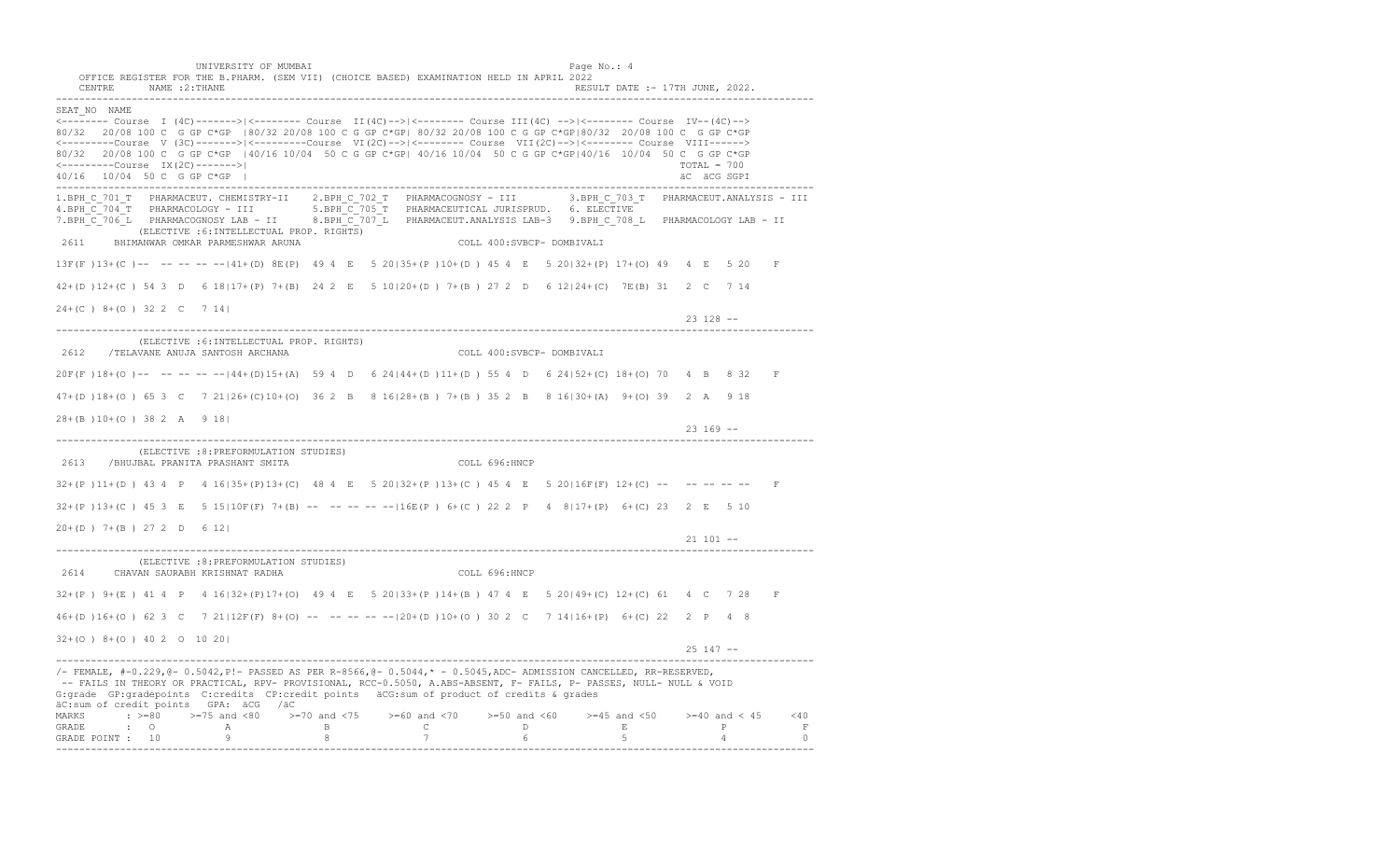UNIVERSITY OF MUMBAI PAGE OF A SALE PAGE OF A SALE PAGE OF A SALE PAGE OF A SALE PAGE OF A SALE PAGE OF A SALE OFFICE REGISTER FOR THE B.PHARM. (SEM VII) (CHOICE BASED) EXAMINATION HELD IN APRIL 2022 CENTRE NAME :2:THANE RESULT DATE :- 17TH JUNE, 2022. ---------------------------------------------------------------------------------------------------------------------------------- SEAT\_NO NAME <-------- Course I (4C)------->|<-------- Course II(4C)-->|<-------- Course III(4C) -->|<-------- Course IV--(4C)--> 80/32 20/08 100 C G GP C\*GP |80/32 20/08 100 C G GP C\*GP| 80/32 20/08 100 C G GP C\*GP|80/32 20/08 100 C G GP C\*GP <---------Course V (3C)------->|<---------Course VI(2C)-->|<-------- Course VII(2C)-->|<-------- Course VIII------> 80/32 20/08 100 C G GP C\*GP |40/16 10/04 50 C G GP C\*GP| 40/16 10/04 50 C G GP C\*GP|40/16 10/04 50 C G GP C\*GP <---------Course IX(2C)------->| TOTAL = 700 40/16 10/04 50 C G GP C\*GP | äC äCG SGPI ---------------------------------------------------------------------------------------------------------------------------------- 1.BPH\_C\_701\_T PHARMACEUT. CHEMISTRY-II 2.BPH\_C\_702\_T PHARMACOGNOSY - III 3.BPH\_C\_703\_T PHARMACEUT.ANALYSIS - III 4.BPH\_C\_704\_T PHARMACOLOGY - III 5.BPH\_C\_705\_T PHARMACEUTICAL JURISPRUD. 6. ELECTIVE 7.BPH\_C\_706\_L PHARMACOGNOSY LAB - II 8.BPH\_C\_707\_L PHARMACEUT.ANALYSIS LAB-3 9.BPH\_C\_708\_L PHARMACOLOGY LAB - II (ELECTIVE :6:INTELLECTUAL PROP. RIGHTS) 2611 BHIMANWAR OMKAR PARMESHWAR ARUNA COLL 400:SVBCP- DOMBIVALI 13F(F )13+(C )-- -- -- -- --|41+(D) 8E(P) 49 4 E 5 20|35+(P )10+(D ) 45 4 E 5 20|32+(P) 17+(O) 49 4 E 5 20 F 42+(D )12+(C ) 54 3 D 6 18|17+(P) 7+(B) 24 2 E 5 10|20+(D ) 7+(B ) 27 2 D 6 12|24+(C) 7E(B) 31 2 C 7 14 24+(C ) 8+(O ) 32 2 C 7 14| 23 128 -- ---------------------------------------------------------------------------------------------------------------------------------- (ELECTIVE :6:INTELLECTUAL PROP. RIGHTS) 2612 /TELAVANE ANUJA SANTOSH ARCHANA COLL 400:SVBCP- DOMBIVALI 20F(F )18+(O )-- -- -- -- --|44+(D)15+(A) 59 4 D 6 24|44+(D )11+(D ) 55 4 D 6 24|52+(C) 18+(O) 70 4 B 8 32 F 47+(D )18+(O ) 65 3 C 7 21|26+(C)10+(O) 36 2 B 8 16|28+(B ) 7+(B ) 35 2 B 8 16|30+(A) 9+(O) 39 2 A 9 18 28+(B )10+(O ) 38 2 A 9 18| 23 169 -- ---------------------------------------------------------------------------------------------------------------------------------- (ELECTIVE :8:PREFORMULATION STUDIES) 2613 /BHUJBAL PRANITA PRASHANT SMITA COLL 696:HNCP 32+(P )11+(D ) 43 4 P 4 16|35+(P)13+(C) 48 4 E 5 20|32+(P )13+(C ) 45 4 E 5 20|16F(F) 12+(C) -- -- -- -- -- F 32+(P )13+(C ) 45 3 E 5 15|10F(F) 7+(B) -- -- -- -- --|16E(P ) 6+(C ) 22 2 P 4 8|17+(P) 6+(C) 23 2 E 5 10 20+(D ) 7+(B ) 27 2 D 6 12| 21 101 -- ---------------------------------------------------------------------------------------------------------------------------------- (ELECTIVE :8:PREFORMULATION STUDIES) 2614 CHAVAN SAURABH KRISHNAT RADHA COLL 696:HNCP 32+(P ) 9+(E ) 41 4 P 4 16|32+(P)17+(O) 49 4 E 5 20|33+(P )14+(B ) 47 4 E 5 20|49+(C) 12+(C) 61 4 C 7 28 F 46+(D )16+(O ) 62 3 C 7 21|12F(F) 8+(O) -- -- -- -- --|20+(D )10+(O ) 30 2 C 7 14|16+(P) 6+(C) 22 2 P 4 8 32+(O ) 8+(O ) 40 2 O 10 20| 25 147 -- ---------------------------------------------------------------------------------------------------------------------------------- /- FEMALE, #-0.229,@- 0.5042,P!- PASSED AS PER R-8566,@- 0.5044,\* - 0.5045,ADC- ADMISSION CANCELLED, RR-RESERVED, -- FAILS IN THEORY OR PRACTICAL, RPV- PROVISIONAL, RCC-0.5050, A.ABS-ABSENT, F- FAILS, P- PASSES, NULL- NULL & VOID G:grade GP:gradepoints C:credits CP:credit points äCG:sum of product of credits & grades äC:sum of credit points GPA: äCG /äC MARKS : >=80 >=75 and <80 >=70 and <75 >=60 and <70 >=50 and <60 >=45 and <50 >=40 and < 45 <40 GRADE : O A B C D E P F<br>GRADE POINT : 10 9 8 7 6 5 4 0 ----------------------------------------------------------------------------------------------------------------------------------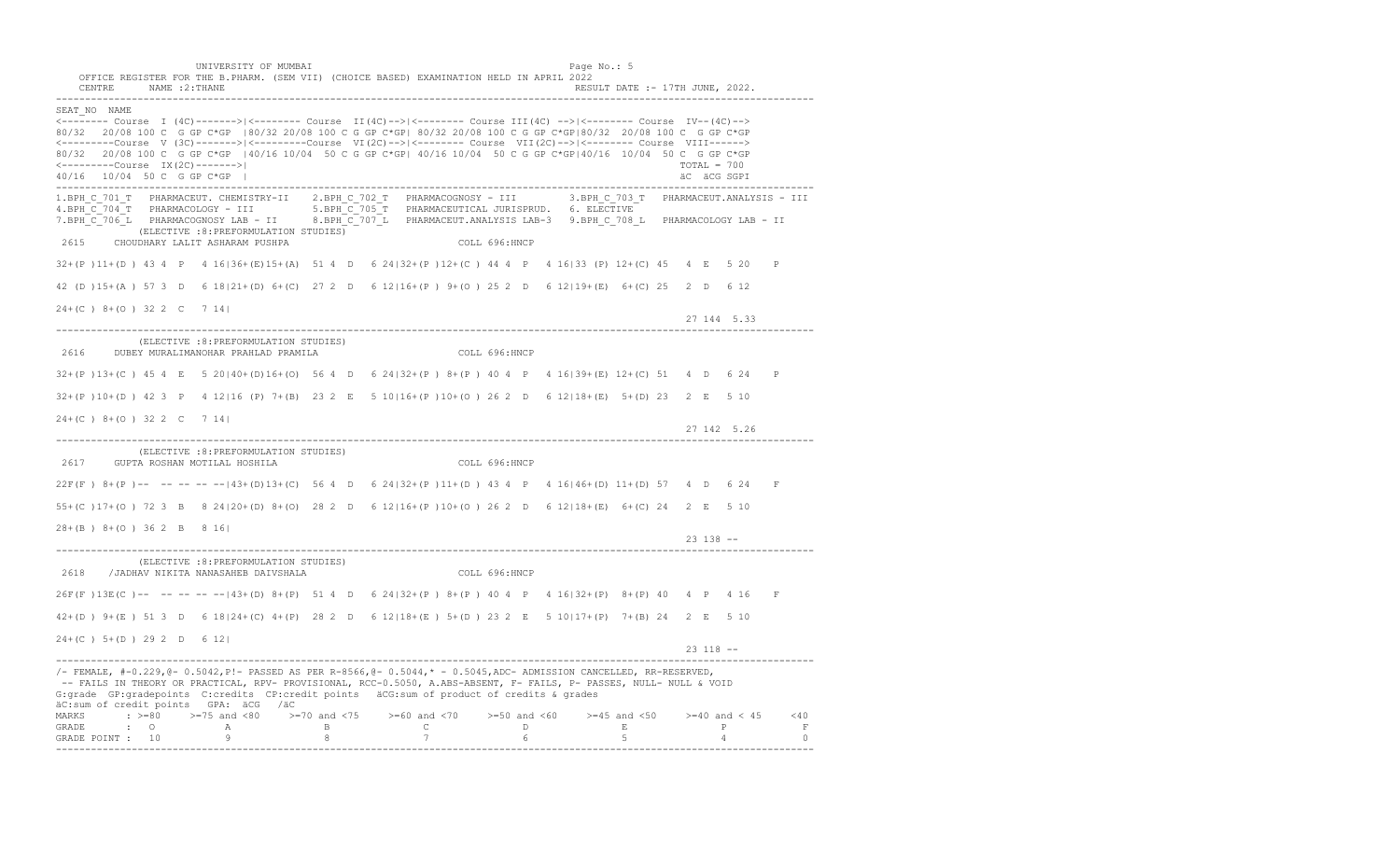UNIVERSITY OF MUMBAI PAGE OF A SALE PAGE OF A SALE PAGE OF A SALE PAGE OF A SALE PAGE OF A SALE PAGE OF A SALE OFFICE REGISTER FOR THE B.PHARM. (SEM VII) (CHOICE BASED) EXAMINATION HELD IN APRIL 2022 CENTRE NAME :2:THANE RESULT DATE :- 17TH JUNE, 2022. ---------------------------------------------------------------------------------------------------------------------------------- SEAT\_NO NAME <-------- Course I (4C)------->|<-------- Course II(4C)-->|<-------- Course III(4C) -->|<-------- Course IV--(4C)--> 80/32 20/08 100 C G GP C\*GP |80/32 20/08 100 C G GP C\*GP| 80/32 20/08 100 C G GP C\*GP|80/32 20/08 100 C G GP C\*GP <---------Course V (3C)------->|<---------Course VI(2C)-->|<-------- Course VII(2C)-->|<-------- Course VIII------> 80/32 20/08 100 C G GP C\*GP |40/16 10/04 50 C G GP C\*GP| 40/16 10/04 50 C G GP C\*GP|40/16 10/04 50 C G GP C\*GP <---------Course IX(2C)------->| TOTAL = 700 40/16 10/04 50 C G GP C\*GP | äC äCG SGPI ---------------------------------------------------------------------------------------------------------------------------------- 1.BPH\_C\_701\_T PHARMACEUT. CHEMISTRY-II 2.BPH\_C\_702\_T PHARMACOGNOSY - III 3.BPH\_C\_703\_T PHARMACEUT.ANALYSIS - III 4.BPH\_C\_704\_T PHARMACOLOGY - III 5.BPH\_C\_705\_T PHARMACEUTICAL JURISPRUD. 6. ELECTIVE 7.BPH\_C\_706\_L PHARMACOGNOSY LAB - II 8.BPH\_C\_707\_L PHARMACEUT.ANALYSIS LAB-3 9.BPH\_C\_708\_L PHARMACOLOGY LAB - II (ELECTIVE :8:PREFORMULATION STUDIES) 2615 CHOUDHARY LALIT ASHARAM PUSHPA COLL 696:HNCP 32+(P )11+(D ) 43 4 P 4 16|36+(E)15+(A) 51 4 D 6 24|32+(P )12+(C ) 44 4 P 4 16|33 (P) 12+(C) 45 4 E 5 20 P 42 (D )15+(A ) 57 3 D 6 18|21+(D) 6+(C) 27 2 D 6 12|16+(P ) 9+(O ) 25 2 D 6 12|19+(E) 6+(C) 25 2 D 6 12 24+(C ) 8+(O ) 32 2 C 7 14| 27 144 5.33 ---------------------------------------------------------------------------------------------------------------------------------- (ELECTIVE :8:PREFORMULATION STUDIES) 2616 DUBEY MURALIMANOHAR PRAHLAD PRAMILA COLL 696:HNCP 32+(P )13+(C ) 45 4 E 5 20|40+(D)16+(O) 56 4 D 6 24|32+(P ) 8+(P ) 40 4 P 4 16|39+(E) 12+(C) 51 4 D 6 24 P 32+(P )10+(D ) 42 3 P 4 12|16 (P) 7+(B) 23 2 E 5 10|16+(P )10+(O ) 26 2 D 6 12|18+(E) 5+(D) 23 2 E 5 10 24+(C ) 8+(O ) 32 2 C 7 14| 27 142 5.26 ---------------------------------------------------------------------------------------------------------------------------------- (ELECTIVE :8:PREFORMULATION STUDIES) 2617 GUPTA ROSHAN MOTILAL HOSHILA COLL 696:HNCP 22F(F ) 8+(P )-- -- -- -- --|43+(D)13+(C) 56 4 D 6 24|32+(P )11+(D ) 43 4 P 4 16|46+(D) 11+(D) 57 4 D 6 24 F 55+(C )17+(O ) 72 3 B 8 24|20+(D) 8+(O) 28 2 D 6 12|16+(P )10+(O ) 26 2 D 6 12|18+(E) 6+(C) 24 2 E 5 10 28+(B ) 8+(O ) 36 2 B 8 16| 23 138 -- ---------------------------------------------------------------------------------------------------------------------------------- (ELECTIVE :8:PREFORMULATION STUDIES) 2618 /JADHAV NIKITA NANASAHEB DAIVSHALA COLL 696:HNCP 26F(F )13E(C )-- -- -- -- --|43+(D) 8+(P) 51 4 D 6 24|32+(P ) 8+(P ) 40 4 P 4 16|32+(P) 8+(P) 40 4 P 4 16 F 42+(D ) 9+(E ) 51 3 D 6 18|24+(C) 4+(P) 28 2 D 6 12|18+(E ) 5+(D ) 23 2 E 5 10|17+(P) 7+(B) 24 2 E 5 10 24+(C ) 5+(D ) 29 2 D 6 12| 23 118 -- ---------------------------------------------------------------------------------------------------------------------------------- /- FEMALE, #-0.229,@- 0.5042,P!- PASSED AS PER R-8566,@- 0.5044,\* - 0.5045,ADC- ADMISSION CANCELLED, RR-RESERVED, -- FAILS IN THEORY OR PRACTICAL, RPV- PROVISIONAL, RCC-0.5050, A.ABS-ABSENT, F- FAILS, P- PASSES, NULL- NULL & VOID G:grade GP:gradepoints C:credits CP:credit points äCG:sum of product of credits & grades äC:sum of credit points GPA: äCG /äC MARKS : >=80 >=75 and <80 >=70 and <75 >=60 and <70 >=50 and <60 >=45 and <50 >=40 and < 45 <40 GRADE : O A B C D E P F<br>GRADE POINT : 10 9 8 7 6 5 4 0 ----------------------------------------------------------------------------------------------------------------------------------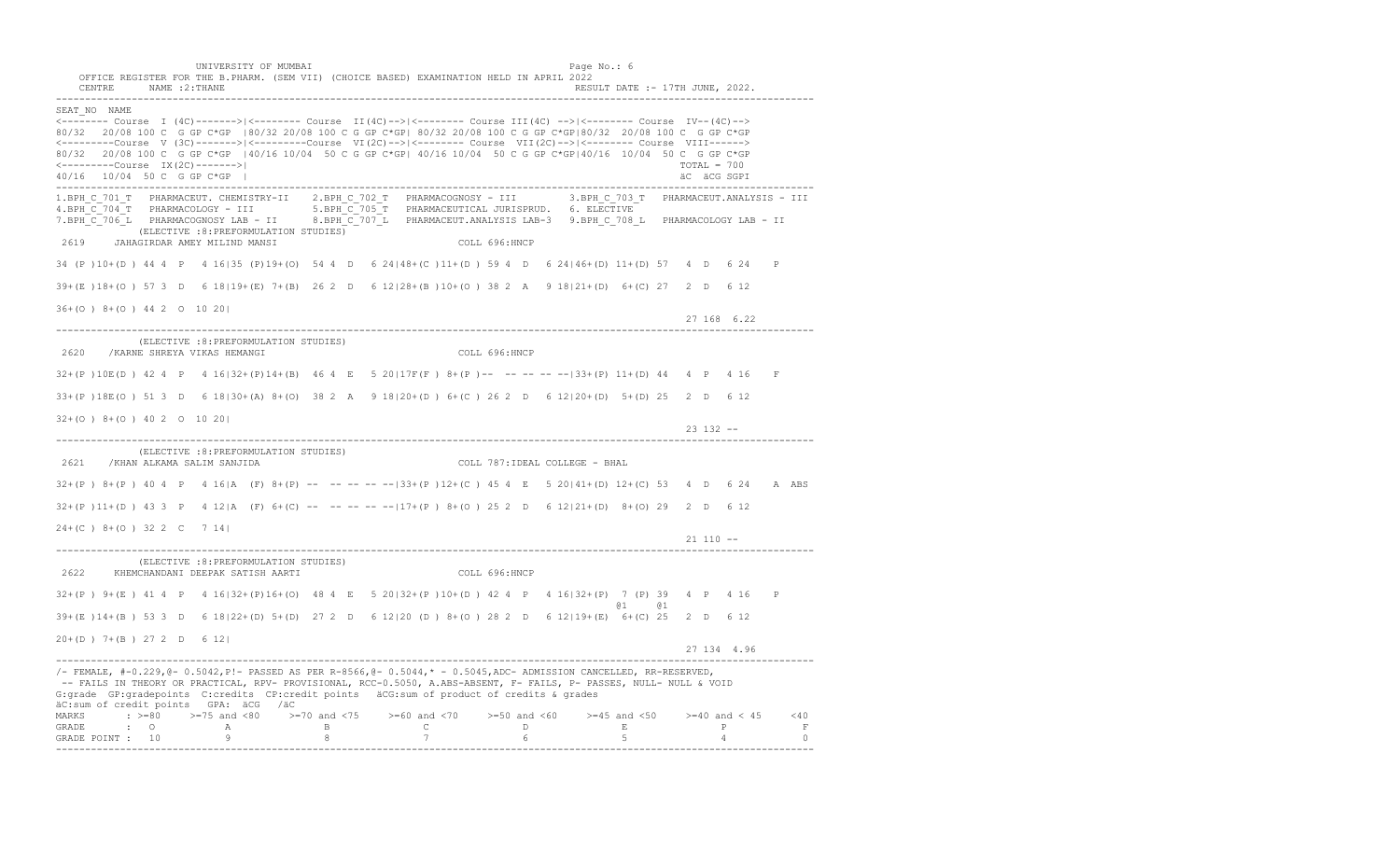UNIVERSITY OF MUMBAI PAGE OF A SALE PAGE OF A SALE PAGE OF A SALE PAGE OF A SALE PAGE OF A SALE PAGE OF A SALE OFFICE REGISTER FOR THE B.PHARM. (SEM VII) (CHOICE BASED) EXAMINATION HELD IN APRIL 2022 CENTRE NAME :2:THANE RESULT DATE :- 17TH JUNE, 2022. ---------------------------------------------------------------------------------------------------------------------------------- SEAT\_NO NAME <-------- Course I (4C)------->|<-------- Course II(4C)-->|<-------- Course III(4C) -->|<-------- Course IV--(4C)--> 80/32 20/08 100 C G GP C\*GP |80/32 20/08 100 C G GP C\*GP| 80/32 20/08 100 C G GP C\*GP|80/32 20/08 100 C G GP C\*GP <---------Course V (3C)------->|<---------Course VI(2C)-->|<-------- Course VII(2C)-->|<-------- Course VIII------> 80/32 20/08 100 C G GP C\*GP |40/16 10/04 50 C G GP C\*GP| 40/16 10/04 50 C G GP C\*GP|40/16 10/04 50 C G GP C\*GP <---------Course IX(2C)------->| TOTAL = 700 40/16 10/04 50 C G GP C\*GP | äC äCG SGPI ---------------------------------------------------------------------------------------------------------------------------------- 1.BPH\_C\_701\_T PHARMACEUT. CHEMISTRY-II 2.BPH\_C\_702\_T PHARMACOGNOSY - III 3.BPH\_C\_703\_T PHARMACEUT.ANALYSIS - III 4.BPH\_C\_704\_T PHARMACOLOGY - III 5.BPH\_C\_705\_T PHARMACEUTICAL JURISPRUD. 6. ELECTIVE 7.BPH\_C\_706\_L PHARMACOGNOSY LAB - II 8.BPH\_C\_707\_L PHARMACEUT.ANALYSIS LAB-3 9.BPH\_C\_708\_L PHARMACOLOGY LAB - II (ELECTIVE :8:PREFORMULATION STUDIES) 2619 JAHAGIRDAR AMEY MILIND MANSI COLL 696:HNCP 34 (P )10+(D ) 44 4 P 4 16|35 (P)19+(O) 54 4 D 6 24|48+(C )11+(D ) 59 4 D 6 24|46+(D) 11+(D) 57 4 D 6 24 P 39+(E )18+(O ) 57 3 D 6 18|19+(E) 7+(B) 26 2 D 6 12|28+(B )10+(O ) 38 2 A 9 18|21+(D) 6+(C) 27 2 D 6 12 36+(O ) 8+(O ) 44 2 O 10 20| 27 168 6.22 ---------------------------------------------------------------------------------------------------------------------------------- (ELECTIVE :8:PREFORMULATION STUDIES) 2620 /KARNE SHREYA VIKAS HEMANGI COLL 696:HNCP 32+(P )10E(D ) 42 4 P 4 16|32+(P)14+(B) 46 4 E 5 20|17F(F ) 8+(P )-- -- -- -- --|33+(P) 11+(D) 44 4 P 4 16 F 33+(P )18E(O ) 51 3 D 6 18|30+(A) 8+(O) 38 2 A 9 18|20+(D ) 6+(C ) 26 2 D 6 12|20+(D) 5+(D) 25 2 D 6 12 32+(O ) 8+(O ) 40 2 O 10 20| 23 132 -- ---------------------------------------------------------------------------------------------------------------------------------- (ELECTIVE :8:PREFORMULATION STUDIES) 2621 /KHAN ALKAMA SALIM SANJIDA COLL 787:IDEAL COLLEGE - BHAL 32+(P ) 8+(P ) 40 4 P 4 16|A (F) 8+(P) -- -- -- -- --|33+(P )12+(C ) 45 4 E 5 20|41+(D) 12+(C) 53 4 D 6 24 A ABS 32+(P )11+(D ) 43 3 P 4 12|A (F) 6+(C) -- -- -- -- --|17+(P ) 8+(O ) 25 2 D 6 12|21+(D) 8+(O) 29 2 D 6 12 24+(C ) 8+(O ) 32 2 C 7 14| 21 110 -- ---------------------------------------------------------------------------------------------------------------------------------- (ELECTIVE :8:PREFORMULATION STUDIES) 2622 KHEMCHANDANI DEEPAK SATISH AARTI COLL 696:HNCP 32+(P ) 9+(E ) 41 4 P 4 16|32+(P)16+(O) 48 4 E 5 20|32+(P )10+(D ) 42 4 P 4 16|32+(P) 7 (P) 39 4 P 4 16 P @1 @1 39+(E )14+(B ) 53 3 D 6 18|22+(D) 5+(D) 27 2 D 6 12|20 (D ) 8+(O ) 28 2 D 6 12|19+(E) 6+(C) 25 2 D 6 12 20+(D ) 7+(B ) 27 2 D 6 12| 27 134 4.96 ---------------------------------------------------------------------------------------------------------------------------------- /- FEMALE, #-0.229,@- 0.5042,P!- PASSED AS PER R-8566,@- 0.5044,\* - 0.5045,ADC- ADMISSION CANCELLED, RR-RESERVED, -- FAILS IN THEORY OR PRACTICAL, RPV- PROVISIONAL, RCC-0.5050, A.ABS-ABSENT, F- FAILS, P- PASSES, NULL- NULL & VOID G:grade GP:gradepoints C:credits CP:credit points äCG:sum of product of credits & grades äC:sum of credit points GPA: äCG /äC MARKS : >=80 >=75 and <80 >=70 and <75 >=60 and <70 >=50 and <60 >=45 and <50 >=40 and < 45 <40 GRADE : O A B C D E P F<br>GRADE POINT : 10 9 8 7 6 5 4 0 ----------------------------------------------------------------------------------------------------------------------------------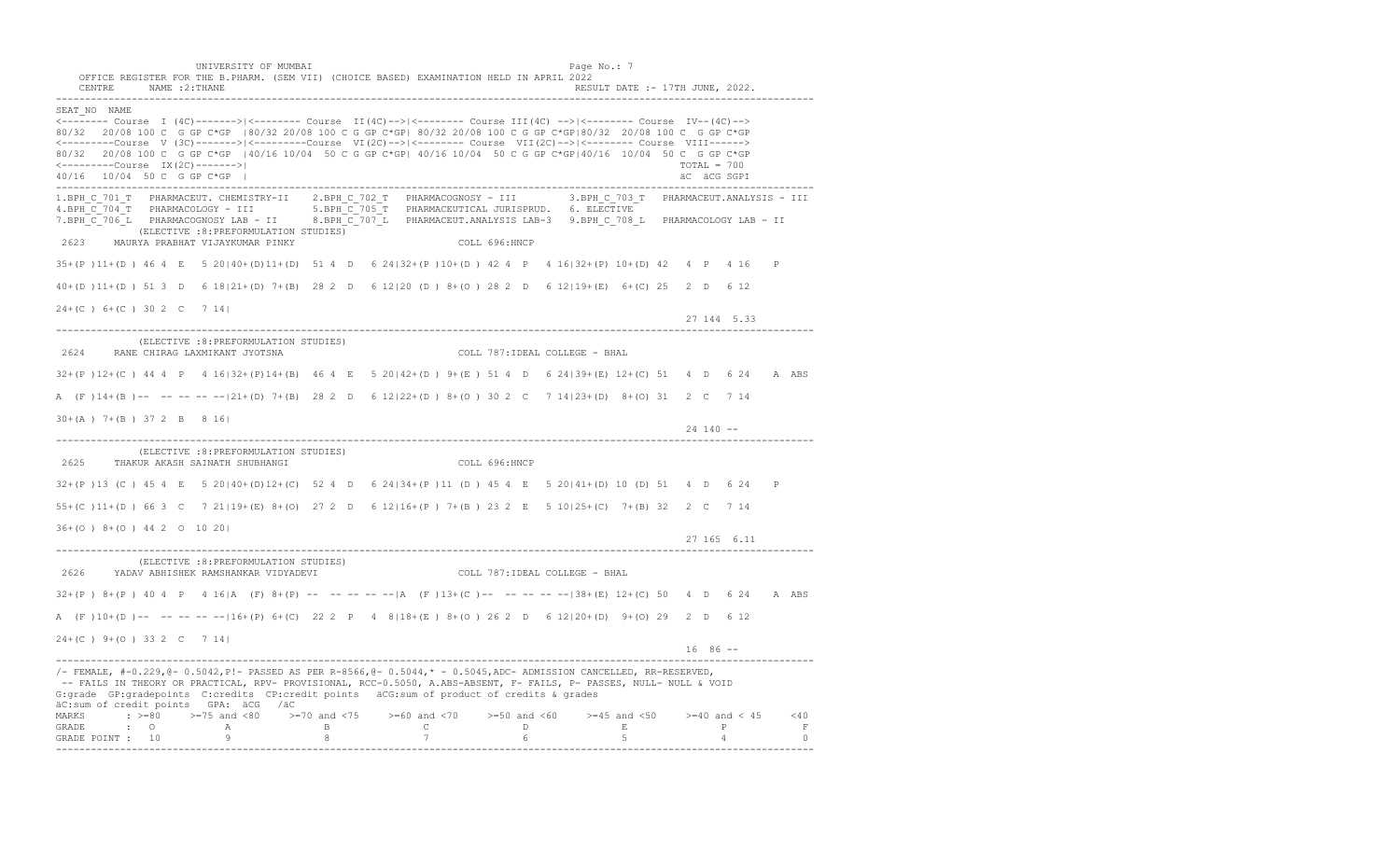UNIVERSITY OF MUMBAI PAGE OF A SALE PAGE OF A SALE PAGE OF A SALE PAGE OF A SALE PAGE OF A SALE PAGE OF A SALE OFFICE REGISTER FOR THE B.PHARM. (SEM VII) (CHOICE BASED) EXAMINATION HELD IN APRIL 2022 CENTRE NAME :2:THANE RESULT DATE :- 17TH JUNE, 2022. ---------------------------------------------------------------------------------------------------------------------------------- SEAT\_NO NAME <-------- Course I (4C)------->|<-------- Course II(4C)-->|<-------- Course III(4C) -->|<-------- Course IV--(4C)--> 80/32 20/08 100 C G GP C\*GP |80/32 20/08 100 C G GP C\*GP| 80/32 20/08 100 C G GP C\*GP|80/32 20/08 100 C G GP C\*GP <---------Course V (3C)------->|<---------Course VI(2C)-->|<-------- Course VII(2C)-->|<-------- Course VIII------> 80/32 20/08 100 C G GP C\*GP |40/16 10/04 50 C G GP C\*GP| 40/16 10/04 50 C G GP C\*GP|40/16 10/04 50 C G GP C\*GP <---------Course IX(2C)------->| TOTAL = 700 40/16 10/04 50 C G GP C\*GP | äC äCG SGPI ---------------------------------------------------------------------------------------------------------------------------------- 1.BPH\_C\_701\_T PHARMACEUT. CHEMISTRY-II 2.BPH\_C\_702\_T PHARMACOGNOSY - III 3.BPH\_C\_703\_T PHARMACEUT.ANALYSIS - III 4.BPH\_C\_704\_T PHARMACOLOGY - III 5.BPH\_C\_705\_T PHARMACEUTICAL JURISPRUD. 6. ELECTIVE 7.BPH\_C\_706\_L PHARMACOGNOSY LAB - II 8.BPH\_C\_707\_L PHARMACEUT.ANALYSIS LAB-3 9.BPH\_C\_708\_L PHARMACOLOGY LAB - II (ELECTIVE :8:PREFORMULATION STUDIES) 2623 MAURYA PRABHAT VIJAYKUMAR PINKY COLL 696:HNCP 35+(P )11+(D ) 46 4 E 5 20|40+(D)11+(D) 51 4 D 6 24|32+(P )10+(D ) 42 4 P 4 16|32+(P) 10+(D) 42 4 P 4 16 P 40+(D )11+(D ) 51 3 D 6 18|21+(D) 7+(B) 28 2 D 6 12|20 (D ) 8+(O ) 28 2 D 6 12|19+(E) 6+(C) 25 2 D 6 12 24+(C ) 6+(C ) 30 2 C 7 14| 27 144 5.33 ---------------------------------------------------------------------------------------------------------------------------------- (ELECTIVE :8:PREFORMULATION STUDIES) 2624 RANE CHIRAG LAXMIKANT JYOTSNA COLL 787:IDEAL COLLEGE - BHAL 32+(P )12+(C ) 44 4 P 4 16|32+(P)14+(B) 46 4 E 5 20|42+(D ) 9+(E ) 51 4 D 6 24|39+(E) 12+(C) 51 4 D 6 24 A ABS A (F )14+(B )-- -- -- -- --|21+(D) 7+(B) 28 2 D 6 12|22+(D ) 8+(O ) 30 2 C 7 14|23+(D) 8+(O) 31 2 C 7 14 30+(A ) 7+(B ) 37 2 B 8 16|  $24 \, 140$  ------------------------------------------------------------------------------------------------------------------------------------ (ELECTIVE :8:PREFORMULATION STUDIES) 2625 THAKUR AKASH SAINATH SHUBHANGI COLL 696:HNCP 32+(P )13 (C ) 45 4 E 5 20|40+(D)12+(C) 52 4 D 6 24|34+(P )11 (D ) 45 4 E 5 20|41+(D) 10 (D) 51 4 D 6 24 P 55+(C )11+(D ) 66 3 C 7 21|19+(E) 8+(O) 27 2 D 6 12|16+(P ) 7+(B ) 23 2 E 5 10|25+(C) 7+(B) 32 2 C 7 14 36+(O ) 8+(O ) 44 2 O 10 20| 27 165 6.11 ---------------------------------------------------------------------------------------------------------------------------------- (ELECTIVE :8:PREFORMULATION STUDIES) 2626 YADAV ABHISHEK RAMSHANKAR VIDYADEVI COLL 787:IDEAL COLLEGE - BHAL 32+(P ) 8+(P ) 40 4 P 4 16|A (F) 8+(P) -- -- -- -- --|A (F )13+(C )-- -- -- -- --|38+(E) 12+(C) 50 4 D 6 24 A ABS A (F )10+(D )-- -- -- -- --|16+(P) 6+(C) 22 2 P 4 8|18+(E ) 8+(O ) 26 2 D 6 12|20+(D) 9+(O) 29 2 D 6 12 24+(C ) 9+(O ) 33 2 C 7 14|  $16 \t 86$  ------------------------------------------------------------------------------------------------------------------------------------ /- FEMALE, #-0.229,@- 0.5042,P!- PASSED AS PER R-8566,@- 0.5044,\* - 0.5045,ADC- ADMISSION CANCELLED, RR-RESERVED, -- FAILS IN THEORY OR PRACTICAL, RPV- PROVISIONAL, RCC-0.5050, A.ABS-ABSENT, F- FAILS, P- PASSES, NULL- NULL & VOID G:grade GP:gradepoints C:credits CP:credit points äCG:sum of product of credits & grades äC:sum of credit points GPA: äCG /äC MARKS : >=80 >=75 and <80 >=70 and <75 >=60 and <70 >=50 and <60 >=45 and <50 >=40 and < 45 <40 GRADE : O A B C D E P F<br>GRADE POINT : 10 9 8 7 6 5 4 0 ----------------------------------------------------------------------------------------------------------------------------------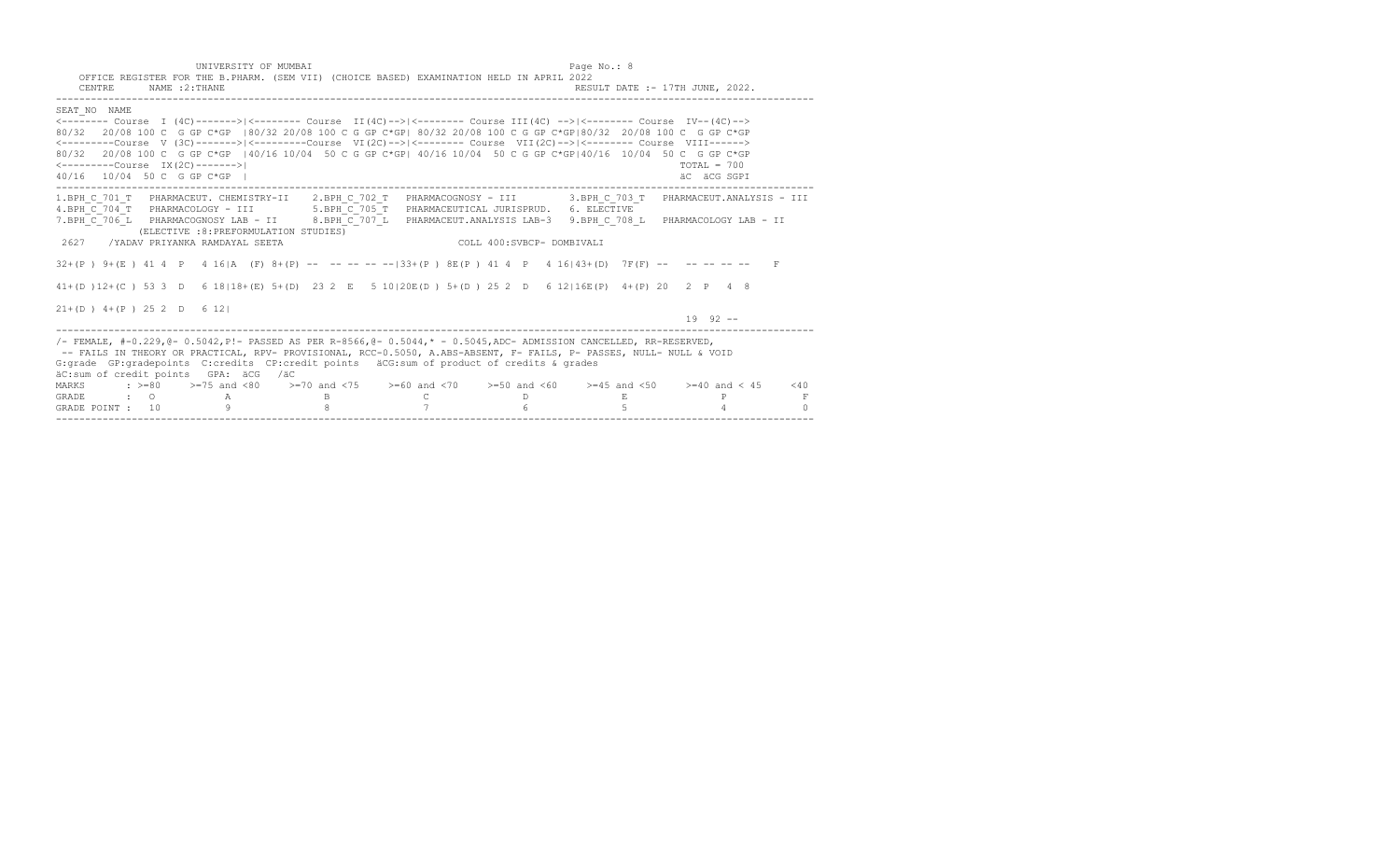| UNIVERSITY OF MUMBAI<br>the contract of the contract of the contract of the contract of the contract of<br>$\sim$ $\sim$ |
|--------------------------------------------------------------------------------------------------------------------------|
|--------------------------------------------------------------------------------------------------------------------------|

|                                                                                          | UNIVERSITY OF MUMBAI                                                                                                                                                                                                                                                                                                                                                                                                                                                       |                           |            | Page No.: 8                  |                                 |        |
|------------------------------------------------------------------------------------------|----------------------------------------------------------------------------------------------------------------------------------------------------------------------------------------------------------------------------------------------------------------------------------------------------------------------------------------------------------------------------------------------------------------------------------------------------------------------------|---------------------------|------------|------------------------------|---------------------------------|--------|
|                                                                                          | OFFICE REGISTER FOR THE B.PHARM. (SEM VII) (CHOICE BASED) EXAMINATION HELD IN APRIL 2022                                                                                                                                                                                                                                                                                                                                                                                   |                           |            |                              |                                 |        |
| CENTRE NAME : 2: THANE                                                                   |                                                                                                                                                                                                                                                                                                                                                                                                                                                                            |                           |            |                              | RESULT DATE :- 17TH JUNE, 2022. |        |
| SEAT NO NAME<br>$\leftarrow$ --------Course IX(2C)-------><br>40/16 10/04 50 C G GP C*GP | <-------- Course I (4C)-------> <------- Course II(4C)--> <------- Course III(4C) --> <------- Course IV--(4C)--><br>80/32 20/08 100 C G GP C*GP 180/32 20/08 100 C G GP C*GP1 80/32 20/08 100 C G GP C*GP180/32 20/08 100 C G GP C*GP<br><--------Course V (3C)------->><-------Course VI(2C)-->><------- Course VII(2C)-->><------- Course VIII------><br>80/32 20/08 100 C G GP C*GP 140/16 10/04 50 C G GP C*GPI 40/16 10/04 50 C G GP C*GPI40/16 10/04 50 C G GP C*GP |                           |            |                              | $TOTAI = 700$<br>äC äCG SGPI    |        |
| 2627 / YADAV PRIYANKA RAMDAYAL SEETA                                                     | 1.BPH C 701 T PHARMACEUT. CHEMISTRY-II 2.BPH C 702 T PHARMACOGNOSY - III 3.BPH C 703 T<br>4.BPH C 704 T PHARMACOLOGY - III 5.BPH C 705 T PHARMACEUTICAL JURISPRUD. 6. ELECTIVE<br>7.BPH <sup>-C-706</sup> L PHARMACOGNOSY LAB - II 8.BPH <sup>-C-707</sup> L PHARMACEUT.ANALYSIS LAB-3 9.BPH C 708 L PHARMACOLOGY LAB - II<br>(ELECTIVE : 8: PREFORMULATION STUDIES)                                                                                                       | COLL 400:SVBCP- DOMBIVALI |            |                              | PHARMACEUT.ANALYSIS - III       |        |
|                                                                                          | $32+(P)$ 9+(E) 41 4 P 4 16(A (F) 8+(P) -- -- -- -- -- (33+(P) 8E(P) 41 4 P 4 16(43+(D) 7F(F) -- -- -- -- --                                                                                                                                                                                                                                                                                                                                                                |                           |            |                              |                                 |        |
|                                                                                          | 41+(D)12+(C) 53 3 D 6 18 18+(E) 5+(D) 23 2 E 5 10 20E(D) 5+(D) 25 2 D 6 12 16E(P) 4+(P) 20 2 P 4 8                                                                                                                                                                                                                                                                                                                                                                         |                           |            |                              |                                 |        |
| $21+(D)$ 4+(P) 25 2 D 6 12                                                               |                                                                                                                                                                                                                                                                                                                                                                                                                                                                            |                           |            |                              | $19 \t 92 \t -$                 |        |
| äC:sum of credit points GPA: äCG /äC                                                     | /- FEMALE, #-0.229,0-0.5042, P!- PASSED AS PER R-8566,0-0.5044,* -0.5045, ADC-ADMISSION CANCELLED, RR-RESERVED,<br>-- FAILS IN THEORY OR PRACTICAL, RPV- PROVISIONAL, RCC-0.5050, A.ABS-ABSENT, F- FAILS, P- PASSES, NULL- NULL & VOID<br>G:grade GP:gradepoints C:credits CP:credit points äCG:sum of product of credits & grades                                                                                                                                         |                           |            |                              |                                 |        |
|                                                                                          | MARKS : $> = 80$ $> = 75$ and <80 $> = 70$ and <75 $> = 60$ and <70 $> = 50$ and <60 $> = 45$ and <50 $> = 40$ and < 45                                                                                                                                                                                                                                                                                                                                                    |                           |            |                              |                                 | $<$ 40 |
|                                                                                          | GRADE : O A B                                                                                                                                                                                                                                                                                                                                                                                                                                                              | $\mathbb{C}$              | $D \sim 1$ | <b>Experience Experience</b> | $\mathbb P$                     | $-$ F  |
|                                                                                          | GRADE POINT : $10$ 9 8 8 7 7                                                                                                                                                                                                                                                                                                                                                                                                                                               |                           | 6          | $5 - 5$                      | $4 \quad$                       | $\cap$ |
|                                                                                          |                                                                                                                                                                                                                                                                                                                                                                                                                                                                            |                           |            |                              |                                 |        |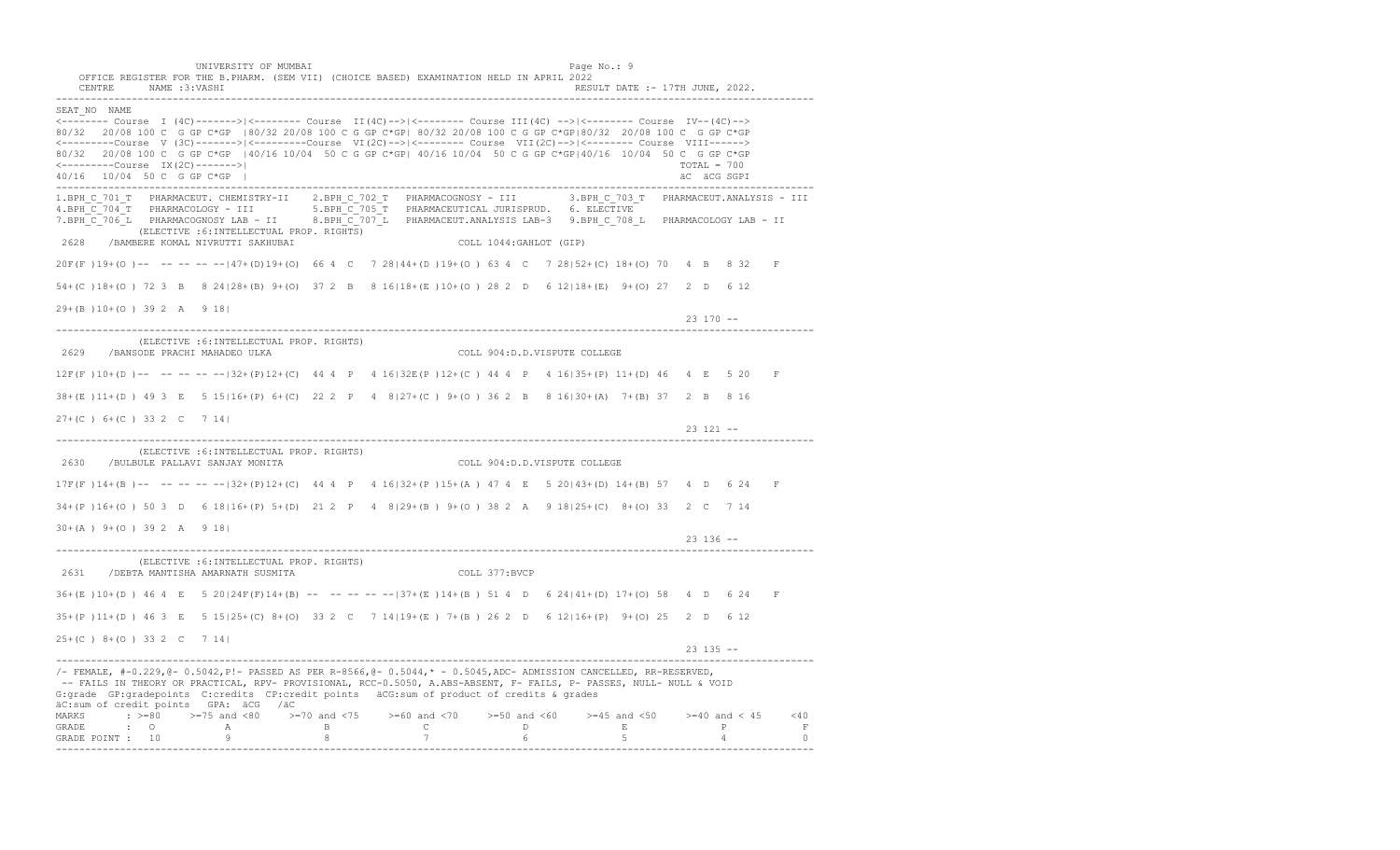UNIVERSITY OF MUMBAI PAGE OF A SALE PAGE OF A SALE PAGE OF A SALE PAGE OF A SALE PAGE OF A SALE PAGE OF A SALE OFFICE REGISTER FOR THE B.PHARM. (SEM VII) (CHOICE BASED) EXAMINATION HELD IN APRIL 2022 CENTRE NAME :3:VASHI RESULT DATE :- 17TH JUNE, 2022. ---------------------------------------------------------------------------------------------------------------------------------- SEAT\_NO NAME <-------- Course I (4C)------->|<-------- Course II(4C)-->|<-------- Course III(4C) -->|<-------- Course IV--(4C)--> 80/32 20/08 100 C G GP C\*GP |80/32 20/08 100 C G GP C\*GP| 80/32 20/08 100 C G GP C\*GP|80/32 20/08 100 C G GP C\*GP <---------Course V (3C)------->|<---------Course VI(2C)-->|<-------- Course VII(2C)-->|<-------- Course VIII------> 80/32 20/08 100 C G GP C\*GP |40/16 10/04 50 C G GP C\*GP| 40/16 10/04 50 C G GP C\*GP|40/16 10/04 50 C G GP C\*GP <---------Course IX(2C)------->| TOTAL = 700 40/16 10/04 50 C G GP C\*GP | äC äCG SGPI ---------------------------------------------------------------------------------------------------------------------------------- 1.BPH\_C\_701\_T PHARMACEUT. CHEMISTRY-II 2.BPH\_C\_702\_T PHARMACOGNOSY - III 3.BPH\_C\_703\_T PHARMACEUT.ANALYSIS - III 4.BPH\_C\_704\_T PHARMACOLOGY - III 5.BPH\_C\_705\_T PHARMACEUTICAL JURISPRUD. 6. ELECTIVE 7.BPH\_C\_706\_L PHARMACOGNOSY LAB - II 8.BPH\_C\_707\_L PHARMACEUT.ANALYSIS LAB-3 9.BPH\_C\_708\_L PHARMACOLOGY LAB - II (ELECTIVE :6:INTELLECTUAL PROP. RIGHTS) 2628 /BAMBERE KOMAL NIVRUTTI SAKHUBAI COLL 1044:GAHLOT (GIP) 20F(F )19+(O )-- -- -- -- --|47+(D)19+(O) 66 4 C 7 28|44+(D )19+(O ) 63 4 C 7 28|52+(C) 18+(O) 70 4 B 8 32 F 54+(C )18+(O ) 72 3 B 8 24|28+(B) 9+(O) 37 2 B 8 16|18+(E )10+(O ) 28 2 D 6 12|18+(E) 9+(O) 27 2 D 6 12 29+(B )10+(O ) 39 2 A 9 18| 23 170 -- ---------------------------------------------------------------------------------------------------------------------------------- (ELECTIVE :6:INTELLECTUAL PROP. RIGHTS) 2629 /BANSODE PRACHI MAHADEO ULKA COLL 904:D.D.VISPUTE COLLEGE 12F(F )10+(D )-- -- -- -- --|32+(P)12+(C) 44 4 P 4 16|32E(P )12+(C ) 44 4 P 4 16|35+(P) 11+(D) 46 4 E 5 20 F 38+(E )11+(D ) 49 3 E 5 15|16+(P) 6+(C) 22 2 P 4 8|27+(C ) 9+(O ) 36 2 B 8 16|30+(A) 7+(B) 37 2 B 8 16 27+(C ) 6+(C ) 33 2 C 7 14| 23 121 -- ---------------------------------------------------------------------------------------------------------------------------------- (ELECTIVE :6:INTELLECTUAL PROP. RIGHTS) 2630 /BULBULE PALLAVI SANJAY MONITA COLL 904:D.D.VISPUTE COLLEGE 17F(F )14+(B )-- -- -- -- --|32+(P)12+(C) 44 4 P 4 16|32+(P )15+(A ) 47 4 E 5 20|43+(D) 14+(B) 57 4 D 6 24 F 34+(P )16+(O ) 50 3 D 6 18|16+(P) 5+(D) 21 2 P 4 8|29+(B ) 9+(O ) 38 2 A 9 18|25+(C) 8+(O) 33 2 C 7 14 30+(A ) 9+(O ) 39 2 A 9 18| 23 136 -- ---------------------------------------------------------------------------------------------------------------------------------- (ELECTIVE :6:INTELLECTUAL PROP. RIGHTS) 2631 /DEBTA MANTISHA AMARNATH SUSMITA COLL 377:BVCP 36+(E )10+(D ) 46 4 E 5 20|24F(F)14+(B) -- -- -- -- --|37+(E )14+(B ) 51 4 D 6 24|41+(D) 17+(O) 58 4 D 6 24 F 35+(P )11+(D ) 46 3 E 5 15|25+(C) 8+(O) 33 2 C 7 14|19+(E ) 7+(B ) 26 2 D 6 12|16+(P) 9+(O) 25 2 D 6 12 25+(C ) 8+(O ) 33 2 C 7 14| 23 135 -- ---------------------------------------------------------------------------------------------------------------------------------- /- FEMALE, #-0.229,@- 0.5042,P!- PASSED AS PER R-8566,@- 0.5044,\* - 0.5045,ADC- ADMISSION CANCELLED, RR-RESERVED, -- FAILS IN THEORY OR PRACTICAL, RPV- PROVISIONAL, RCC-0.5050, A.ABS-ABSENT, F- FAILS, P- PASSES, NULL- NULL & VOID G:grade GP:gradepoints C:credits CP:credit points äCG:sum of product of credits & grades äC:sum of credit points GPA: äCG /äC MARKS : >=80 >=75 and <80 >=70 and <75 >=60 and <70 >=50 and <60 >=45 and <50 >=40 and < 45 <40 GRADE : O A B C D E P F GRADE POINT : 10 9 8 7 6 5 4 0 ----------------------------------------------------------------------------------------------------------------------------------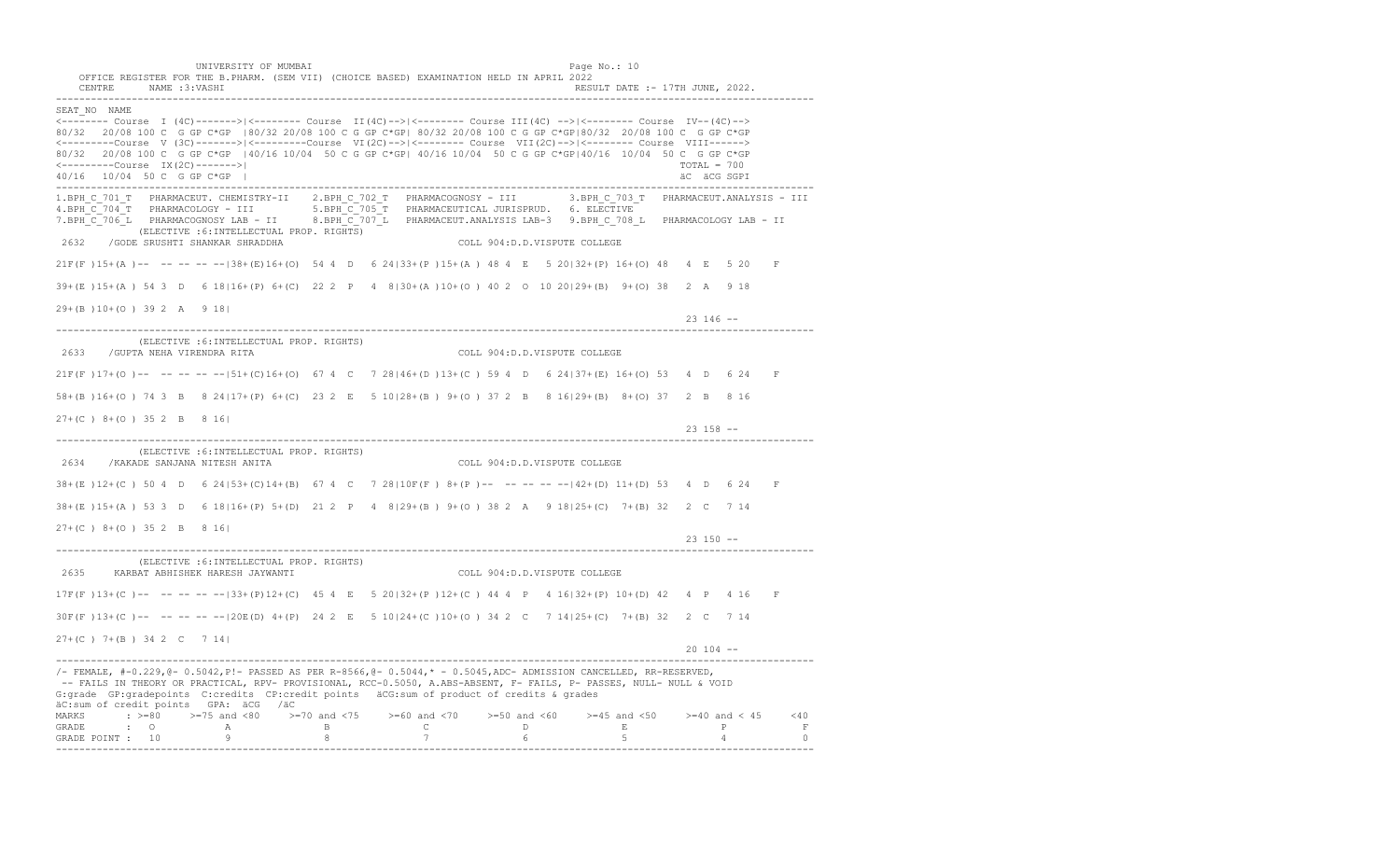UNIVERSITY OF MUMBAI **Example 2018** Page No.: 10 OFFICE REGISTER FOR THE B.PHARM. (SEM VII) (CHOICE BASED) EXAMINATION HELD IN APRIL 2022 CENTRE NAME :3:VASHI RESULT DATE :- 17TH JUNE, 2022. ---------------------------------------------------------------------------------------------------------------------------------- SEAT\_NO NAME <-------- Course I (4C)------->|<-------- Course II(4C)-->|<-------- Course III(4C) -->|<-------- Course IV--(4C)--> 80/32 20/08 100 C G GP C\*GP |80/32 20/08 100 C G GP C\*GP| 80/32 20/08 100 C G GP C\*GP|80/32 20/08 100 C G GP C\*GP <---------Course V (3C)------->|<---------Course VI(2C)-->|<-------- Course VII(2C)-->|<-------- Course VIII------> 80/32 20/08 100 C G GP C\*GP |40/16 10/04 50 C G GP C\*GP| 40/16 10/04 50 C G GP C\*GP|40/16 10/04 50 C G GP C\*GP <---------Course IX(2C)------->| TOTAL = 700 40/16 10/04 50 C G GP C\*GP | äC äCG SGPI ---------------------------------------------------------------------------------------------------------------------------------- 1.BPH\_C\_701\_T PHARMACEUT. CHEMISTRY-II 2.BPH\_C\_702\_T PHARMACOGNOSY - III 3.BPH\_C\_703\_T PHARMACEUT.ANALYSIS - III 4.BPH\_C\_704\_T PHARMACOLOGY - III 5.BPH\_C\_705\_T PHARMACEUTICAL JURISPRUD. 6. ELECTIVE 7.BPH\_C\_706\_L PHARMACOGNOSY LAB - II 8.BPH\_C\_707\_L PHARMACEUT.ANALYSIS LAB-3 9.BPH\_C\_708\_L PHARMACOLOGY LAB - II (ELECTIVE :6:INTELLECTUAL PROP. RIGHTS) 2632 /GODE SRUSHTI SHANKAR SHRADDHA COLL 904:D.D.VISPUTE COLLEGE 21F(F )15+(A )-- -- -- -- --|38+(E)16+(O) 54 4 D 6 24|33+(P )15+(A ) 48 4 E 5 20|32+(P) 16+(O) 48 4 E 5 20 F 39+(E )15+(A ) 54 3 D 6 18|16+(P) 6+(C) 22 2 P 4 8|30+(A )10+(O ) 40 2 O 10 20|29+(B) 9+(O) 38 2 A 9 18 29+(B )10+(O ) 39 2 A 9 18| 23 146 -- ---------------------------------------------------------------------------------------------------------------------------------- (ELECTIVE :6:INTELLECTUAL PROP. RIGHTS) 2633 /GUPTA NEHA VIRENDRA RITA COLL 904:D.D.VISPUTE COLLEGE 21F(F )17+(O )-- -- -- -- --|51+(C)16+(O) 67 4 C 7 28|46+(D )13+(C ) 59 4 D 6 24|37+(E) 16+(O) 53 4 D 6 24 F 58+(B )16+(O ) 74 3 B 8 24|17+(P) 6+(C) 23 2 E 5 10|28+(B ) 9+(O ) 37 2 B 8 16|29+(B) 8+(O) 37 2 B 8 16 27+(C ) 8+(O ) 35 2 B 8 16| 23 158 -- ---------------------------------------------------------------------------------------------------------------------------------- (ELECTIVE :6:INTELLECTUAL PROP. RIGHTS) 2634 /KAKADE SANJANA NITESH ANITA COLL 904:D.D.VISPUTE COLLEGE 38+(E )12+(C ) 50 4 D 6 24|53+(C)14+(B) 67 4 C 7 28|10F(F ) 8+(P )-- -- -- -- --|42+(D) 11+(D) 53 4 D 6 24 F 38+(E )15+(A ) 53 3 D 6 18|16+(P) 5+(D) 21 2 P 4 8|29+(B ) 9+(O ) 38 2 A 9 18|25+(C) 7+(B) 32 2 C 7 14 27+(C ) 8+(O ) 35 2 B 8 16| 23 150 -- ---------------------------------------------------------------------------------------------------------------------------------- (ELECTIVE :6:INTELLECTUAL PROP. RIGHTS) 2635 KARBAT ABHISHEK HARESH JAYWANTI COLL 904:D.D.VISPUTE COLLEGE 17F(F )13+(C )-- -- -- -- --|33+(P)12+(C) 45 4 E 5 20|32+(P )12+(C ) 44 4 P 4 16|32+(P) 10+(D) 42 4 P 4 16 F 30F(F )13+(C )-- -- -- -- --|20E(D) 4+(P) 24 2 E 5 10|24+(C )10+(O ) 34 2 C 7 14|25+(C) 7+(B) 32 2 C 7 14 27+(C ) 7+(B ) 34 2 C 7 14| 20 104 -- ---------------------------------------------------------------------------------------------------------------------------------- /- FEMALE, #-0.229,@- 0.5042,P!- PASSED AS PER R-8566,@- 0.5044,\* - 0.5045,ADC- ADMISSION CANCELLED, RR-RESERVED, -- FAILS IN THEORY OR PRACTICAL, RPV- PROVISIONAL, RCC-0.5050, A.ABS-ABSENT, F- FAILS, P- PASSES, NULL- NULL & VOID G:grade GP:gradepoints C:credits CP:credit points äCG:sum of product of credits & grades äC:sum of credit points GPA: äCG /äC MARKS : >=80 >=75 and <80 >=70 and <75 >=60 and <70 >=50 and <60 >=45 and <50 >=40 and < 45 <40 GRADE : O A B C D E P F<br>GRADE POINT : 10 9 8 7 6 5 4 0 ----------------------------------------------------------------------------------------------------------------------------------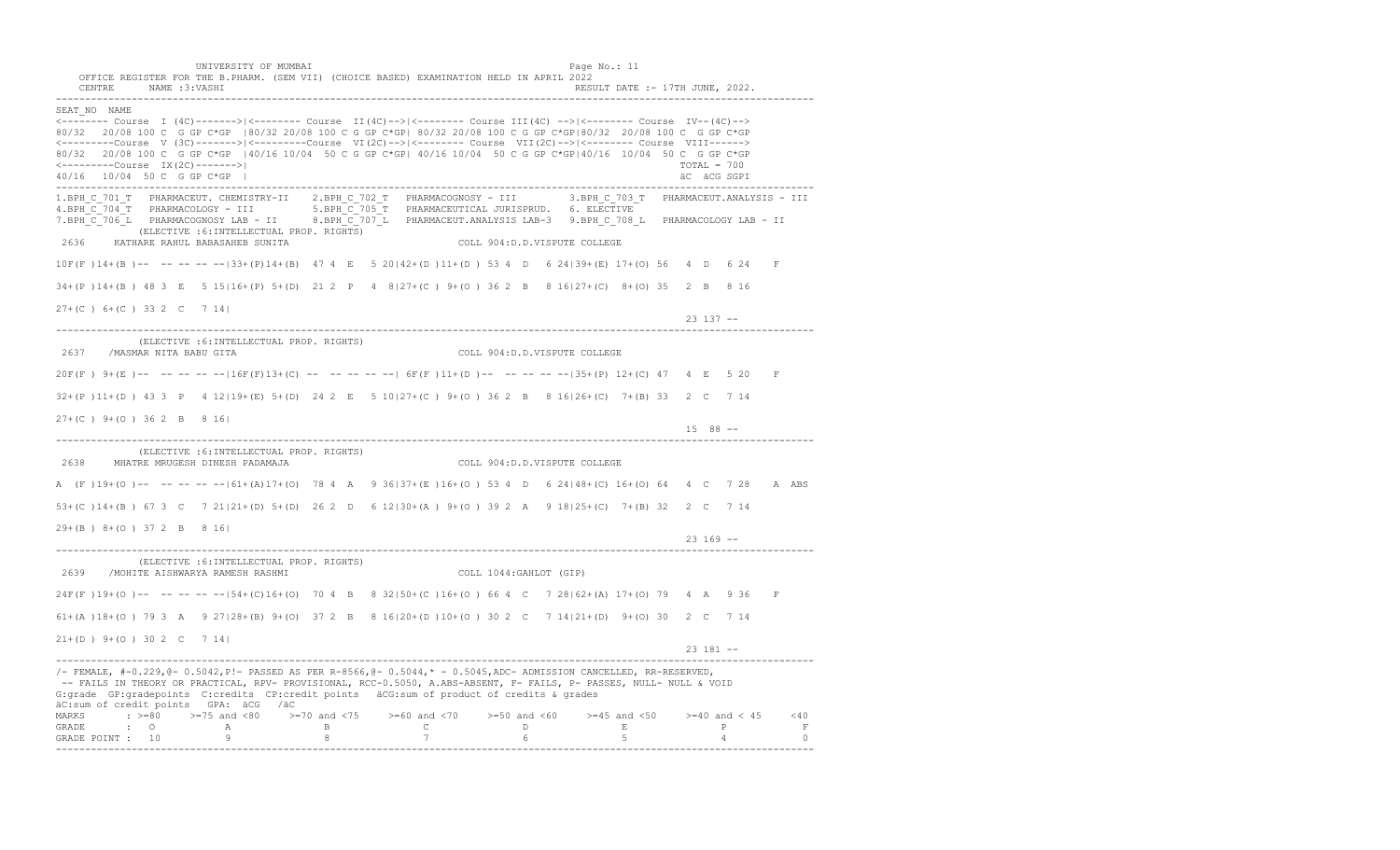UNIVERSITY OF MUMBAI **Example 2018** Page No.: 11 OFFICE REGISTER FOR THE B.PHARM. (SEM VII) (CHOICE BASED) EXAMINATION HELD IN APRIL 2022 CENTRE NAME :3:VASHI RESULT DATE :- 17TH JUNE, 2022. ---------------------------------------------------------------------------------------------------------------------------------- SEAT\_NO NAME <-------- Course I (4C)------->|<-------- Course II(4C)-->|<-------- Course III(4C) -->|<-------- Course IV--(4C)--> 80/32 20/08 100 C G GP C\*GP |80/32 20/08 100 C G GP C\*GP| 80/32 20/08 100 C G GP C\*GP|80/32 20/08 100 C G GP C\*GP <---------Course V (3C)------->|<---------Course VI(2C)-->|<-------- Course VII(2C)-->|<-------- Course VIII------> 80/32 20/08 100 C G GP C\*GP |40/16 10/04 50 C G GP C\*GP| 40/16 10/04 50 C G GP C\*GP|40/16 10/04 50 C G GP C\*GP <---------Course IX(2C)------->| TOTAL = 700 40/16 10/04 50 C G GP C\*GP | äC äCG SGPI ---------------------------------------------------------------------------------------------------------------------------------- 1.BPH\_C\_701\_T PHARMACEUT. CHEMISTRY-II 2.BPH\_C\_702\_T PHARMACOGNOSY - III 3.BPH\_C\_703\_T PHARMACEUT.ANALYSIS - III 4.BPH\_C\_704\_T PHARMACOLOGY - III 5.BPH\_C\_705\_T PHARMACEUTICAL JURISPRUD. 6. ELECTIVE 7.BPH\_C\_706\_L PHARMACOGNOSY LAB - II 8.BPH\_C\_707\_L PHARMACEUT.ANALYSIS LAB-3 9.BPH\_C\_708\_L PHARMACOLOGY LAB - II (ELECTIVE :6:INTELLECTUAL PROP. RIGHTS) 2636 KATHARE RAHUL BABASAHEB SUNITA COLL 904:D.D.VISPUTE COLLEGE 10F(F )14+(B )-- -- -- -- --|33+(P)14+(B) 47 4 E 5 20|42+(D )11+(D ) 53 4 D 6 24|39+(E) 17+(O) 56 4 D 6 24 F 34+(P )14+(B ) 48 3 E 5 15|16+(P) 5+(D) 21 2 P 4 8|27+(C ) 9+(O ) 36 2 B 8 16|27+(C) 8+(O) 35 2 B 8 16 27+(C ) 6+(C ) 33 2 C 7 14| 23 137 -- ---------------------------------------------------------------------------------------------------------------------------------- (ELECTIVE :6:INTELLECTUAL PROP. RIGHTS) 2637 /MASMAR NITA BABU GITA COLL 904:D.D.VISPUTE COLLEGE 20F(F ) 9+(E )-- -- -- -- --|16F(F)13+(C) -- -- -- -- --| 6F(F )11+(D )-- -- -- -- --|35+(P) 12+(C) 47 4 E 5 20 F 32+(P )11+(D ) 43 3 P 4 12|19+(E) 5+(D) 24 2 E 5 10|27+(C ) 9+(O ) 36 2 B 8 16|26+(C) 7+(B) 33 2 C 7 14 27+(C ) 9+(O ) 36 2 B 8 16| 15 88 -- ---------------------------------------------------------------------------------------------------------------------------------- (ELECTIVE :6:INTELLECTUAL PROP. RIGHTS)<br>2638 MHATRE MRUGESH DINESH PADAMAJA 2638 MHATRE MRUGESH DINESH PADAMAJA COLL 904:D.D.VISPUTE COLLEGE A (F )19+(O )-- -- -- -- --|61+(A)17+(O) 78 4 A 9 36|37+(E )16+(O ) 53 4 D 6 24|48+(C) 16+(O) 64 4 C 7 28 A ABS 53+(C )14+(B ) 67 3 C 7 21|21+(D) 5+(D) 26 2 D 6 12|30+(A ) 9+(O ) 39 2 A 9 18|25+(C) 7+(B) 32 2 C 7 14 29+(B ) 8+(O ) 37 2 B 8 16| 23 169 -- ---------------------------------------------------------------------------------------------------------------------------------- (ELECTIVE :6:INTELLECTUAL PROP. RIGHTS) 2639 /MOHITE AISHWARYA RAMESH RASHMI COLL 1044:GAHLOT (GIP) 24F(F )19+(O )-- -- -- -- --|54+(C)16+(O) 70 4 B 8 32|50+(C )16+(O ) 66 4 C 7 28|62+(A) 17+(O) 79 4 A 9 36 F 61+(A )18+(O ) 79 3 A 9 27|28+(B) 9+(O) 37 2 B 8 16|20+(D )10+(O ) 30 2 C 7 14|21+(D) 9+(O) 30 2 C 7 14 21+(D ) 9+(O ) 30 2 C 7 14| 23 181 -- ---------------------------------------------------------------------------------------------------------------------------------- /- FEMALE, #-0.229,@- 0.5042,P!- PASSED AS PER R-8566,@- 0.5044,\* - 0.5045,ADC- ADMISSION CANCELLED, RR-RESERVED, -- FAILS IN THEORY OR PRACTICAL, RPV- PROVISIONAL, RCC-0.5050, A.ABS-ABSENT, F- FAILS, P- PASSES, NULL- NULL & VOID G:grade GP:gradepoints C:credits CP:credit points äCG:sum of product of credits & grades äC:sum of credit points GPA: äCG /äC MARKS : >=80 >=75 and <80 >=70 and <75 >=60 and <70 >=50 and <60 >=45 and <50 >=40 and < 45 <40 GRADE : O A B C D E P F<br>GRADE POINT : 10 9 8 7 6 5 4 0 ----------------------------------------------------------------------------------------------------------------------------------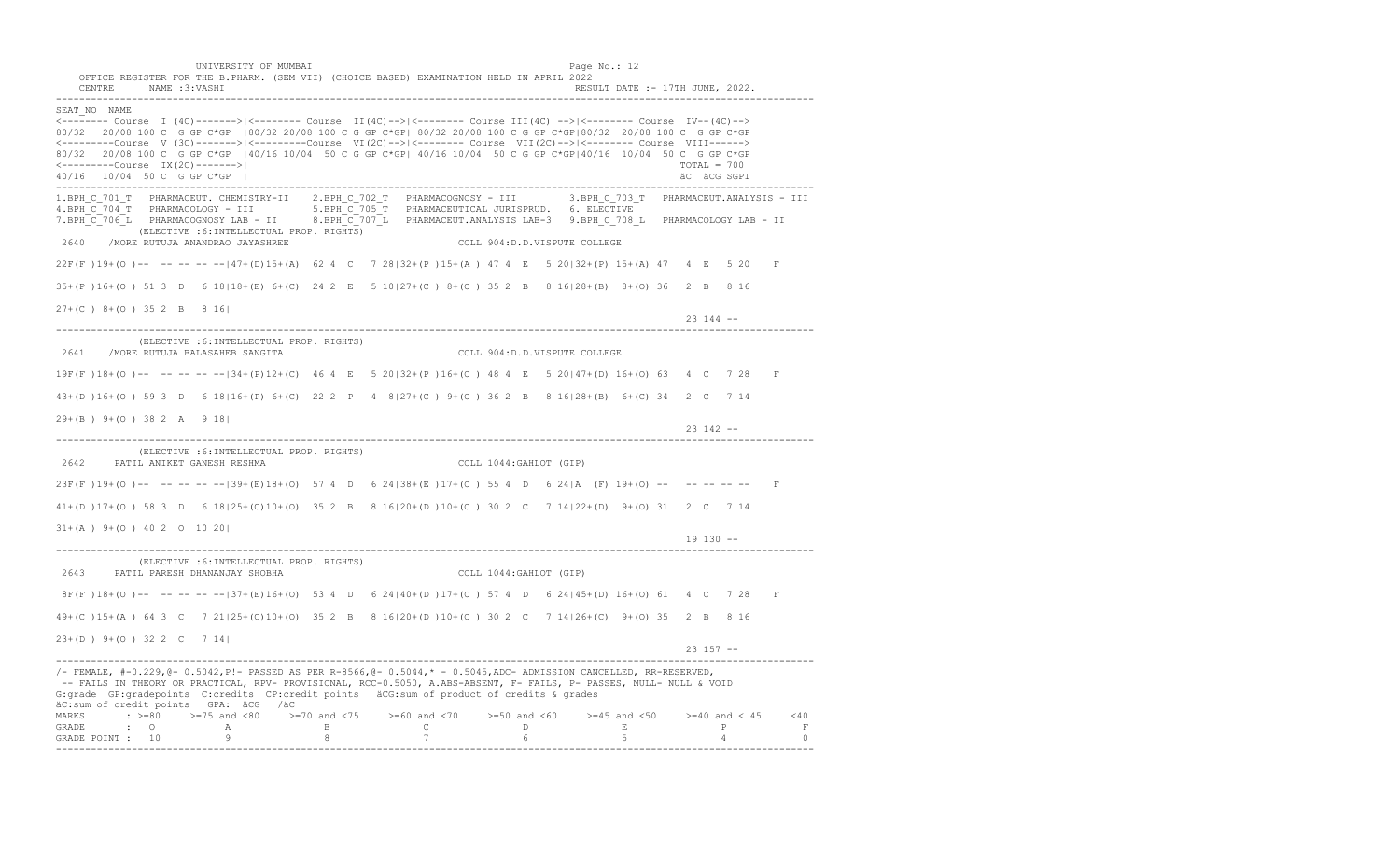UNIVERSITY OF MUMBAI **Example 2018** Page No.: 12 OFFICE REGISTER FOR THE B.PHARM. (SEM VII) (CHOICE BASED) EXAMINATION HELD IN APRIL 2022 CENTRE NAME :3:VASHI RESULT DATE :- 17TH JUNE, 2022. ---------------------------------------------------------------------------------------------------------------------------------- SEAT\_NO NAME <-------- Course I (4C)------->|<-------- Course II(4C)-->|<-------- Course III(4C) -->|<-------- Course IV--(4C)--> 80/32 20/08 100 C G GP C\*GP |80/32 20/08 100 C G GP C\*GP| 80/32 20/08 100 C G GP C\*GP|80/32 20/08 100 C G GP C\*GP <---------Course V (3C)------->|<---------Course VI(2C)-->|<-------- Course VII(2C)-->|<-------- Course VIII------> 80/32 20/08 100 C G GP C\*GP |40/16 10/04 50 C G GP C\*GP| 40/16 10/04 50 C G GP C\*GP|40/16 10/04 50 C G GP C\*GP <---------Course IX(2C)------->| TOTAL = 700 40/16 10/04 50 C G GP C\*GP | äC äCG SGPI ---------------------------------------------------------------------------------------------------------------------------------- 1.BPH\_C\_701\_T PHARMACEUT. CHEMISTRY-II 2.BPH\_C\_702\_T PHARMACOGNOSY - III 3.BPH\_C\_703\_T PHARMACEUT.ANALYSIS - III 4.BPH\_C\_704\_T PHARMACOLOGY - III 5.BPH\_C\_705\_T PHARMACEUTICAL JURISPRUD. 6. ELECTIVE 7.BPH\_C\_706\_L PHARMACOGNOSY LAB - II 8.BPH\_C\_707\_L PHARMACEUT.ANALYSIS LAB-3 9.BPH\_C\_708\_L PHARMACOLOGY LAB - II (ELECTIVE :6:INTELLECTUAL PROP. RIGHTS) 2640 /MORE RUTUJA ANANDRAO JAYASHREE COLL 904:D.D.VISPUTE COLLEGE 22F(F )19+(O )-- -- -- -- --|47+(D)15+(A) 62 4 C 7 28|32+(P )15+(A ) 47 4 E 5 20|32+(P) 15+(A) 47 4 E 5 20 F 35+(P )16+(O ) 51 3 D 6 18|18+(E) 6+(C) 24 2 E 5 10|27+(C ) 8+(O ) 35 2 B 8 16|28+(B) 8+(O) 36 2 B 8 16 27+(C ) 8+(O ) 35 2 B 8 16| 23 144 -- ---------------------------------------------------------------------------------------------------------------------------------- (ELECTIVE :6:INTELLECTUAL PROP. RIGHTS) 2641 /MORE RUTUJA BALASAHEB SANGITA COLL 904:D.D.VISPUTE COLLEGE 19F(F )18+(O )-- -- -- -- --|34+(P)12+(C) 46 4 E 5 20|32+(P )16+(O ) 48 4 E 5 20|47+(D) 16+(O) 63 4 C 7 28 F 43+(D )16+(O ) 59 3 D 6 18|16+(P) 6+(C) 22 2 P 4 8|27+(C ) 9+(O ) 36 2 B 8 16|28+(B) 6+(C) 34 2 C 7 14 29+(B ) 9+(O ) 38 2 A 9 18| 23 142 -- ---------------------------------------------------------------------------------------------------------------------------------- (ELECTIVE :6:INTELLECTUAL PROP. RIGHTS)<br>2642 PATIL ANIKET GANESH RESHMA 2642 PATIL ANIKET GANESH RESHMA COLL 1044:GAHLOT (GIP) 23F(F )19+(O )-- -- -- -- --|39+(E)18+(O) 57 4 D 6 24|38+(E )17+(O ) 55 4 D 6 24|A (F) 19+(O) -- -- -- -- -- F 41+(D )17+(O ) 58 3 D 6 18|25+(C)10+(O) 35 2 B 8 16|20+(D )10+(O ) 30 2 C 7 14|22+(D) 9+(O) 31 2 C 7 14 31+(A ) 9+(O ) 40 2 O 10 20| 19 130 -- ---------------------------------------------------------------------------------------------------------------------------------- (ELECTIVE :6:INTELLECTUAL PROP. RIGHTS) 2643 PATIL PARESH DHANANJAY SHOBHA COLL 1044:GAHLOT (GIP) 8F(F )18+(O )-- -- -- -- --|37+(E)16+(O) 53 4 D 6 24|40+(D )17+(O ) 57 4 D 6 24|45+(D) 16+(O) 61 4 C 7 28 F 49+(C )15+(A ) 64 3 C 7 21|25+(C)10+(O) 35 2 B 8 16|20+(D )10+(O ) 30 2 C 7 14|26+(C) 9+(O) 35 2 B 8 16 23+(D ) 9+(O ) 32 2 C 7 14| 23 157 -- ---------------------------------------------------------------------------------------------------------------------------------- /- FEMALE, #-0.229,@- 0.5042,P!- PASSED AS PER R-8566,@- 0.5044,\* - 0.5045,ADC- ADMISSION CANCELLED, RR-RESERVED, -- FAILS IN THEORY OR PRACTICAL, RPV- PROVISIONAL, RCC-0.5050, A.ABS-ABSENT, F- FAILS, P- PASSES, NULL- NULL & VOID G:grade GP:gradepoints C:credits CP:credit points äCG:sum of product of credits & grades äC:sum of credit points GPA: äCG /äC MARKS : >=80 >=75 and <80 >=70 and <75 >=60 and <70 >=50 and <60 >=45 and <50 >=40 and < 45 <40 GRADE : O A B C D E P F GRADE POINT : 10 9 8 7 6 5 4 0 ----------------------------------------------------------------------------------------------------------------------------------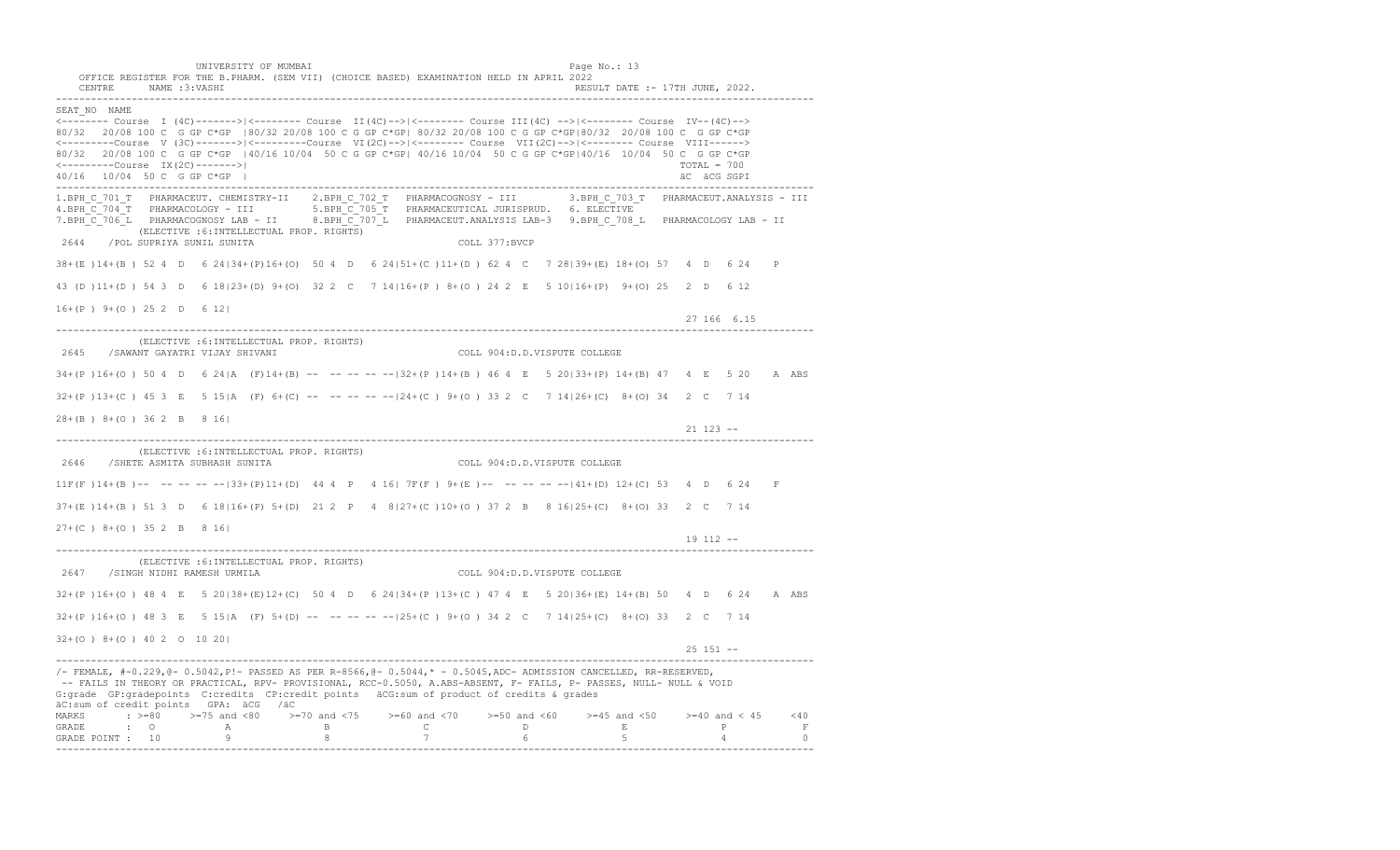UNIVERSITY OF MUMBAI **Example 2018** Page No.: 13 OFFICE REGISTER FOR THE B.PHARM. (SEM VII) (CHOICE BASED) EXAMINATION HELD IN APRIL 2022 CENTRE NAME :3:VASHI RESULT DATE :- 17TH JUNE, 2022. ---------------------------------------------------------------------------------------------------------------------------------- SEAT\_NO NAME <-------- Course I (4C)------->|<-------- Course II(4C)-->|<-------- Course III(4C) -->|<-------- Course IV--(4C)--> 80/32 20/08 100 C G GP C\*GP |80/32 20/08 100 C G GP C\*GP| 80/32 20/08 100 C G GP C\*GP|80/32 20/08 100 C G GP C\*GP <---------Course V (3C)------->|<---------Course VI(2C)-->|<-------- Course VII(2C)-->|<-------- Course VIII------> 80/32 20/08 100 C G GP C\*GP |40/16 10/04 50 C G GP C\*GP| 40/16 10/04 50 C G GP C\*GP|40/16 10/04 50 C G GP C\*GP <---------Course IX(2C)------->| TOTAL = 700 40/16 10/04 50 C G GP C\*GP | äC äCG SGPI ---------------------------------------------------------------------------------------------------------------------------------- 1.BPH\_C\_701\_T PHARMACEUT. CHEMISTRY-II 2.BPH\_C\_702\_T PHARMACOGNOSY - III 3.BPH\_C\_703\_T PHARMACEUT.ANALYSIS - III 4.BPH\_C\_704\_T PHARMACOLOGY - III 5.BPH\_C\_705\_T PHARMACEUTICAL JURISPRUD. 6. ELECTIVE 7.BPH\_C\_706\_L PHARMACOGNOSY LAB - II 8.BPH\_C\_707\_L PHARMACEUT.ANALYSIS LAB-3 9.BPH\_C\_708\_L PHARMACOLOGY LAB - II (ELECTIVE :6:INTELLECTUAL PROP. RIGHTS) 2644 /POL SUPRIYA SUNIL SUNITA COLL 377:BVCP 38+(E )14+(B ) 52 4 D 6 24|34+(P)16+(O) 50 4 D 6 24|51+(C )11+(D ) 62 4 C 7 28|39+(E) 18+(O) 57 4 D 6 24 P 43 (D )11+(D ) 54 3 D 6 18|23+(D) 9+(O) 32 2 C 7 14|16+(P ) 8+(O ) 24 2 E 5 10|16+(P) 9+(O) 25 2 D 6 12 16+(P ) 9+(O ) 25 2 D 6 12| 27 166 6.15 ---------------------------------------------------------------------------------------------------------------------------------- (ELECTIVE :6:INTELLECTUAL PROP. RIGHTS) 2645 /SAWANT GAYATRI VIJAY SHIVANI COLL 904:D.D.VISPUTE COLLEGE 34+(P )16+(O ) 50 4 D 6 24|A (F)14+(B) -- -- -- -- --|32+(P )14+(B ) 46 4 E 5 20|33+(P) 14+(B) 47 4 E 5 20 A ABS 32+(P )13+(C ) 45 3 E 5 15|A (F) 6+(C) -- -- -- -- --|24+(C ) 9+(O ) 33 2 C 7 14|26+(C) 8+(O) 34 2 C 7 14 28+(B ) 8+(O ) 36 2 B 8 16| 21 123 -- ---------------------------------------------------------------------------------------------------------------------------------- (ELECTIVE :6:INTELLECTUAL PROP. RIGHTS) 2646 /SHETE ASMITA SUBHASH SUNITA COLL 904:D.D.VISPUTE COLLEGE 11F(F )14+(B )-- -- -- -- --|33+(P)11+(D) 44 4 P 4 16| 7F(F ) 9+(E )-- -- -- -- --|41+(D) 12+(C) 53 4 D 6 24 F 37+(E )14+(B ) 51 3 D 6 18|16+(P) 5+(D) 21 2 P 4 8|27+(C )10+(O ) 37 2 B 8 16|25+(C) 8+(O) 33 2 C 7 14 27+(C ) 8+(O ) 35 2 B 8 16| 19 112 -- ---------------------------------------------------------------------------------------------------------------------------------- (ELECTIVE :6:INTELLECTUAL PROP. RIGHTS) 2647 /SINGH NIDHI RAMESH URMILA COLL 904:D.D.VISPUTE COLLEGE 32+(P )16+(O ) 48 4 E 5 20|38+(E)12+(C) 50 4 D 6 24|34+(P )13+(C ) 47 4 E 5 20|36+(E) 14+(B) 50 4 D 6 24 A ABS 32+(P )16+(O ) 48 3 E 5 15|A (F) 5+(D) -- -- -- -- --|25+(C ) 9+(O ) 34 2 C 7 14|25+(C) 8+(O) 33 2 C 7 14 32+(O ) 8+(O ) 40 2 O 10 20| 25 151 -- ---------------------------------------------------------------------------------------------------------------------------------- /- FEMALE, #-0.229,@- 0.5042,P!- PASSED AS PER R-8566,@- 0.5044,\* - 0.5045,ADC- ADMISSION CANCELLED, RR-RESERVED, -- FAILS IN THEORY OR PRACTICAL, RPV- PROVISIONAL, RCC-0.5050, A.ABS-ABSENT, F- FAILS, P- PASSES, NULL- NULL & VOID G:grade GP:gradepoints C:credits CP:credit points äCG:sum of product of credits & grades äC:sum of credit points GPA: äCG /äC MARKS : >=80 >=75 and <80 >=70 and <75 >=60 and <70 >=50 and <60 >=45 and <50 >=40 and < 45 <40 GRADE : O A B C D E P F<br>GRADE POINT : 10 9 8 7 6 5 4 0 ----------------------------------------------------------------------------------------------------------------------------------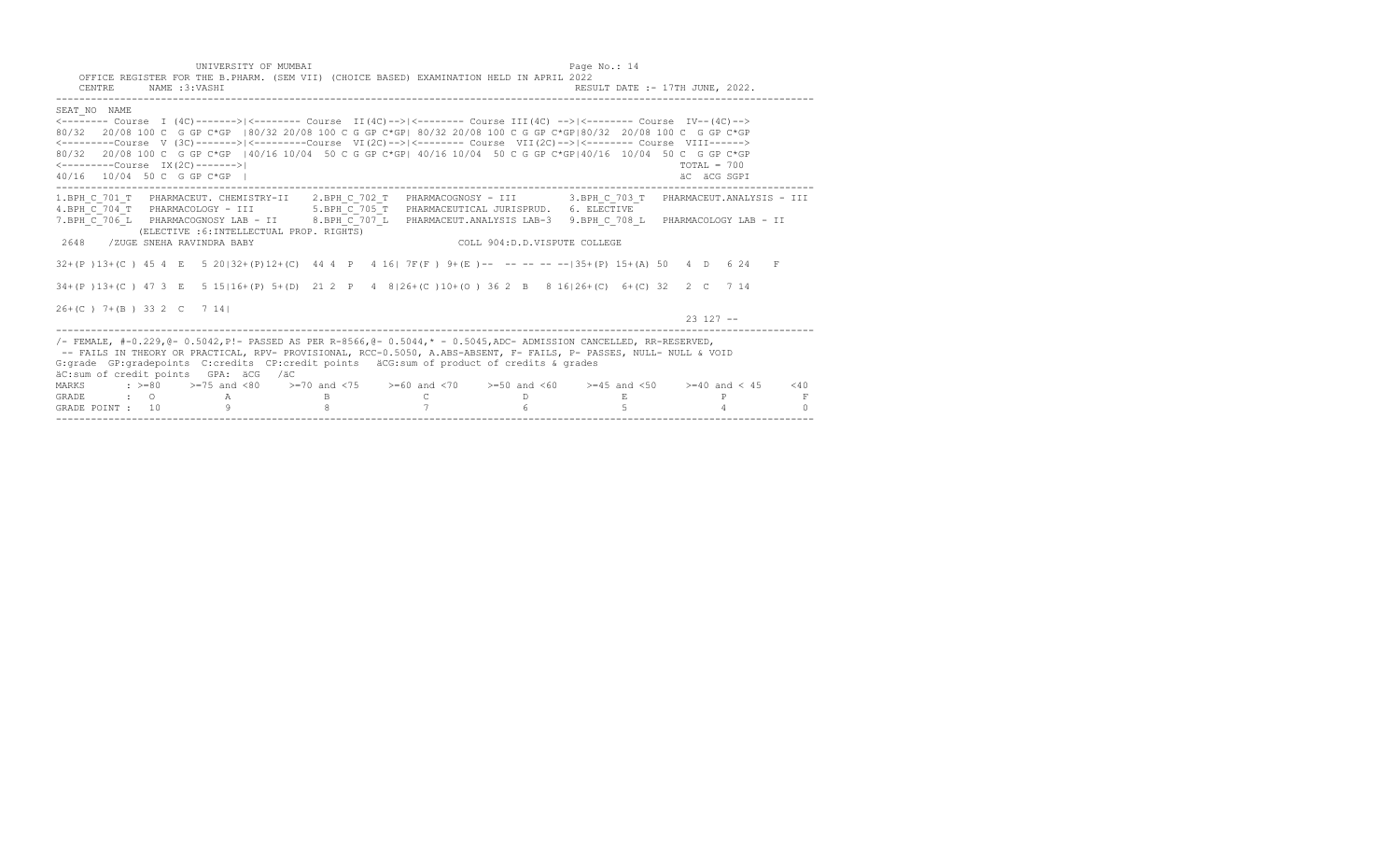| UNIVERSITY OF MUMBAI |  |  |
|----------------------|--|--|
|----------------------|--|--|

| UNIVERSITY OF MUMBAI                                                                                                                                                                                                                                                                                                                                                                                                                                                                                                                                                        |             |                                |                                                                                              | Page No.: 14 |                                 |             |
|-----------------------------------------------------------------------------------------------------------------------------------------------------------------------------------------------------------------------------------------------------------------------------------------------------------------------------------------------------------------------------------------------------------------------------------------------------------------------------------------------------------------------------------------------------------------------------|-------------|--------------------------------|----------------------------------------------------------------------------------------------|--------------|---------------------------------|-------------|
| OFFICE REGISTER FOR THE B.PHARM. (SEM VII) (CHOICE BASED) EXAMINATION HELD IN APRIL 2022<br>CENTRE NAME: 3: VASHI                                                                                                                                                                                                                                                                                                                                                                                                                                                           |             |                                |                                                                                              |              | RESULT DATE :- 17TH JUNE, 2022. |             |
| SEAT NO NAME<br><-------- Course I (4C)------->><------- Course II(4C)-->><------- Course III(4C) -->><------- Course IV--(4C)--><br>80/32 20/08 100 C G GP C*GP 180/32 20/08 100 C G GP C*GPI 80/32 20/08 100 C G GP C*GPI80/32 20/08 100 C G GP C*GP<br><--------Course V (3C)-------> <--------Course VI(2C)--> <-------- Course VII(2C)--> <-------- Course VIII------><br>80/32 20/08 100 C G GP C*GP 140/16 10/04 50 C G GP C*GPI 40/16 10/04 50 C G GP C*GPI40/16 10/04 50 C G GP C*GP<br>$\leftarrow$ --------Course IX(2C)-------><br>40/16 10/04 50 C G GP C*GP I |             |                                |                                                                                              |              | $TOTAI = 700$<br>äC äCG SGPI    |             |
| 1.BPH C 701 T PHARMACEUT. CHEMISTRY-II 2.BPH C 702 T<br>4.BPH C 704 T PHARMACOLOGY - III 5.BPH C 705 T PHARMACEUTICAL JURISPRUD. 6. ELECTIVE<br>7.BPH-C-706L PHARMACOGNOSY LAB - II 8.BPH-C-707L PHARMACEUT.ANALYSIS LAB-3 9.BPH C 708 L PHARMACOLOGY LAB - II<br>(ELECTIVE : 6: INTELLECTUAL PROP, RIGHTS)<br>2648 / ZUGE SNEHA RAVINDRA BABY                                                                                                                                                                                                                              |             |                                | PHARMACOGNOSY - III 3.BPH C 703 T PHARMACEUT. ANALYSIS - III<br>COLL 904:D.D.VISPUTE COLLEGE |              |                                 |             |
| $32+(P)$ 13+(C) 45 4 E 5 20132+(P) 12+(C) 44 4 P 4 161 7F(F) 9+(E) -- -- -- -- -- -135+(P) 15+(A) 50 4 D 6 24                                                                                                                                                                                                                                                                                                                                                                                                                                                               |             |                                |                                                                                              |              | F                               |             |
| 34+(P)13+(C) 47 3 E 5 15116+(P) 5+(D) 21 2 P 4 8126+(C)10+(O) 36 2 B 8 16126+(C) 6+(C) 32 2 C 7 14                                                                                                                                                                                                                                                                                                                                                                                                                                                                          |             |                                |                                                                                              |              |                                 |             |
| 26+(C) 7+(B) 33 2 C 7 14                                                                                                                                                                                                                                                                                                                                                                                                                                                                                                                                                    |             |                                |                                                                                              |              | $23127 - -$                     |             |
| /- FEMALE, #-0.229, @- 0.5042, P!- PASSED AS PER R-8566, @- 0.5044,* - 0.5045, ADC- ADMISSION CANCELLED, RR-RESERVED,<br>-- FAILS IN THEORY OR PRACTICAL, RPV- PROVISIONAL, RCC-0.5050, A.ABS-ABSENT, F- FAILS, P- PASSES, NULL- NULL & VOID<br>G:grade GP:gradepoints C:credits CP:credit points äCG:sum of product of credits & grades<br>äC: sum of credit points GPA: äCG /äC<br>MARKS : $>=80$ $>=75$ and <80 $>=70$ and <75 $>=60$ and <70 $>=50$ and <60 $>=45$ and <50 $>=40$ and <45<br>GRADE : O<br>GRADE POINT : 10 9                                            | $\mathbb B$ | $\mathbb{C}$<br>$\overline{7}$ | D.<br>- 6                                                                                    | E            | $\mathbb{P}$                    | $<$ 40<br>F |

----------------------------------------------------------------------------------------------------------------------------------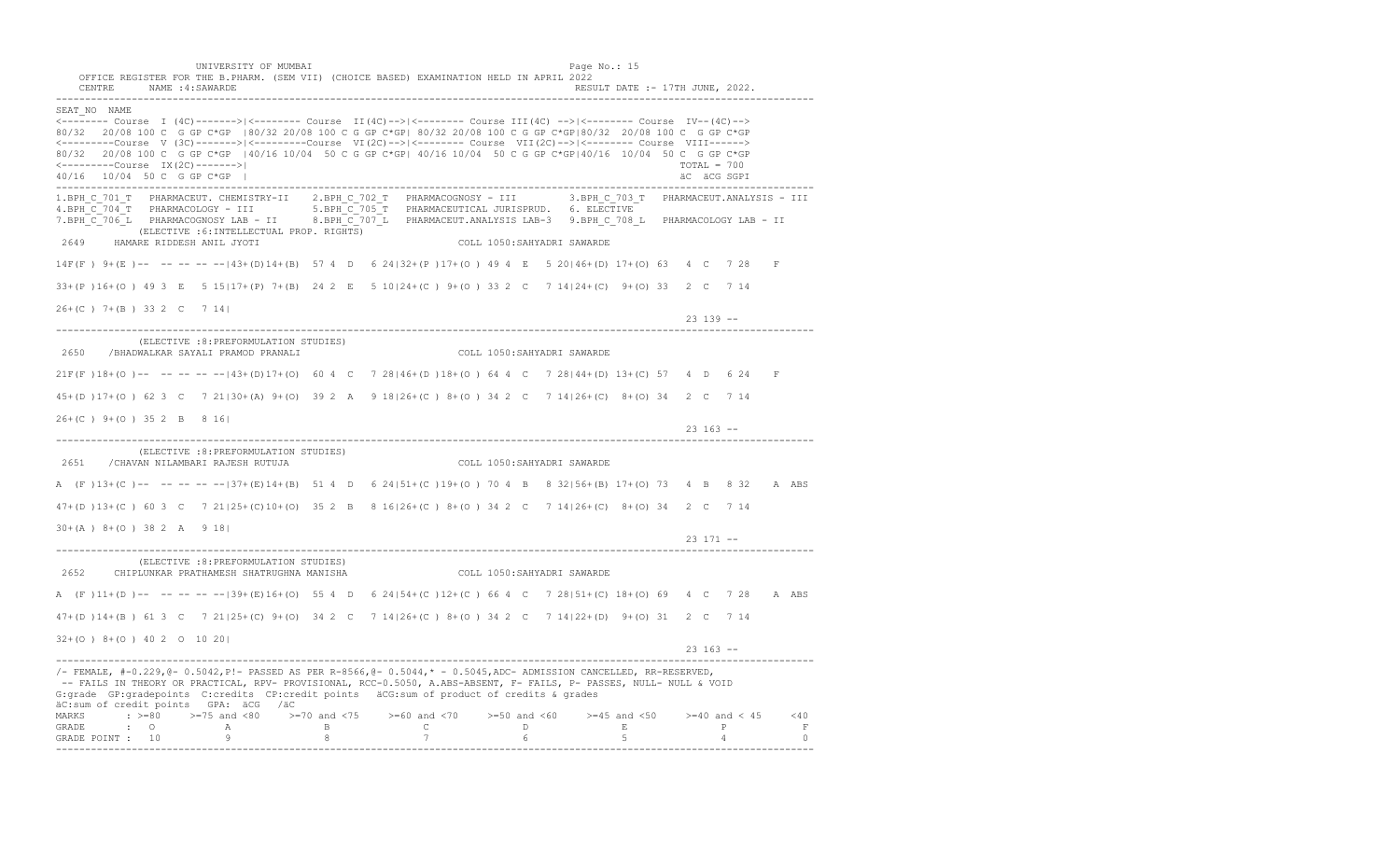UNIVERSITY OF MUMBAI **Example 2018** Page No.: 15 OFFICE REGISTER FOR THE B.PHARM. (SEM VII) (CHOICE BASED) EXAMINATION HELD IN APRIL 2022 CENTRE NAME :4:SAWARDE RESULT DATE :- 17TH JUNE, 2022. ---------------------------------------------------------------------------------------------------------------------------------- SEAT\_NO NAME <-------- Course I (4C)------->|<-------- Course II(4C)-->|<-------- Course III(4C) -->|<-------- Course IV--(4C)--> 80/32 20/08 100 C G GP C\*GP |80/32 20/08 100 C G GP C\*GP| 80/32 20/08 100 C G GP C\*GP|80/32 20/08 100 C G GP C\*GP <---------Course V (3C)------->|<---------Course VI(2C)-->|<-------- Course VII(2C)-->|<-------- Course VIII------> 80/32 20/08 100 C G GP C\*GP |40/16 10/04 50 C G GP C\*GP| 40/16 10/04 50 C G GP C\*GP|40/16 10/04 50 C G GP C\*GP <---------Course IX(2C)------->| TOTAL = 700 40/16 10/04 50 C G GP C\*GP | äC äCG SGPI ---------------------------------------------------------------------------------------------------------------------------------- 1.BPH\_C\_701\_T PHARMACEUT. CHEMISTRY-II 2.BPH\_C\_702\_T PHARMACOGNOSY - III 3.BPH\_C\_703\_T PHARMACEUT.ANALYSIS - III 4.BPH\_C\_704\_T PHARMACOLOGY - III 5.BPH\_C\_705\_T PHARMACEUTICAL JURISPRUD. 6. ELECTIVE 7.BPH\_C\_706\_L PHARMACOGNOSY LAB - II 8.BPH\_C\_707\_L PHARMACEUT.ANALYSIS LAB-3 9.BPH\_C\_708\_L PHARMACOLOGY LAB - II (ELECTIVE :6:INTELLECTUAL PROP. RIGHTS) 2649 HAMARE RIDDESH ANIL JYOTI COLL 1050:SAHYADRI SAWARDE 14F(F ) 9+(E )-- -- -- -- --|43+(D)14+(B) 57 4 D 6 24|32+(P )17+(O ) 49 4 E 5 20|46+(D) 17+(O) 63 4 C 7 28 F 33+(P )16+(O ) 49 3 E 5 15|17+(P) 7+(B) 24 2 E 5 10|24+(C ) 9+(O ) 33 2 C 7 14|24+(C) 9+(O) 33 2 C 7 14 26+(C ) 7+(B ) 33 2 C 7 14| 23 139 -- ---------------------------------------------------------------------------------------------------------------------------------- (ELECTIVE :8:PREFORMULATION STUDIES) 2650 /BHADWALKAR SAYALI PRAMOD PRANALI COLL 1050:SAHYADRI SAWARDE 21F(F )18+(O )-- -- -- -- --|43+(D)17+(O) 60 4 C 7 28|46+(D )18+(O ) 64 4 C 7 28|44+(D) 13+(C) 57 4 D 6 24 F 45+(D )17+(O ) 62 3 C 7 21|30+(A) 9+(O) 39 2 A 9 18|26+(C ) 8+(O ) 34 2 C 7 14|26+(C) 8+(O) 34 2 C 7 14 26+(C ) 9+(O ) 35 2 B 8 16| 23 163 -- ---------------------------------------------------------------------------------------------------------------------------------- (ELECTIVE :8:PREFORMULATION STUDIES) 2651 /CHAVAN NILAMBARI RAJESH RUTUJA COLL 1050:SAHYADRI SAWARDE A (F )13+(C )-- -- -- -- --|37+(E)14+(B) 51 4 D 6 24|51+(C )19+(O ) 70 4 B 8 32|56+(B) 17+(O) 73 4 B 8 32 A ABS 47+(D )13+(C ) 60 3 C 7 21|25+(C)10+(O) 35 2 B 8 16|26+(C ) 8+(O ) 34 2 C 7 14|26+(C) 8+(O) 34 2 C 7 14 30+(A ) 8+(O ) 38 2 A 9 18| 23 171 -- ---------------------------------------------------------------------------------------------------------------------------------- (ELECTIVE :8:PREFORMULATION STUDIES) 2652 CHIPLUNKAR PRATHAMESH SHATRUGHNA MANISHA COLL 1050:SAHYADRI SAWARDE A (F )11+(D )-- -- -- -- --|39+(E)16+(O) 55 4 D 6 24|54+(C )12+(C ) 66 4 C 7 28|51+(C) 18+(O) 69 4 C 7 28 A ABS 47+(D )14+(B ) 61 3 C 7 21|25+(C) 9+(O) 34 2 C 7 14|26+(C ) 8+(O ) 34 2 C 7 14|22+(D) 9+(O) 31 2 C 7 14 32+(O ) 8+(O ) 40 2 O 10 20| 23 163 -- ---------------------------------------------------------------------------------------------------------------------------------- /- FEMALE, #-0.229,@- 0.5042,P!- PASSED AS PER R-8566,@- 0.5044,\* - 0.5045,ADC- ADMISSION CANCELLED, RR-RESERVED, -- FAILS IN THEORY OR PRACTICAL, RPV- PROVISIONAL, RCC-0.5050, A.ABS-ABSENT, F- FAILS, P- PASSES, NULL- NULL & VOID G:grade GP:gradepoints C:credits CP:credit points äCG:sum of product of credits & grades äC:sum of credit points GPA: äCG /äC MARKS : >=80 >=75 and <80 >=70 and <75 >=60 and <70 >=50 and <60 >=45 and <50 >=40 and < 45 <40 GRADE : O A B C D E P F GRADE POINT : 10 9 8 7 6 5 4 0 ----------------------------------------------------------------------------------------------------------------------------------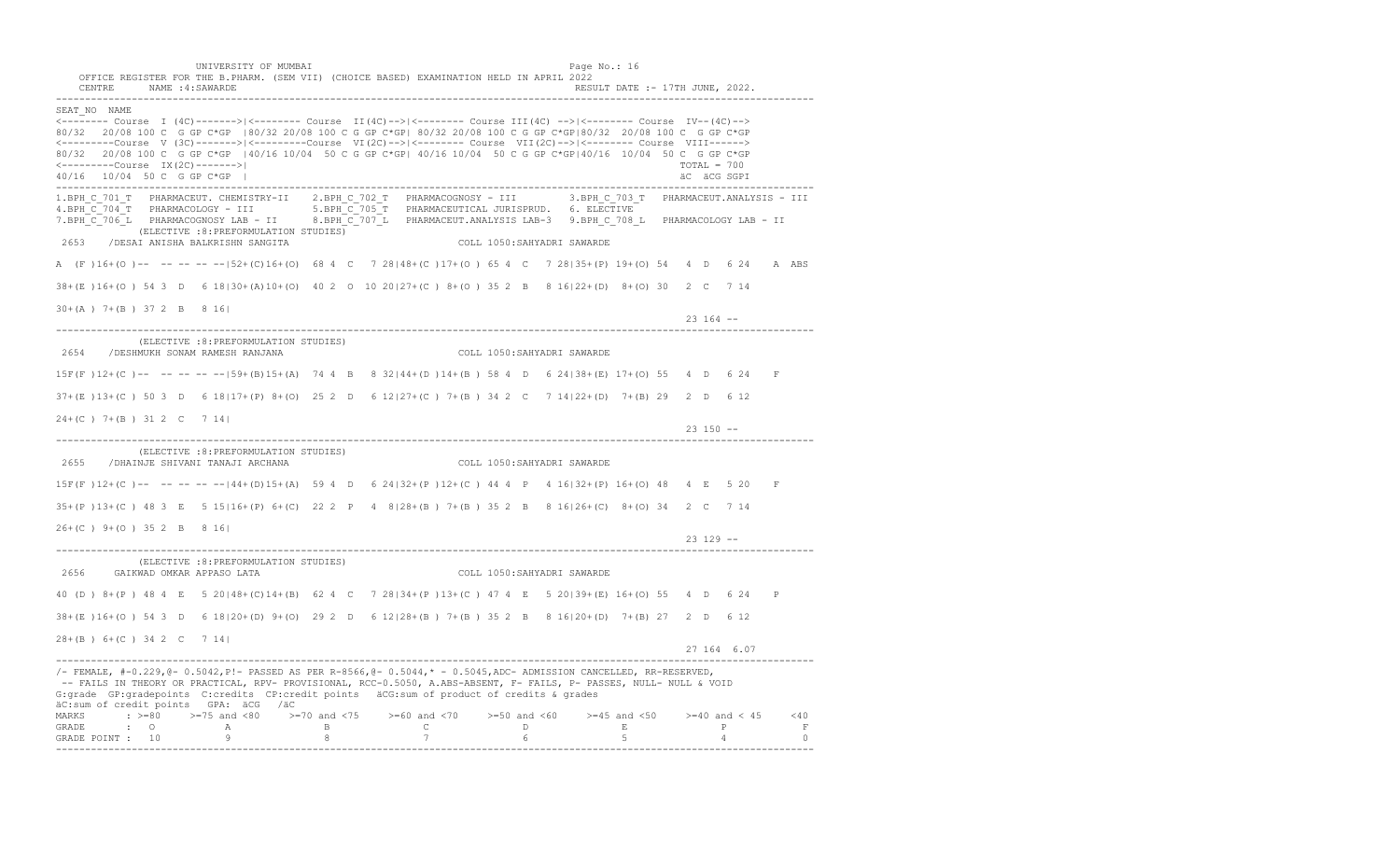UNIVERSITY OF MUMBAI **Example 2018** Page No.: 16 OFFICE REGISTER FOR THE B.PHARM. (SEM VII) (CHOICE BASED) EXAMINATION HELD IN APRIL 2022 CENTRE NAME :4:SAWARDE RESULT DATE :- 17TH JUNE, 2022. ---------------------------------------------------------------------------------------------------------------------------------- SEAT\_NO NAME <-------- Course I (4C)------->|<-------- Course II(4C)-->|<-------- Course III(4C) -->|<-------- Course IV--(4C)--> 80/32 20/08 100 C G GP C\*GP |80/32 20/08 100 C G GP C\*GP| 80/32 20/08 100 C G GP C\*GP|80/32 20/08 100 C G GP C\*GP <---------Course V (3C)------->|<---------Course VI(2C)-->|<-------- Course VII(2C)-->|<-------- Course VIII------> 80/32 20/08 100 C G GP C\*GP |40/16 10/04 50 C G GP C\*GP| 40/16 10/04 50 C G GP C\*GP|40/16 10/04 50 C G GP C\*GP <---------Course IX(2C)------->| TOTAL = 700 40/16 10/04 50 C G GP C\*GP | äC äCG SGPI ---------------------------------------------------------------------------------------------------------------------------------- 1.BPH\_C\_701\_T PHARMACEUT. CHEMISTRY-II 2.BPH\_C\_702\_T PHARMACOGNOSY - III 3.BPH\_C\_703\_T PHARMACEUT.ANALYSIS - III 4.BPH\_C\_704\_T PHARMACOLOGY - III 5.BPH\_C\_705\_T PHARMACEUTICAL JURISPRUD. 6. ELECTIVE 7.BPH\_C\_706\_L PHARMACOGNOSY LAB - II 8.BPH\_C\_707\_L PHARMACEUT.ANALYSIS LAB-3 9.BPH\_C\_708\_L PHARMACOLOGY LAB - II (ELECTIVE :8:PREFORMULATION STUDIES) 2653 /DESAI ANISHA BALKRISHN SANGITA COLL 1050:SAHYADRI SAWARDE A (F )16+(O )-- -- -- -- --|52+(C)16+(O) 68 4 C 7 28|48+(C )17+(O ) 65 4 C 7 28|35+(P) 19+(O) 54 4 D 6 24 A ABS 38+(E )16+(O ) 54 3 D 6 18|30+(A)10+(O) 40 2 O 10 20|27+(C ) 8+(O ) 35 2 B 8 16|22+(D) 8+(O) 30 2 C 7 14 30+(A ) 7+(B ) 37 2 B 8 16| 23 164 -- ---------------------------------------------------------------------------------------------------------------------------------- (ELECTIVE :8:PREFORMULATION STUDIES) 2654 /DESHMUKH SONAM RAMESH RANJANA COLL 1050:SAHYADRI SAWARDE 15F(F )12+(C )-- -- -- -- --|59+(B)15+(A) 74 4 B 8 32|44+(D )14+(B ) 58 4 D 6 24|38+(E) 17+(O) 55 4 D 6 24 F 37+(E )13+(C ) 50 3 D 6 18|17+(P) 8+(O) 25 2 D 6 12|27+(C ) 7+(B ) 34 2 C 7 14|22+(D) 7+(B) 29 2 D 6 12 24+(C ) 7+(B ) 31 2 C 7 14| 23 150 -- ---------------------------------------------------------------------------------------------------------------------------------- (ELECTIVE :8:PREFORMULATION STUDIES) 2655 /DHAINJE SHIVANI TANAJI ARCHANA COLL 1050:SAHYADRI SAWARDE 15F(F )12+(C )-- -- -- -- --|44+(D)15+(A) 59 4 D 6 24|32+(P )12+(C ) 44 4 P 4 16|32+(P) 16+(O) 48 4 E 5 20 F 35+(P )13+(C ) 48 3 E 5 15|16+(P) 6+(C) 22 2 P 4 8|28+(B ) 7+(B ) 35 2 B 8 16|26+(C) 8+(O) 34 2 C 7 14 26+(C ) 9+(O ) 35 2 B 8 16| 23 129 -- ---------------------------------------------------------------------------------------------------------------------------------- (ELECTIVE :8:PREFORMULATION STUDIES) 2656 GAIKWAD OMKAR APPASO LATA COLL 1050:SAHYADRI SAWARDE 40 (D ) 8+(P ) 48 4 E 5 20|48+(C)14+(B) 62 4 C 7 28|34+(P )13+(C ) 47 4 E 5 20|39+(E) 16+(O) 55 4 D 6 24 P 38+(E )16+(O ) 54 3 D 6 18|20+(D) 9+(O) 29 2 D 6 12|28+(B ) 7+(B ) 35 2 B 8 16|20+(D) 7+(B) 27 2 D 6 12 28+(B ) 6+(C ) 34 2 C 7 14| 27 164 6.07 ---------------------------------------------------------------------------------------------------------------------------------- /- FEMALE, #-0.229,@- 0.5042,P!- PASSED AS PER R-8566,@- 0.5044,\* - 0.5045,ADC- ADMISSION CANCELLED, RR-RESERVED, -- FAILS IN THEORY OR PRACTICAL, RPV- PROVISIONAL, RCC-0.5050, A.ABS-ABSENT, F- FAILS, P- PASSES, NULL- NULL & VOID G:grade GP:gradepoints C:credits CP:credit points äCG:sum of product of credits & grades äC:sum of credit points GPA: äCG /äC MARKS : >=80 >=75 and <80 >=70 and <75 >=60 and <70 >=50 and <60 >=45 and <50 >=40 and < 45 <40 GRADE : O A B C D E P F GRADE POINT : 10 9 8 7 6 5 4 0 ----------------------------------------------------------------------------------------------------------------------------------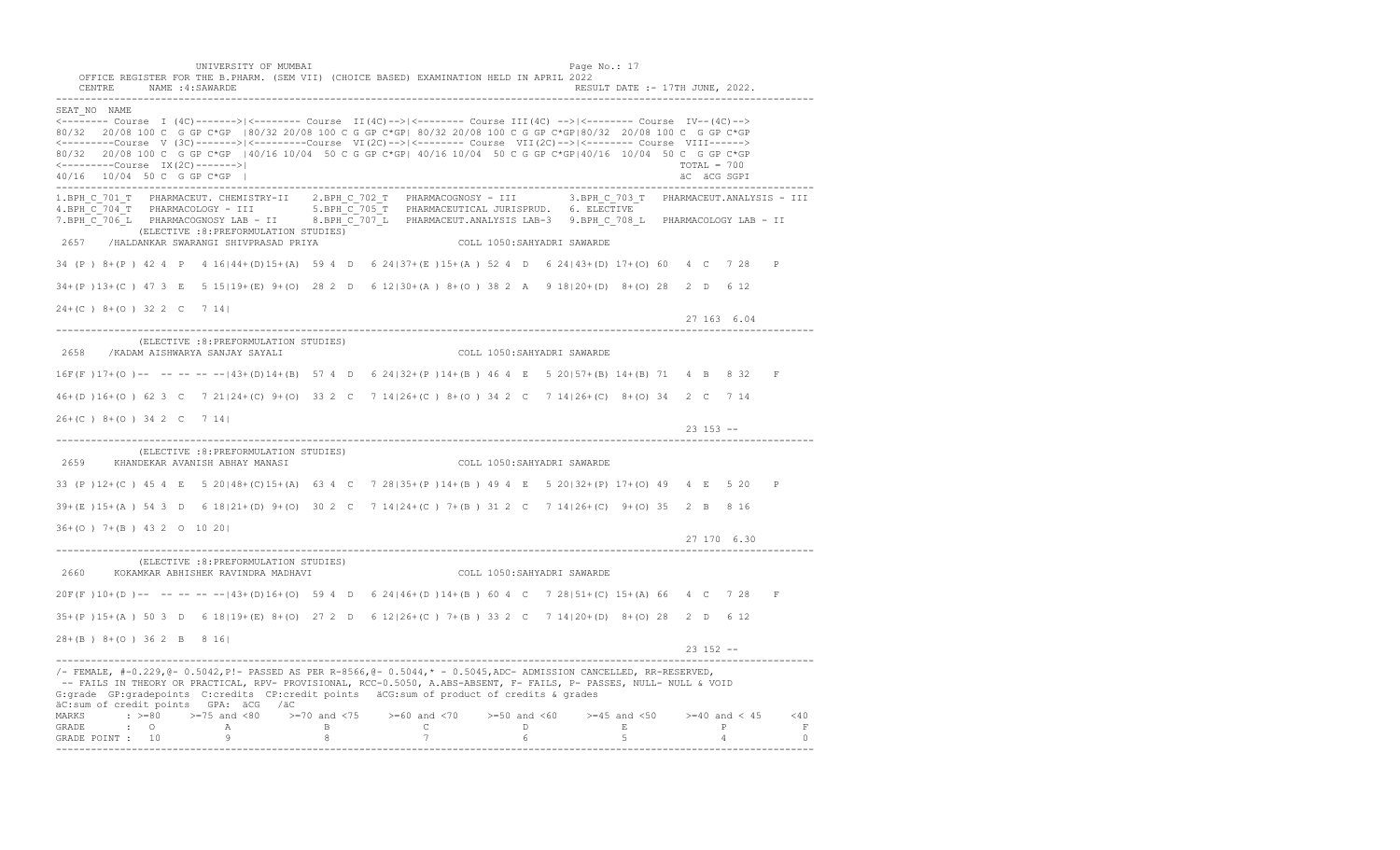UNIVERSITY OF MUMBAI **Example 2018** Page No.: 17 OFFICE REGISTER FOR THE B.PHARM. (SEM VII) (CHOICE BASED) EXAMINATION HELD IN APRIL 2022 CENTRE NAME :4:SAWARDE RESULT DATE :- 17TH JUNE, 2022. ---------------------------------------------------------------------------------------------------------------------------------- SEAT\_NO NAME <-------- Course I (4C)------->|<-------- Course II(4C)-->|<-------- Course III(4C) -->|<-------- Course IV--(4C)--> 80/32 20/08 100 C G GP C\*GP |80/32 20/08 100 C G GP C\*GP| 80/32 20/08 100 C G GP C\*GP|80/32 20/08 100 C G GP C\*GP <---------Course V (3C)------->|<---------Course VI(2C)-->|<-------- Course VII(2C)-->|<-------- Course VIII------> 80/32 20/08 100 C G GP C\*GP |40/16 10/04 50 C G GP C\*GP| 40/16 10/04 50 C G GP C\*GP|40/16 10/04 50 C G GP C\*GP <---------Course IX(2C)------->| TOTAL = 700 40/16 10/04 50 C G GP C\*GP | äC äCG SGPI ---------------------------------------------------------------------------------------------------------------------------------- 1.BPH\_C\_701\_T PHARMACEUT. CHEMISTRY-II 2.BPH\_C\_702\_T PHARMACOGNOSY - III 3.BPH\_C\_703\_T PHARMACEUT.ANALYSIS - III 4.BPH\_C\_704\_T PHARMACOLOGY - III 5.BPH\_C\_705\_T PHARMACEUTICAL JURISPRUD. 6. ELECTIVE 7.BPH\_C\_706\_L PHARMACOGNOSY LAB - II 8.BPH\_C\_707\_L PHARMACEUT.ANALYSIS LAB-3 9.BPH\_C\_708\_L PHARMACOLOGY LAB - II (ELECTIVE :8:PREFORMULATION STUDIES) 2657 /HALDANKAR SWARANGI SHIVPRASAD PRIYA COLL 1050:SAHYADRI SAWARDE 34 (P ) 8+(P ) 42 4 P 4 16|44+(D)15+(A) 59 4 D 6 24|37+(E )15+(A ) 52 4 D 6 24|43+(D) 17+(O) 60 4 C 7 28 P 34+(P )13+(C ) 47 3 E 5 15|19+(E) 9+(O) 28 2 D 6 12|30+(A ) 8+(O ) 38 2 A 9 18|20+(D) 8+(O) 28 2 D 6 12 24+(C ) 8+(O ) 32 2 C 7 14| 27 163 6.04 ---------------------------------------------------------------------------------------------------------------------------------- (ELECTIVE :8:PREFORMULATION STUDIES) 2658 /KADAM AISHWARYA SANJAY SAYALI COLL 1050:SAHYADRI SAWARDE 16F(F )17+(O )-- -- -- -- --|43+(D)14+(B) 57 4 D 6 24|32+(P )14+(B ) 46 4 E 5 20|57+(B) 14+(B) 71 4 B 8 32 F 46+(D )16+(O ) 62 3 C 7 21|24+(C) 9+(O) 33 2 C 7 14|26+(C ) 8+(O ) 34 2 C 7 14|26+(C) 8+(O) 34 2 C 7 14 26+(C ) 8+(O ) 34 2 C 7 14| 23 153 -- ---------------------------------------------------------------------------------------------------------------------------------- (ELECTIVE :8:PREFORMULATION STUDIES) 2659 KHANDEKAR AVANISH ABHAY MANASI COLL 1050:SAHYADRI SAWARDE 33 (P )12+(C ) 45 4 E 5 20|48+(C)15+(A) 63 4 C 7 28|35+(P )14+(B ) 49 4 E 5 20|32+(P) 17+(O) 49 4 E 5 20 P 39+(E )15+(A ) 54 3 D 6 18|21+(D) 9+(O) 30 2 C 7 14|24+(C ) 7+(B ) 31 2 C 7 14|26+(C) 9+(O) 35 2 B 8 16 36+(O ) 7+(B ) 43 2 O 10 20| 27 170 6.30 ---------------------------------------------------------------------------------------------------------------------------------- (ELECTIVE :8:PREFORMULATION STUDIES) 2660 KOKAMKAR ABHISHEK RAVINDRA MADHAVI COLL 1050:SAHYADRI SAWARDE 20F(F )10+(D )-- -- -- -- --|43+(D)16+(O) 59 4 D 6 24|46+(D )14+(B ) 60 4 C 7 28|51+(C) 15+(A) 66 4 C 7 28 F 35+(P )15+(A ) 50 3 D 6 18|19+(E) 8+(O) 27 2 D 6 12|26+(C ) 7+(B ) 33 2 C 7 14|20+(D) 8+(O) 28 2 D 6 12 28+(B ) 8+(O ) 36 2 B 8 16| 23 152 -- ---------------------------------------------------------------------------------------------------------------------------------- /- FEMALE, #-0.229,@- 0.5042,P!- PASSED AS PER R-8566,@- 0.5044,\* - 0.5045,ADC- ADMISSION CANCELLED, RR-RESERVED, -- FAILS IN THEORY OR PRACTICAL, RPV- PROVISIONAL, RCC-0.5050, A.ABS-ABSENT, F- FAILS, P- PASSES, NULL- NULL & VOID G:grade GP:gradepoints C:credits CP:credit points äCG:sum of product of credits & grades äC:sum of credit points GPA: äCG /äC MARKS : >=80 >=75 and <80 >=70 and <75 >=60 and <70 >=50 and <60 >=45 and <50 >=40 and < 45 <40 GRADE : O A B C D E P F GRADE POINT : 10 9 8 7 6 5 4 0 ----------------------------------------------------------------------------------------------------------------------------------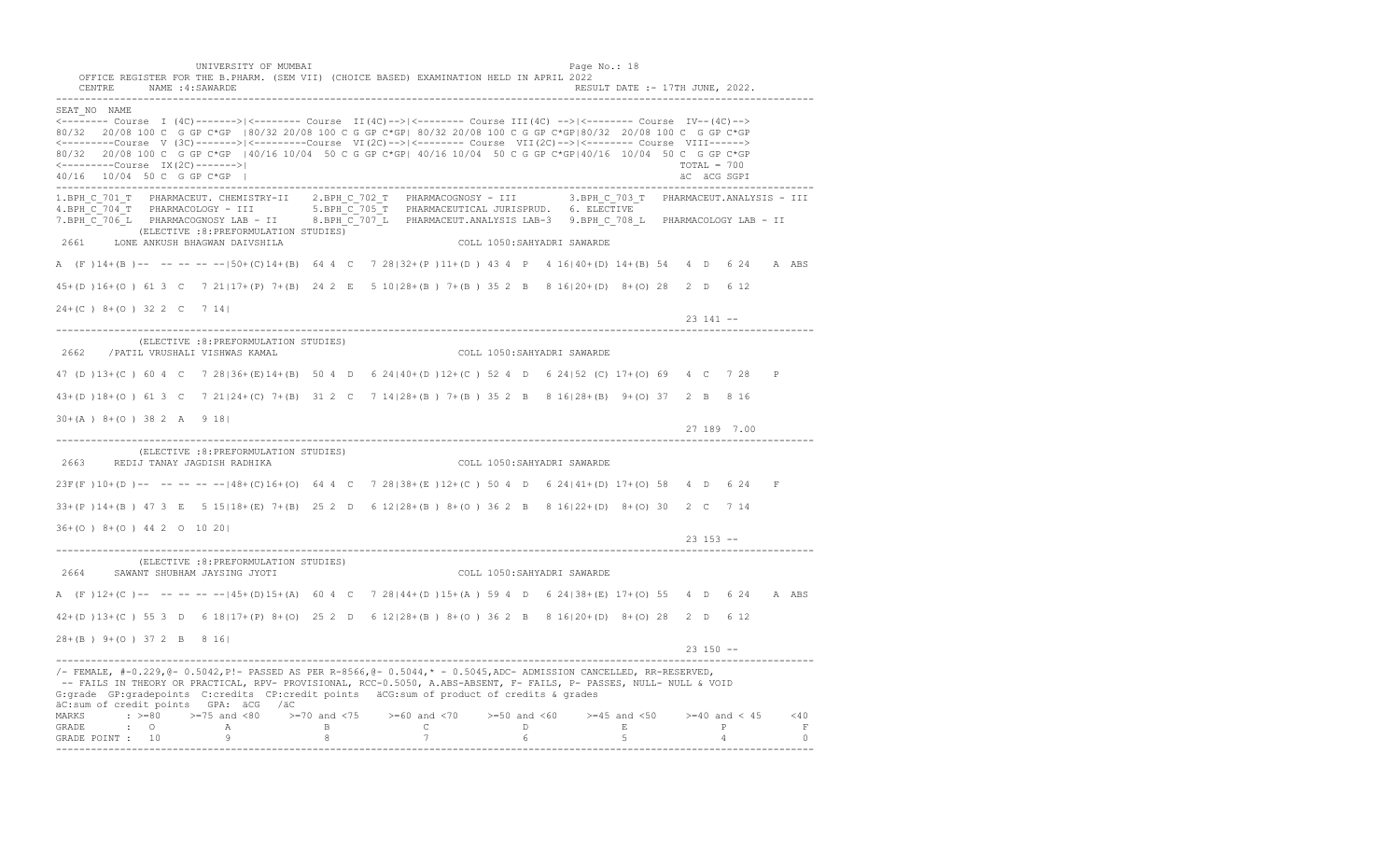UNIVERSITY OF MUMBAI **Example 2018** Page No.: 18 OFFICE REGISTER FOR THE B.PHARM. (SEM VII) (CHOICE BASED) EXAMINATION HELD IN APRIL 2022 CENTRE NAME :4:SAWARDE RESULT DATE :- 17TH JUNE, 2022. ---------------------------------------------------------------------------------------------------------------------------------- SEAT\_NO NAME <-------- Course I (4C)------->|<-------- Course II(4C)-->|<-------- Course III(4C) -->|<-------- Course IV--(4C)--> 80/32 20/08 100 C G GP C\*GP |80/32 20/08 100 C G GP C\*GP| 80/32 20/08 100 C G GP C\*GP|80/32 20/08 100 C G GP C\*GP <---------Course V (3C)------->|<---------Course VI(2C)-->|<-------- Course VII(2C)-->|<-------- Course VIII------> 80/32 20/08 100 C G GP C\*GP |40/16 10/04 50 C G GP C\*GP| 40/16 10/04 50 C G GP C\*GP|40/16 10/04 50 C G GP C\*GP <---------Course IX(2C)------->| TOTAL = 700 40/16 10/04 50 C G GP C\*GP | äC äCG SGPI ---------------------------------------------------------------------------------------------------------------------------------- 1.BPH\_C\_701\_T PHARMACEUT. CHEMISTRY-II 2.BPH\_C\_702\_T PHARMACOGNOSY - III 3.BPH\_C\_703\_T PHARMACEUT.ANALYSIS - III 4.BPH\_C\_704\_T PHARMACOLOGY - III 5.BPH\_C\_705\_T PHARMACEUTICAL JURISPRUD. 6. ELECTIVE 7.BPH\_C\_706\_L PHARMACOGNOSY LAB - II 8.BPH\_C\_707\_L PHARMACEUT.ANALYSIS LAB-3 9.BPH\_C\_708\_L PHARMACOLOGY LAB - II (ELECTIVE :8:PREFORMULATION STUDIES) 2661 LONE ANKUSH BHAGWAN DAIVSHILA COLL 1050:SAHYADRI SAWARDE A (F )14+(B )-- -- -- -- --|50+(C)14+(B) 64 4 C 7 28|32+(P )11+(D ) 43 4 P 4 16|40+(D) 14+(B) 54 4 D 6 24 A ABS 45+(D )16+(O ) 61 3 C 7 21|17+(P) 7+(B) 24 2 E 5 10|28+(B ) 7+(B ) 35 2 B 8 16|20+(D) 8+(O) 28 2 D 6 12 24+(C ) 8+(O ) 32 2 C 7 14| 23 141 -- ---------------------------------------------------------------------------------------------------------------------------------- (ELECTIVE :8:PREFORMULATION STUDIES) 2662 /PATIL VRUSHALI VISHWAS KAMAL COLL 1050:SAHYADRI SAWARDE 47 (D )13+(C ) 60 4 C 7 28|36+(E)14+(B) 50 4 D 6 24|40+(D )12+(C ) 52 4 D 6 24|52 (C) 17+(O) 69 4 C 7 28 P 43+(D )18+(O ) 61 3 C 7 21|24+(C) 7+(B) 31 2 C 7 14|28+(B ) 7+(B ) 35 2 B 8 16|28+(B) 9+(O) 37 2 B 8 16 30+(A ) 8+(O ) 38 2 A 9 18| 27 189 7.00 ---------------------------------------------------------------------------------------------------------------------------------- (ELECTIVE :8:PREFORMULATION STUDIES) 2663 REDIJ TANAY JAGDISH RADHIKA COLL 1050:SAHYADRI SAWARDE 23F(F )10+(D )-- -- -- -- --|48+(C)16+(O) 64 4 C 7 28|38+(E )12+(C ) 50 4 D 6 24|41+(D) 17+(O) 58 4 D 6 24 F 33+(P )14+(B ) 47 3 E 5 15|18+(E) 7+(B) 25 2 D 6 12|28+(B ) 8+(O ) 36 2 B 8 16|22+(D) 8+(O) 30 2 C 7 14 36+(O ) 8+(O ) 44 2 O 10 20| 23 153 -- ---------------------------------------------------------------------------------------------------------------------------------- (ELECTIVE :8:PREFORMULATION STUDIES) 2664 SAWANT SHUBHAM JAYSING JYOTI COLL 1050:SAHYADRI SAWARDE A (F )12+(C )-- -- -- -- --|45+(D)15+(A) 60 4 C 7 28|44+(D )15+(A ) 59 4 D 6 24|38+(E) 17+(O) 55 4 D 6 24 A ABS 42+(D )13+(C ) 55 3 D 6 18|17+(P) 8+(O) 25 2 D 6 12|28+(B ) 8+(O ) 36 2 B 8 16|20+(D) 8+(O) 28 2 D 6 12 28+(B ) 9+(O ) 37 2 B 8 16| 23 150 -- ---------------------------------------------------------------------------------------------------------------------------------- /- FEMALE, #-0.229,@- 0.5042,P!- PASSED AS PER R-8566,@- 0.5044,\* - 0.5045,ADC- ADMISSION CANCELLED, RR-RESERVED, -- FAILS IN THEORY OR PRACTICAL, RPV- PROVISIONAL, RCC-0.5050, A.ABS-ABSENT, F- FAILS, P- PASSES, NULL- NULL & VOID G:grade GP:gradepoints C:credits CP:credit points äCG:sum of product of credits & grades äC:sum of credit points GPA: äCG /äC MARKS : >=80 >=75 and <80 >=70 and <75 >=60 and <70 >=50 and <60 >=45 and <50 >=40 and < 45 <40 GRADE : O A B C D E P F<br>GRADE POINT : 10 9 8 7 6 5 4 0 ----------------------------------------------------------------------------------------------------------------------------------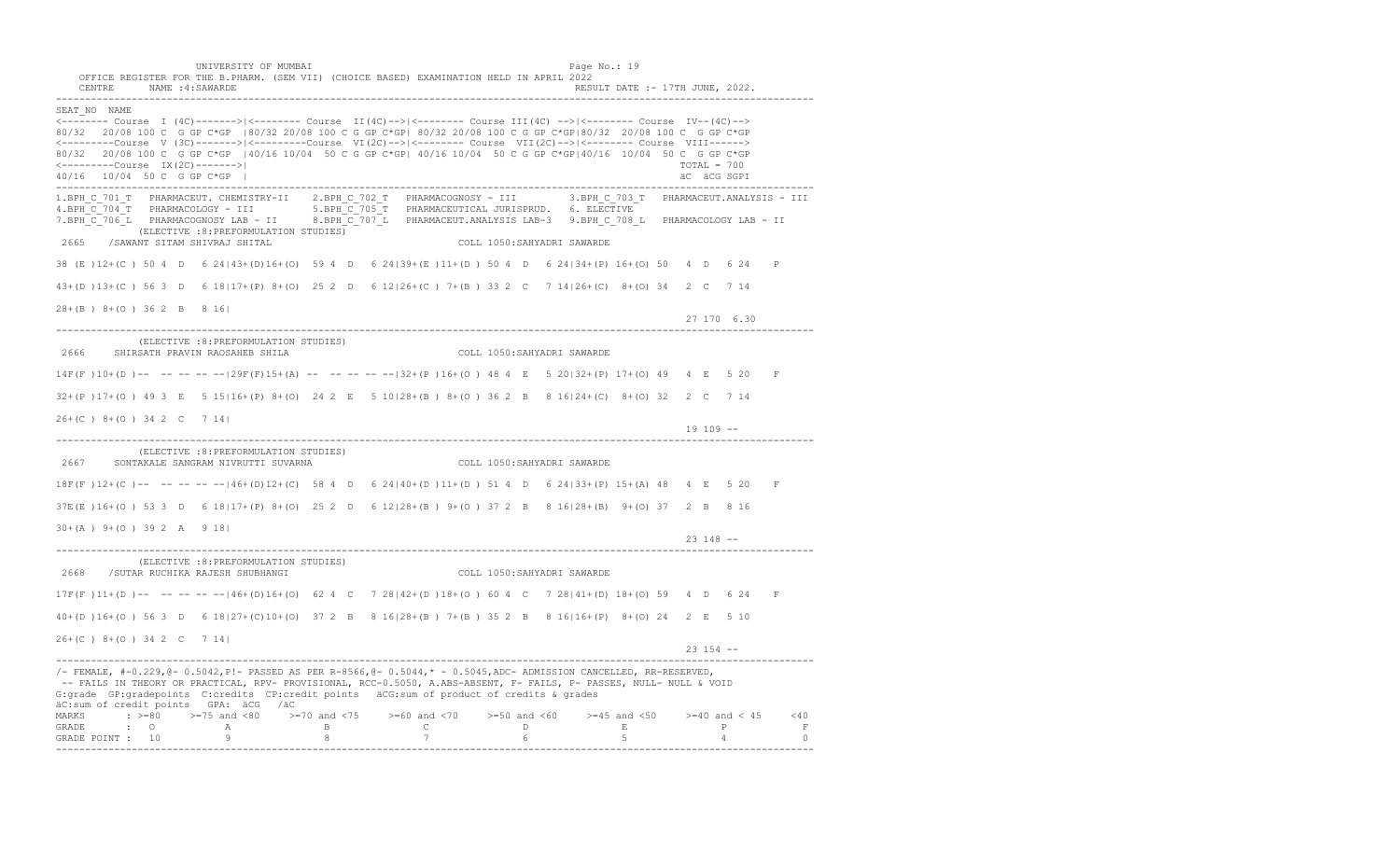UNIVERSITY OF MUMBAI Page No.: 19 OFFICE REGISTER FOR THE B.PHARM. (SEM VII) (CHOICE BASED) EXAMINATION HELD IN APRIL 2022 CENTRE NAME :4:SAWARDE RESULT DATE :- 17TH JUNE, 2022. ---------------------------------------------------------------------------------------------------------------------------------- SEAT\_NO NAME <-------- Course I (4C)------->|<-------- Course II(4C)-->|<-------- Course III(4C) -->|<-------- Course IV--(4C)--> 80/32 20/08 100 C G GP C\*GP |80/32 20/08 100 C G GP C\*GP| 80/32 20/08 100 C G GP C\*GP|80/32 20/08 100 C G GP C\*GP <---------Course V (3C)------->|<---------Course VI(2C)-->|<-------- Course VII(2C)-->|<-------- Course VIII------> 80/32 20/08 100 C G GP C\*GP |40/16 10/04 50 C G GP C\*GP| 40/16 10/04 50 C G GP C\*GP|40/16 10/04 50 C G GP C\*GP <---------Course IX(2C)------->| TOTAL = 700 40/16 10/04 50 C G GP C\*GP | äC äCG SGPI ---------------------------------------------------------------------------------------------------------------------------------- 1.BPH\_C\_701\_T PHARMACEUT. CHEMISTRY-II 2.BPH\_C\_702\_T PHARMACOGNOSY - III 3.BPH\_C\_703\_T PHARMACEUT.ANALYSIS - III 4.BPH\_C\_704\_T PHARMACOLOGY - III 5.BPH\_C\_705\_T PHARMACEUTICAL JURISPRUD. 6. ELECTIVE 7.BPH\_C\_706\_L PHARMACOGNOSY LAB - II 8.BPH\_C\_707\_L PHARMACEUT.ANALYSIS LAB-3 9.BPH\_C\_708\_L PHARMACOLOGY LAB - II (ELECTIVE :8:PREFORMULATION STUDIES) 2665 /SAWANT SITAM SHIVRAJ SHITAL COLL 1050:SAHYADRI SAWARDE 38 (E )12+(C ) 50 4 D 6 24|43+(D)16+(O) 59 4 D 6 24|39+(E )11+(D ) 50 4 D 6 24|34+(P) 16+(O) 50 4 D 6 24 P 43+(D )13+(C ) 56 3 D 6 18|17+(P) 8+(O) 25 2 D 6 12|26+(C ) 7+(B ) 33 2 C 7 14|26+(C) 8+(O) 34 2 C 7 14 28+(B ) 8+(O ) 36 2 B 8 16| 27 170 6.30 ---------------------------------------------------------------------------------------------------------------------------------- (ELECTIVE :8:PREFORMULATION STUDIES) 2666 SHIRSATH PRAVIN RAOSAHEB SHILA COLL 1050:SAHYADRI SAWARDE 14F(F)10+(D)-- -- -- -- -- |29F(F)15+(A) -- -- -- -- -- |32+(P)16+(O) 48 4 E 5 20|32+(P) 17+(O) 49 4 E 5 20 F 32+(P )17+(O ) 49 3 E 5 15|16+(P) 8+(O) 24 2 E 5 10|28+(B ) 8+(O ) 36 2 B 8 16|24+(C) 8+(O) 32 2 C 7 14 26+(C ) 8+(O ) 34 2 C 7 14|  $19$  109  $-$ ---------------------------------------------------------------------------------------------------------------------------------- (ELECTIVE :8:PREFORMULATION STUDIES) 2667 SONTAKALE SANGRAM NIVRUTTI SUVARNA COLL 1050:SAHYADRI SAWARDE 18F(F )12+(C )-- -- -- -- --|46+(D)12+(C) 58 4 D 6 24|40+(D )11+(D ) 51 4 D 6 24|33+(P) 15+(A) 48 4 E 5 20 F 37E(E )16+(O ) 53 3 D 6 18|17+(P) 8+(O) 25 2 D 6 12|28+(B ) 9+(O ) 37 2 B 8 16|28+(B) 9+(O) 37 2 B 8 16 30+(A ) 9+(O ) 39 2 A 9 18| 23 148 -- ---------------------------------------------------------------------------------------------------------------------------------- (ELECTIVE :8:PREFORMULATION STUDIES) 2668 /SUTAR RUCHIKA RAJESH SHUBHANGI COLL 1050:SAHYADRI SAWARDE 17F(F )11+(D )-- -- -- -- --|46+(D)16+(O) 62 4 C 7 28|42+(D )18+(O ) 60 4 C 7 28|41+(D) 18+(O) 59 4 D 6 24 F 40+(D )16+(O ) 56 3 D 6 18|27+(C)10+(O) 37 2 B 8 16|28+(B ) 7+(B ) 35 2 B 8 16|16+(P) 8+(O) 24 2 E 5 10 26+(C ) 8+(O ) 34 2 C 7 14| 23 154 -- ---------------------------------------------------------------------------------------------------------------------------------- /- FEMALE, #-0.229,@- 0.5042,P!- PASSED AS PER R-8566,@- 0.5044,\* - 0.5045,ADC- ADMISSION CANCELLED, RR-RESERVED, -- FAILS IN THEORY OR PRACTICAL, RPV- PROVISIONAL, RCC-0.5050, A.ABS-ABSENT, F- FAILS, P- PASSES, NULL- NULL & VOID G:grade GP:gradepoints C:credits CP:credit points äCG:sum of product of credits & grades äC:sum of credit points GPA: äCG /äC MARKS : >=80 >=75 and <80 >=70 and <75 >=60 and <70 >=50 and <60 >=45 and <50 >=40 and < 45 <40 GRADE : O A B C D E P F<br>GRADE POINT : 10 9 8 7 6 5 4 0 ----------------------------------------------------------------------------------------------------------------------------------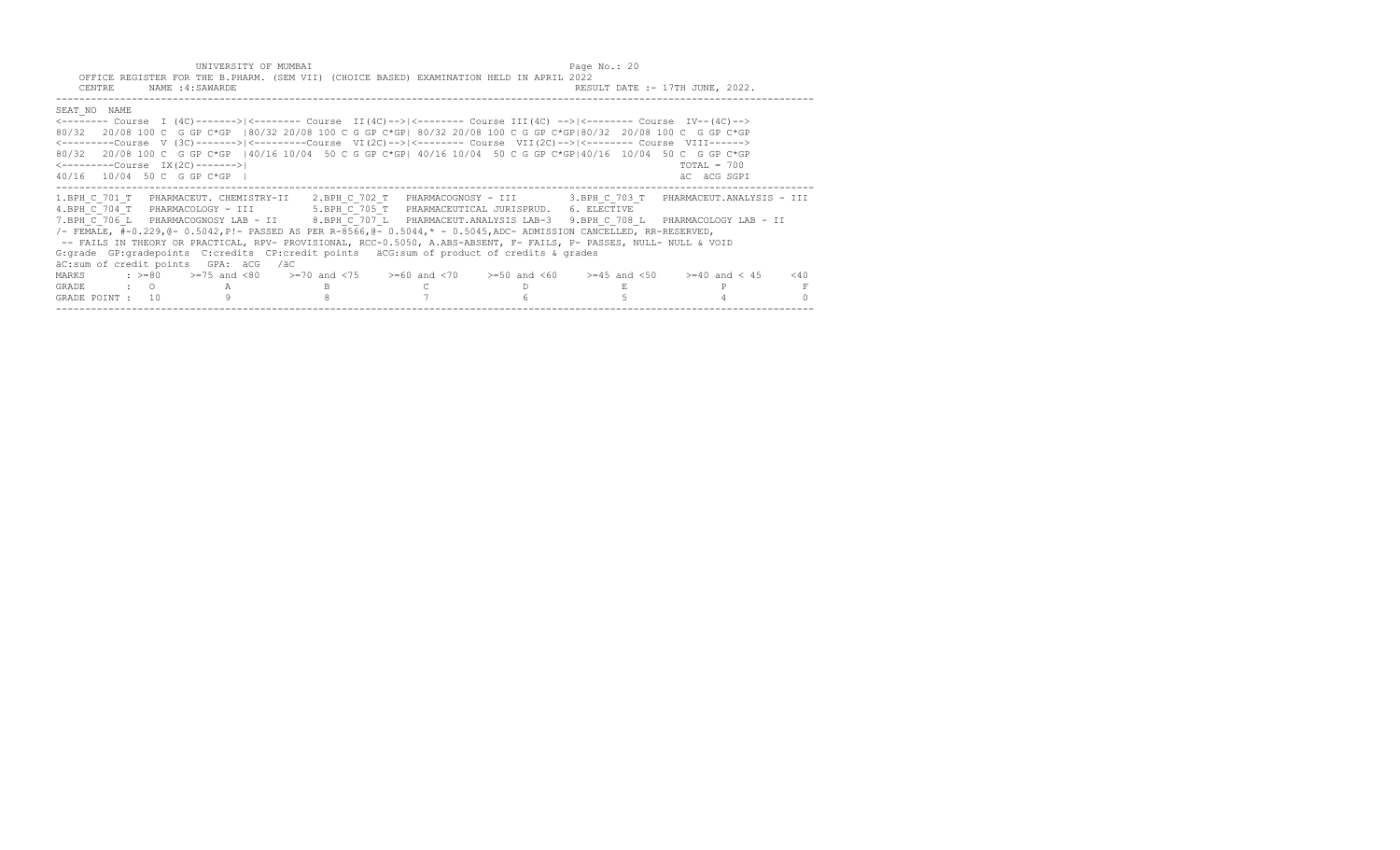|                                                                                          | UNIVERSITY OF MUMBAI | Page No.: 20 |
|------------------------------------------------------------------------------------------|----------------------|--------------|
| OFFICE REGISTER FOR THE B.PHARM. (SEM VII) (CHOICE BASED) EXAMINATION HELD IN APRIL 2022 |                      |              |

| CENTRE<br>NAME : 4: SAWARDE                                                                                                                                                                                                                                                                                                                                                                                                                                                                                                                                                                                                                |  | RESULT DATE :- 17TH JUNE, 2022. |                              |        |
|--------------------------------------------------------------------------------------------------------------------------------------------------------------------------------------------------------------------------------------------------------------------------------------------------------------------------------------------------------------------------------------------------------------------------------------------------------------------------------------------------------------------------------------------------------------------------------------------------------------------------------------------|--|---------------------------------|------------------------------|--------|
| SEAT NO NAME<br><-------- Course I (4C)-------> <------- Course II(4C)--> <------- Course III(4C) --> <------- Course IV--(4C)--><br>20/08 100 C G GP C*GP   80/32 20/08 100 C G GP C*GP  80/32 20/08 100 C G GP C*GP  80/32 20/08 100 C G GP C*GP<br>80/32<br><--------Course V (3C)-------> <--------Course VI(2C)--> <-------- Course VII(2C)--> <------- Course VIII------><br>20/08 100 C G GP C*GP   40/16 10/04 50 C G GP C*GP  40/16 10/04 50 C G GP C*GP  40/16 10/04 50 C G GP C*GP<br>80/32<br>$\leftarrow$ ---------Course IX(2C)-------><br>40/16 10/04 50 C G GP C*GP I                                                      |  |                                 | $TOTAL = 700$<br>äC äCG SGPI |        |
| 1.BPH C 701 T PHARMACEUT. CHEMISTRY-II 2.BPH C 702 T PHARMACOGNOSY - III 3.BPH C 703 T<br>4.BPH C 704 T PHARMACOLOGY - III 5.BPH C 705 T PHARMACEUTICAL JURISPRUD. 6. ELECTIVE<br>7.BPH C 706 L PHARMACOGNOSY LAB - II 8.BPH C 707 L PHARMACEUT.ANALYSIS LAB-3 9.BPH C 708 L PHARMACOLOGY LAB - II<br>/- FEMALE, #-0.229,0- 0.5042,P!- PASSED AS PER R-8566,0- 0.5044,* - 0.5045,ADC- ADMISSION CANCELLED, RR-RESERVED,<br>-- FAILS IN THEORY OR PRACTICAL, RPV- PROVISIONAL, RCC-0.5050, A.ABS-ABSENT, F- FAILS, P- PASSES, NULL- NULL & VOID<br>G:grade GP:gradepoints C:credits CP:credit points äCG:sum of product of credits & grades |  |                                 | PHARMACEUT.ANALYSIS - III    |        |
| äC:sum of credit points GPA: äCG /äC<br>MARKS : >=80 >=75 and <80 >=70 and <75 >=60 and <70 >=50 and <60 >=45 and <50 >=40 and <45<br>GRADE<br>$\cdot$ $\cdot$ 0<br>А<br>GRADE POINT : 10                                                                                                                                                                                                                                                                                                                                                                                                                                                  |  |                                 | P                            | $<$ 40 |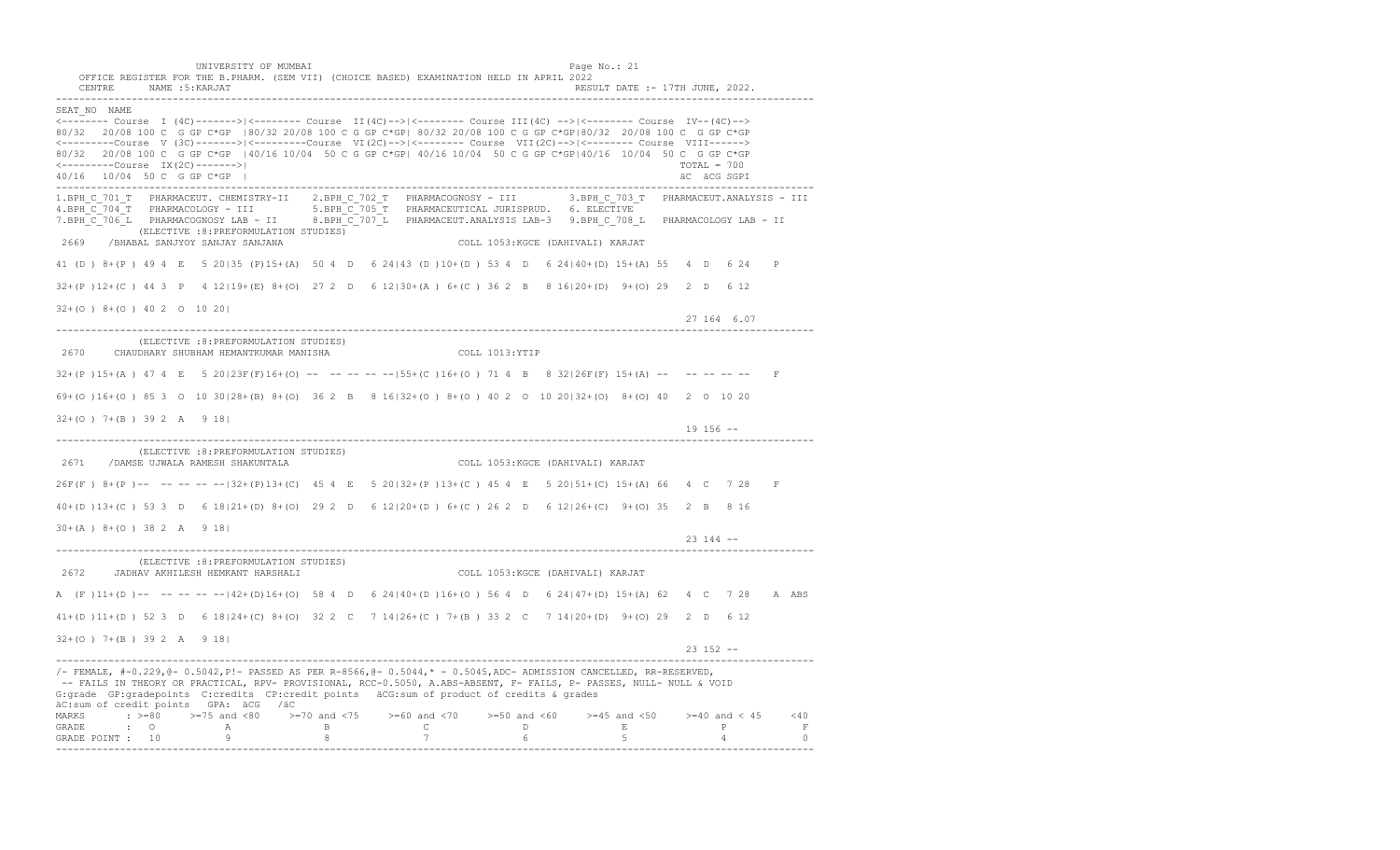UNIVERSITY OF MUMBAI **Example 21** and the contract of the contract  $P = 21$  OFFICE REGISTER FOR THE B.PHARM. (SEM VII) (CHOICE BASED) EXAMINATION HELD IN APRIL 2022 CENTRE NAME :5:KARJAT RESULT DATE :- 17TH JUNE, 2022. ---------------------------------------------------------------------------------------------------------------------------------- SEAT\_NO NAME <-------- Course I (4C)------->|<-------- Course II(4C)-->|<-------- Course III(4C) -->|<-------- Course IV--(4C)--> 80/32 20/08 100 C G GP C\*GP |80/32 20/08 100 C G GP C\*GP| 80/32 20/08 100 C G GP C\*GP|80/32 20/08 100 C G GP C\*GP <---------Course V (3C)------->|<---------Course VI(2C)-->|<-------- Course VII(2C)-->|<-------- Course VIII------> 80/32 20/08 100 C G GP C\*GP |40/16 10/04 50 C G GP C\*GP| 40/16 10/04 50 C G GP C\*GP|40/16 10/04 50 C G GP C\*GP <---------Course IX(2C)------->| TOTAL = 700 40/16 10/04 50 C G GP C\*GP | äC äCG SGPI ---------------------------------------------------------------------------------------------------------------------------------- 1.BPH\_C\_701\_T PHARMACEUT. CHEMISTRY-II 2.BPH\_C\_702\_T PHARMACOGNOSY - III 3.BPH\_C\_703\_T PHARMACEUT.ANALYSIS - III 4.BPH\_C\_704\_T PHARMACOLOGY - III 5.BPH\_C\_705\_T PHARMACEUTICAL JURISPRUD. 6. ELECTIVE 7.BPH\_C\_706\_L PHARMACOGNOSY LAB - II 8.BPH\_C\_707\_L PHARMACEUT.ANALYSIS LAB-3 9.BPH\_C\_708\_L PHARMACOLOGY LAB - II (ELECTIVE :8:PREFORMULATION STUDIES) 2669 /BHABAL SANJYOY SANJAY SANJANA COLL 1053:KGCE (DAHIVALI) KARJAT 41 (D ) 8+(P ) 49 4 E 5 20|35 (P)15+(A) 50 4 D 6 24|43 (D )10+(D ) 53 4 D 6 24|40+(D) 15+(A) 55 4 D 6 24 P 32+(P )12+(C ) 44 3 P 4 12|19+(E) 8+(O) 27 2 D 6 12|30+(A ) 6+(C ) 36 2 B 8 16|20+(D) 9+(O) 29 2 D 6 12 32+(O ) 8+(O ) 40 2 O 10 20| 27 164 6.07 ---------------------------------------------------------------------------------------------------------------------------------- (ELECTIVE :8:PREFORMULATION STUDIES) 2670 CHAUDHARY SHUBHAM HEMANTKUMAR MANISHA COLL 1013:YTIP  $32+(P)$  15+(A) 47 4 E 5 20123F(F)16+(O) -- -- -- -- -- 55+(C)16+(O) 71 4 B 8 32126F(F) 15+(A) -- -- -- -- -- F 69+(O )16+(O ) 85 3 O 10 30|28+(B) 8+(O) 36 2 B 8 16|32+(O ) 8+(O ) 40 2 O 10 20|32+(O) 8+(O) 40 2 O 10 20 32+(O ) 7+(B ) 39 2 A 9 18|  $19$  156  $-$ ---------------------------------------------------------------------------------------------------------------------------------- (ELECTIVE :8:PREFORMULATION STUDIES) 2671 /DAMSE UJWALA RAMESH SHAKUNTALA COLL 1053:KGCE (DAHIVALI) KARJAT 26F(F ) 8+(P )-- -- -- -- --|32+(P)13+(C) 45 4 E 5 20|32+(P )13+(C ) 45 4 E 5 20|51+(C) 15+(A) 66 4 C 7 28 F 40+(D )13+(C ) 53 3 D 6 18|21+(D) 8+(O) 29 2 D 6 12|20+(D ) 6+(C ) 26 2 D 6 12|26+(C) 9+(O) 35 2 B 8 16 30+(A ) 8+(O ) 38 2 A 9 18| 23 144 -- ---------------------------------------------------------------------------------------------------------------------------------- (ELECTIVE :8:PREFORMULATION STUDIES) 2672 JADHAV AKHILESH HEMKANT HARSHALI COLL 1053:KGCE (DAHIVALI) KARJAT A (F )11+(D )-- -- -- -- --|42+(D)16+(O) 58 4 D 6 24|40+(D )16+(O ) 56 4 D 6 24|47+(D) 15+(A) 62 4 C 7 28 A ABS 41+(D )11+(D ) 52 3 D 6 18|24+(C) 8+(O) 32 2 C 7 14|26+(C ) 7+(B ) 33 2 C 7 14|20+(D) 9+(O) 29 2 D 6 12 32+(O ) 7+(B ) 39 2 A 9 18| 23 152 -- ---------------------------------------------------------------------------------------------------------------------------------- /- FEMALE, #-0.229,@- 0.5042,P!- PASSED AS PER R-8566,@- 0.5044,\* - 0.5045,ADC- ADMISSION CANCELLED, RR-RESERVED, -- FAILS IN THEORY OR PRACTICAL, RPV- PROVISIONAL, RCC-0.5050, A.ABS-ABSENT, F- FAILS, P- PASSES, NULL- NULL & VOID G:grade GP:gradepoints C:credits CP:credit points äCG:sum of product of credits & grades äC:sum of credit points GPA: äCG /äC MARKS : >=80 >=75 and <80 >=70 and <75 >=60 and <70 >=50 and <60 >=45 and <50 >=40 and < 45 <40 GRADE : O A B C D E P F<br>GRADE POINT : 10 9 8 7 6 5 4 0 ----------------------------------------------------------------------------------------------------------------------------------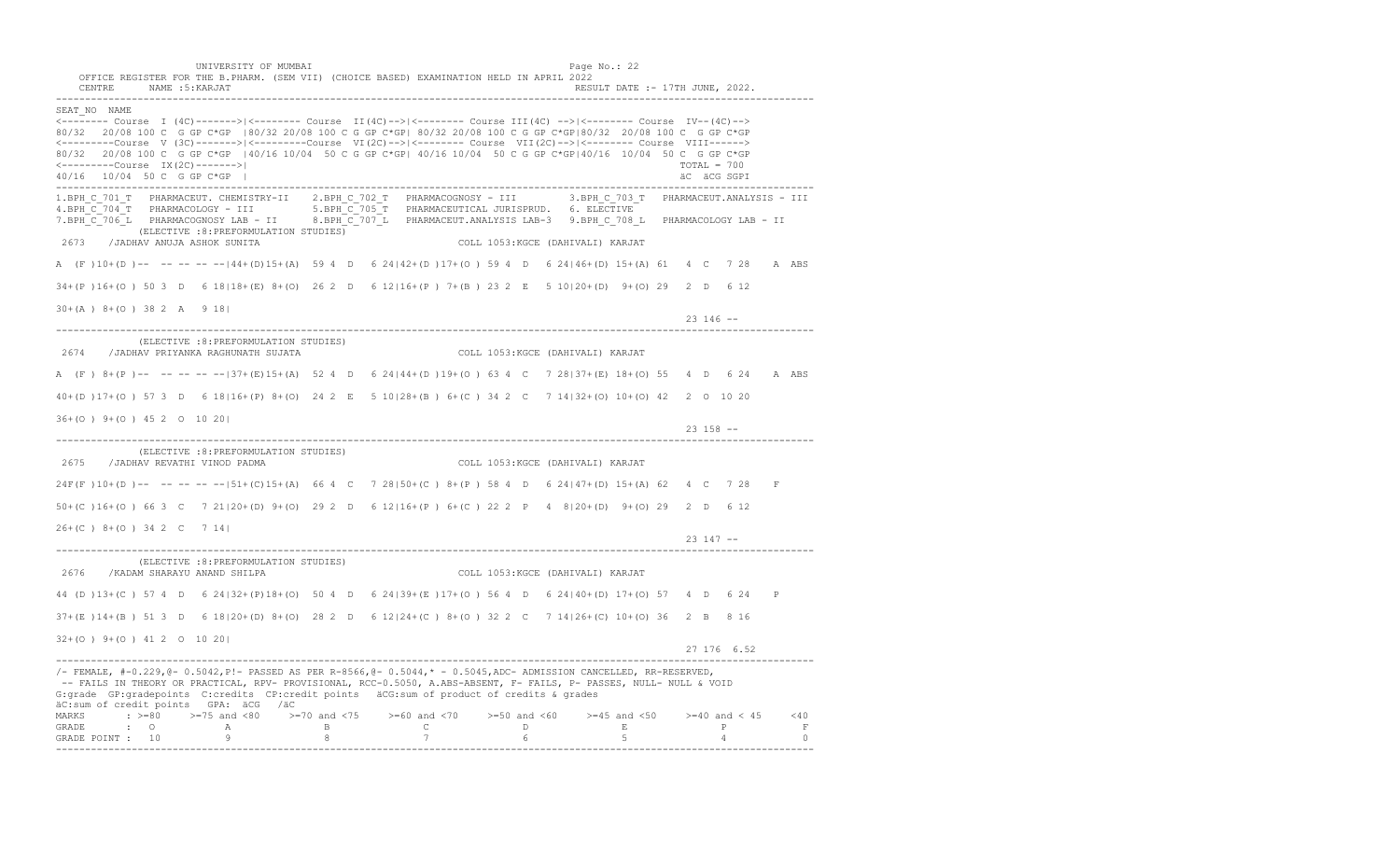UNIVERSITY OF MUMBAI **Page No.: 22**  OFFICE REGISTER FOR THE B.PHARM. (SEM VII) (CHOICE BASED) EXAMINATION HELD IN APRIL 2022 CENTRE NAME :5:KARJAT RESULT DATE :- 17TH JUNE, 2022. ---------------------------------------------------------------------------------------------------------------------------------- SEAT\_NO NAME <-------- Course I (4C)------->|<-------- Course II(4C)-->|<-------- Course III(4C) -->|<-------- Course IV--(4C)--> 80/32 20/08 100 C G GP C\*GP |80/32 20/08 100 C G GP C\*GP| 80/32 20/08 100 C G GP C\*GP|80/32 20/08 100 C G GP C\*GP <---------Course V (3C)------->|<---------Course VI(2C)-->|<-------- Course VII(2C)-->|<-------- Course VIII------> 80/32 20/08 100 C G GP C\*GP |40/16 10/04 50 C G GP C\*GP| 40/16 10/04 50 C G GP C\*GP|40/16 10/04 50 C G GP C\*GP <---------Course IX(2C)------->| TOTAL = 700 40/16 10/04 50 C G GP C\*GP | äC äCG SGPI ---------------------------------------------------------------------------------------------------------------------------------- 1.BPH\_C\_701\_T PHARMACEUT. CHEMISTRY-II 2.BPH\_C\_702\_T PHARMACOGNOSY - III 3.BPH\_C\_703\_T PHARMACEUT.ANALYSIS - III 4.BPH\_C\_704\_T PHARMACOLOGY - III 5.BPH\_C\_705\_T PHARMACEUTICAL JURISPRUD. 6. ELECTIVE 7.BPH\_C\_706\_L PHARMACOGNOSY LAB - II 8.BPH\_C\_707\_L PHARMACEUT.ANALYSIS LAB-3 9.BPH\_C\_708\_L PHARMACOLOGY LAB - II (ELECTIVE :8:PREFORMULATION STUDIES) 2673 /JADHAV ANUJA ASHOK SUNITA COLL 1053:KGCE (DAHIVALI) KARJAT A (F )10+(D )-- -- -- -- --|44+(D)15+(A) 59 4 D 6 24|42+(D )17+(O ) 59 4 D 6 24|46+(D) 15+(A) 61 4 C 7 28 A ABS 34+(P )16+(O ) 50 3 D 6 18|18+(E) 8+(O) 26 2 D 6 12|16+(P ) 7+(B ) 23 2 E 5 10|20+(D) 9+(O) 29 2 D 6 12 30+(A ) 8+(O ) 38 2 A 9 18| 23 146 -- ---------------------------------------------------------------------------------------------------------------------------------- (ELECTIVE :8:PREFORMULATION STUDIES) 2674 /JADHAV PRIYANKA RAGHUNATH SUJATA COLL 1053:KGCE (DAHIVALI) KARJAT A (F ) 8+(P )-- -- -- -- --|37+(E)15+(A) 52 4 D 6 24|44+(D )19+(O ) 63 4 C 7 28|37+(E) 18+(O) 55 4 D 6 24 A ABS 40+(D )17+(O ) 57 3 D 6 18|16+(P) 8+(O) 24 2 E 5 10|28+(B ) 6+(C ) 34 2 C 7 14|32+(O) 10+(O) 42 2 O 10 20 36+(O ) 9+(O ) 45 2 O 10 20| 23 158 -- ---------------------------------------------------------------------------------------------------------------------------------- (ELECTIVE :8:PREFORMULATION STUDIES) 2675 /JADHAV REVATHI VINOD PADMA COLL 1053:KGCE (DAHIVALI) KARJAT 24F(F )10+(D )-- -- -- -- --|51+(C)15+(A) 66 4 C 7 28|50+(C ) 8+(P ) 58 4 D 6 24|47+(D) 15+(A) 62 4 C 7 28 F 50+(C )16+(O ) 66 3 C 7 21|20+(D) 9+(O) 29 2 D 6 12|16+(P ) 6+(C ) 22 2 P 4 8|20+(D) 9+(O) 29 2 D 6 12 26+(C ) 8+(O ) 34 2 C 7 14| 23 147 -- ---------------------------------------------------------------------------------------------------------------------------------- (ELECTIVE :8:PREFORMULATION STUDIES) 2676 /KADAM SHARAYU ANAND SHILPA COLL 1053:KGCE (DAHIVALI) KARJAT 44 (D )13+(C ) 57 4 D 6 24|32+(P)18+(O) 50 4 D 6 24|39+(E )17+(O ) 56 4 D 6 24|40+(D) 17+(O) 57 4 D 6 24 P 37+(E )14+(B ) 51 3 D 6 18|20+(D) 8+(O) 28 2 D 6 12|24+(C ) 8+(O ) 32 2 C 7 14|26+(C) 10+(O) 36 2 B 8 16 32+(O ) 9+(O ) 41 2 O 10 20| 27 176 6.52 ---------------------------------------------------------------------------------------------------------------------------------- /- FEMALE, #-0.229,@- 0.5042,P!- PASSED AS PER R-8566,@- 0.5044,\* - 0.5045,ADC- ADMISSION CANCELLED, RR-RESERVED, -- FAILS IN THEORY OR PRACTICAL, RPV- PROVISIONAL, RCC-0.5050, A.ABS-ABSENT, F- FAILS, P- PASSES, NULL- NULL & VOID G:grade GP:gradepoints C:credits CP:credit points äCG:sum of product of credits & grades äC:sum of credit points GPA: äCG /äC MARKS : >=80 >=75 and <80 >=70 and <75 >=60 and <70 >=50 and <60 >=45 and <50 >=40 and < 45 <40 GRADE : O A B C D E P F<br>GRADE POINT : 10 9 8 7 6 5 4 0 ----------------------------------------------------------------------------------------------------------------------------------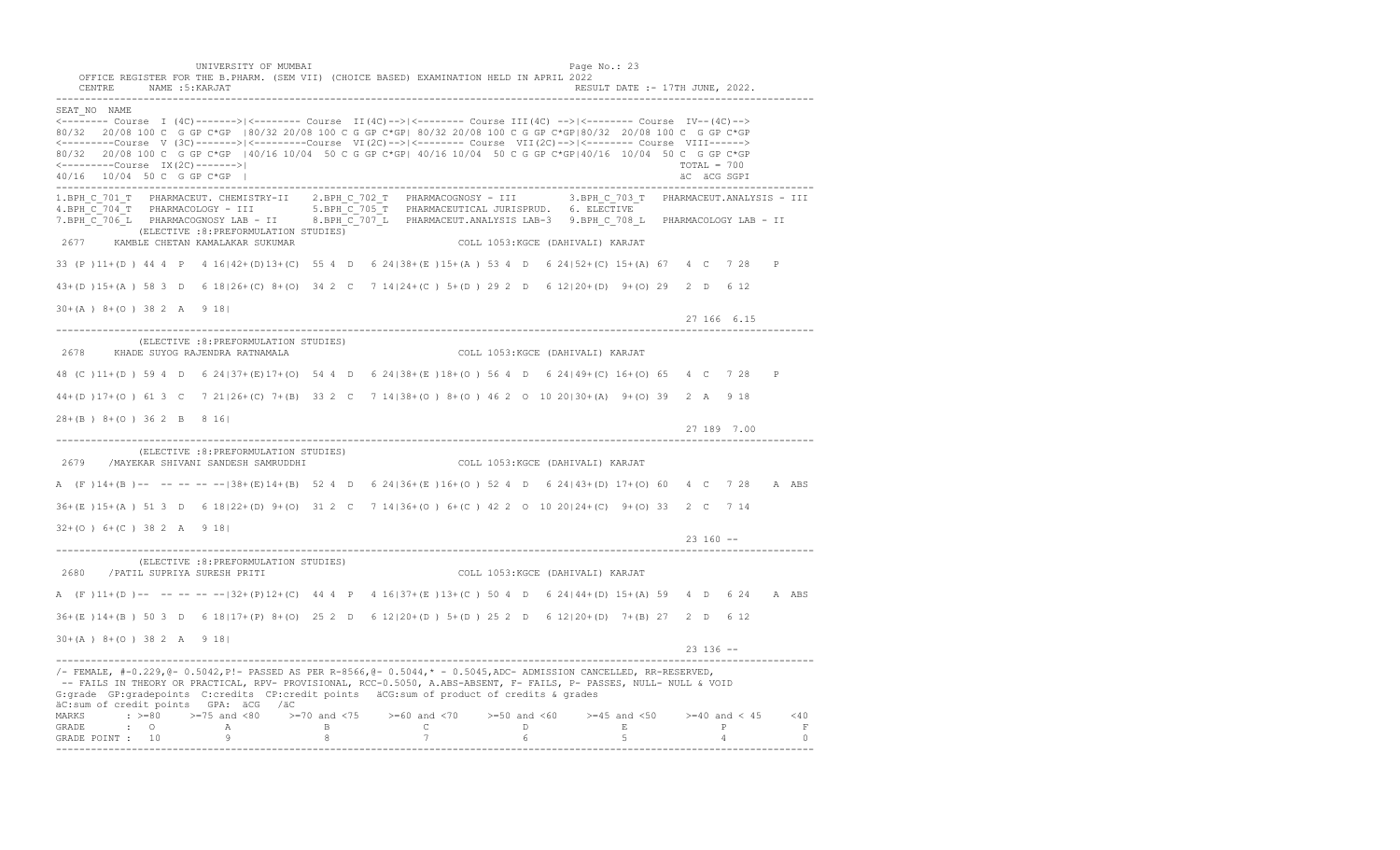UNIVERSITY OF MUMBAI **Example 23** and the contract of the contract of the contract of the contract of the contract of the contract of the contract of the contract of the contract of the contract of the contract of the cont OFFICE REGISTER FOR THE B.PHARM. (SEM VII) (CHOICE BASED) EXAMINATION HELD IN APRIL 2022 CENTRE NAME :5:KARJAT RESULT DATE :- 17TH JUNE, 2022. ---------------------------------------------------------------------------------------------------------------------------------- SEAT\_NO NAME <-------- Course I (4C)------->|<-------- Course II(4C)-->|<-------- Course III(4C) -->|<-------- Course IV--(4C)--> 80/32 20/08 100 C G GP C\*GP |80/32 20/08 100 C G GP C\*GP| 80/32 20/08 100 C G GP C\*GP|80/32 20/08 100 C G GP C\*GP <---------Course V (3C)------->|<---------Course VI(2C)-->|<-------- Course VII(2C)-->|<-------- Course VIII------> 80/32 20/08 100 C G GP C\*GP |40/16 10/04 50 C G GP C\*GP| 40/16 10/04 50 C G GP C\*GP|40/16 10/04 50 C G GP C\*GP <---------Course IX(2C)------->| TOTAL = 700 40/16 10/04 50 C G GP C\*GP | äC äCG SGPI ---------------------------------------------------------------------------------------------------------------------------------- 1.BPH\_C\_701\_T PHARMACEUT. CHEMISTRY-II 2.BPH\_C\_702\_T PHARMACOGNOSY - III 3.BPH\_C\_703\_T PHARMACEUT.ANALYSIS - III 4.BPH\_C\_704\_T PHARMACOLOGY - III 5.BPH\_C\_705\_T PHARMACEUTICAL JURISPRUD. 6. ELECTIVE 7.BPH\_C\_706\_L PHARMACOGNOSY LAB - II 8.BPH\_C\_707\_L PHARMACEUT.ANALYSIS LAB-3 9.BPH\_C\_708\_L PHARMACOLOGY LAB - II (ELECTIVE :8:PREFORMULATION STUDIES) 2677 KAMBLE CHETAN KAMALAKAR SUKUMAR COLL 1053:KGCE (DAHIVALI) KARJAT 33 (P )11+(D ) 44 4 P 4 16|42+(D)13+(C) 55 4 D 6 24|38+(E )15+(A ) 53 4 D 6 24|52+(C) 15+(A) 67 4 C 7 28 P 43+(D )15+(A ) 58 3 D 6 18|26+(C) 8+(O) 34 2 C 7 14|24+(C ) 5+(D ) 29 2 D 6 12|20+(D) 9+(O) 29 2 D 6 12 30+(A ) 8+(O ) 38 2 A 9 18| 27 166 6.15 ---------------------------------------------------------------------------------------------------------------------------------- (ELECTIVE :8:PREFORMULATION STUDIES) 2678 KHADE SUYOG RAJENDRA RATNAMALA COLL 1053:KGCE (DAHIVALI) KARJAT 48 (C )11+(D ) 59 4 D 6 24|37+(E)17+(O) 54 4 D 6 24|38+(E )18+(O ) 56 4 D 6 24|49+(C) 16+(O) 65 4 C 7 28 P 44+(D )17+(O ) 61 3 C 7 21|26+(C) 7+(B) 33 2 C 7 14|38+(O ) 8+(O ) 46 2 O 10 20|30+(A) 9+(O) 39 2 A 9 18 28+(B ) 8+(O ) 36 2 B 8 16| 27 189 7.00 ---------------------------------------------------------------------------------------------------------------------------------- (ELECTIVE :8:PREFORMULATION STUDIES) 2679 /MAYEKAR SHIVANI SANDESH SAMRUDDHI COLL 1053:KGCE (DAHIVALI) KARJAT A (F )14+(B )-- -- -- -- --|38+(E)14+(B) 52 4 D 6 24|36+(E )16+(O ) 52 4 D 6 24|43+(D) 17+(O) 60 4 C 7 28 A ABS 36+(E )15+(A ) 51 3 D 6 18|22+(D) 9+(O) 31 2 C 7 14|36+(O ) 6+(C ) 42 2 O 10 20|24+(C) 9+(O) 33 2 C 7 14 32+(O ) 6+(C ) 38 2 A 9 18| 23 160 -- ---------------------------------------------------------------------------------------------------------------------------------- (ELECTIVE :8:PREFORMULATION STUDIES) 2680 /PATIL SUPRIYA SURESH PRITI COLL 1053:KGCE (DAHIVALI) KARJAT A (F )11+(D )-- -- -- -- --|32+(P)12+(C) 44 4 P 4 16|37+(E )13+(C ) 50 4 D 6 24|44+(D) 15+(A) 59 4 D 6 24 A ABS 36+(E )14+(B ) 50 3 D 6 18|17+(P) 8+(O) 25 2 D 6 12|20+(D ) 5+(D ) 25 2 D 6 12|20+(D) 7+(B) 27 2 D 6 12 30+(A ) 8+(O ) 38 2 A 9 18| 23 136 -- ---------------------------------------------------------------------------------------------------------------------------------- /- FEMALE, #-0.229,@- 0.5042,P!- PASSED AS PER R-8566,@- 0.5044,\* - 0.5045,ADC- ADMISSION CANCELLED, RR-RESERVED, -- FAILS IN THEORY OR PRACTICAL, RPV- PROVISIONAL, RCC-0.5050, A.ABS-ABSENT, F- FAILS, P- PASSES, NULL- NULL & VOID G:grade GP:gradepoints C:credits CP:credit points äCG:sum of product of credits & grades äC:sum of credit points GPA: äCG /äC MARKS : >=80 >=75 and <80 >=70 and <75 >=60 and <70 >=50 and <60 >=45 and <50 >=40 and < 45 <40 GRADE : O A B C D E P F<br>GRADE POINT : 10 9 8 7 6 5 4 0 ----------------------------------------------------------------------------------------------------------------------------------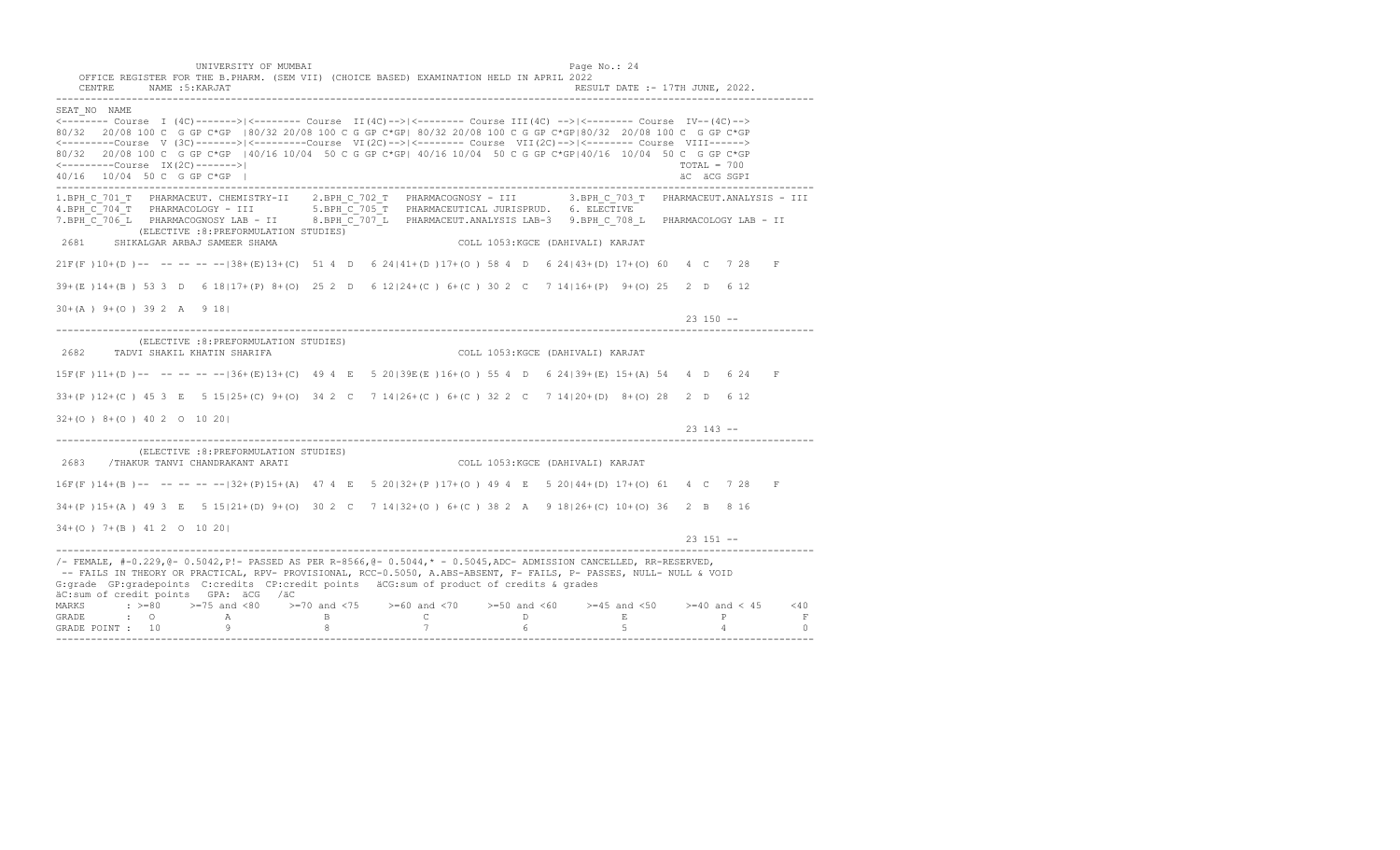UNIVERSITY OF MUMBAI **Example 24** and the contract of the contract of the contract of the contract of the contract of the contract of the contract of the contract of the contract of the contract of the contract of the cont OFFICE REGISTER FOR THE B.PHARM. (SEM VII) (CHOICE BASED) EXAMINATION HELD IN APRIL 2022 CENTRE NAME :5:KARJAT RESULT DATE :- 17TH JUNE, 2022. ---------------------------------------------------------------------------------------------------------------------------------- SEAT\_NO NAME <-------- Course I (4C)------->|<-------- Course II(4C)-->|<-------- Course III(4C) -->|<-------- Course IV--(4C)--> 80/32 20/08 100 C G GP C\*GP |80/32 20/08 100 C G GP C\*GP| 80/32 20/08 100 C G GP C\*GP|80/32 20/08 100 C G GP C\*GP <---------Course V (3C)------->|<---------Course VI(2C)-->|<-------- Course VII(2C)-->|<-------- Course VIII------> 80/32 20/08 100 C G GP C\*GP |40/16 10/04 50 C G GP C\*GP| 40/16 10/04 50 C G GP C\*GP|40/16 10/04 50 C G GP C\*GP <---------Course IX(2C)------->| TOTAL = 700 40/16 10/04 50 C G GP C\*GP | äC äCG SGPI ---------------------------------------------------------------------------------------------------------------------------------- 1.BPH\_C\_701\_T PHARMACEUT. CHEMISTRY-II 2.BPH\_C\_702\_T PHARMACOGNOSY - III 3.BPH\_C\_703\_T PHARMACEUT.ANALYSIS - III 4.BPH\_C\_704\_T PHARMACOLOGY - III 5.BPH\_C\_705\_T PHARMACEUTICAL JURISPRUD. 6. ELECTIVE 7.BPH\_C\_706\_L PHARMACOGNOSY LAB - II 8.BPH\_C\_707\_L PHARMACEUT.ANALYSIS LAB-3 9.BPH\_C\_708\_L PHARMACOLOGY LAB - II (ELECTIVE :8:PREFORMULATION STUDIES) 2681 SHIKALGAR ARBAJ SAMEER SHAMA COLL 1053:KGCE (DAHIVALI) KARJAT 21F(F )10+(D )-- -- -- -- --|38+(E)13+(C) 51 4 D 6 24|41+(D )17+(O ) 58 4 D 6 24|43+(D) 17+(O) 60 4 C 7 28 F 39+(E )14+(B ) 53 3 D 6 18|17+(P) 8+(O) 25 2 D 6 12|24+(C ) 6+(C ) 30 2 C 7 14|16+(P) 9+(O) 25 2 D 6 12 30+(A ) 9+(O ) 39 2 A 9 18| 23 150 -- ---------------------------------------------------------------------------------------------------------------------------------- (ELECTIVE :8:PREFORMULATION STUDIES) 2682 TADVI SHAKIL KHATIN SHARIFA COLL 1053:KGCE (DAHIVALI) KARJAT 15F(F )11+(D )-- -- -- -- --|36+(E)13+(C) 49 4 E 5 20|39E(E )16+(O ) 55 4 D 6 24|39+(E) 15+(A) 54 4 D 6 24 F 33+(P )12+(C ) 45 3 E 5 15|25+(C) 9+(O) 34 2 C 7 14|26+(C ) 6+(C ) 32 2 C 7 14|20+(D) 8+(O) 28 2 D 6 12 32+(O ) 8+(O ) 40 2 O 10 20| 23 143 -- ---------------------------------------------------------------------------------------------------------------------------------- (ELECTIVE :8:PREFORMULATION STUDIES) 2683 /THAKUR TANVI CHANDRAKANT ARATI COLL 1053:KGCE (DAHIVALI) KARJAT 16F(F )14+(B )-- -- -- -- --|32+(P)15+(A) 47 4 E 5 20|32+(P )17+(O ) 49 4 E 5 20|44+(D) 17+(O) 61 4 C 7 28 F 34+(P )15+(A ) 49 3 E 5 15|21+(D) 9+(O) 30 2 C 7 14|32+(O ) 6+(C ) 38 2 A 9 18|26+(C) 10+(O) 36 2 B 8 16 34+(O ) 7+(B ) 41 2 O 10 20| 23 151 -- ---------------------------------------------------------------------------------------------------------------------------------- /- FEMALE, #-0.229,@- 0.5042,P!- PASSED AS PER R-8566,@- 0.5044,\* - 0.5045,ADC- ADMISSION CANCELLED, RR-RESERVED, -- FAILS IN THEORY OR PRACTICAL, RPV- PROVISIONAL, RCC-0.5050, A.ABS-ABSENT, F- FAILS, P- PASSES, NULL- NULL & VOID G:grade GP:gradepoints C:credits CP:credit points äCG:sum of product of credits & grades äC:sum of credit points GPA: äCG /äC MARKS : >=80 >=75 and <80 >=70 and <75 >=60 and <70 >=50 and <60 >=45 and <50 >=40 and < 45 <40

GRADE : O A B C D E P F<br>GRADE POINT : 10 9 8 7 6 5 4 0 ----------------------------------------------------------------------------------------------------------------------------------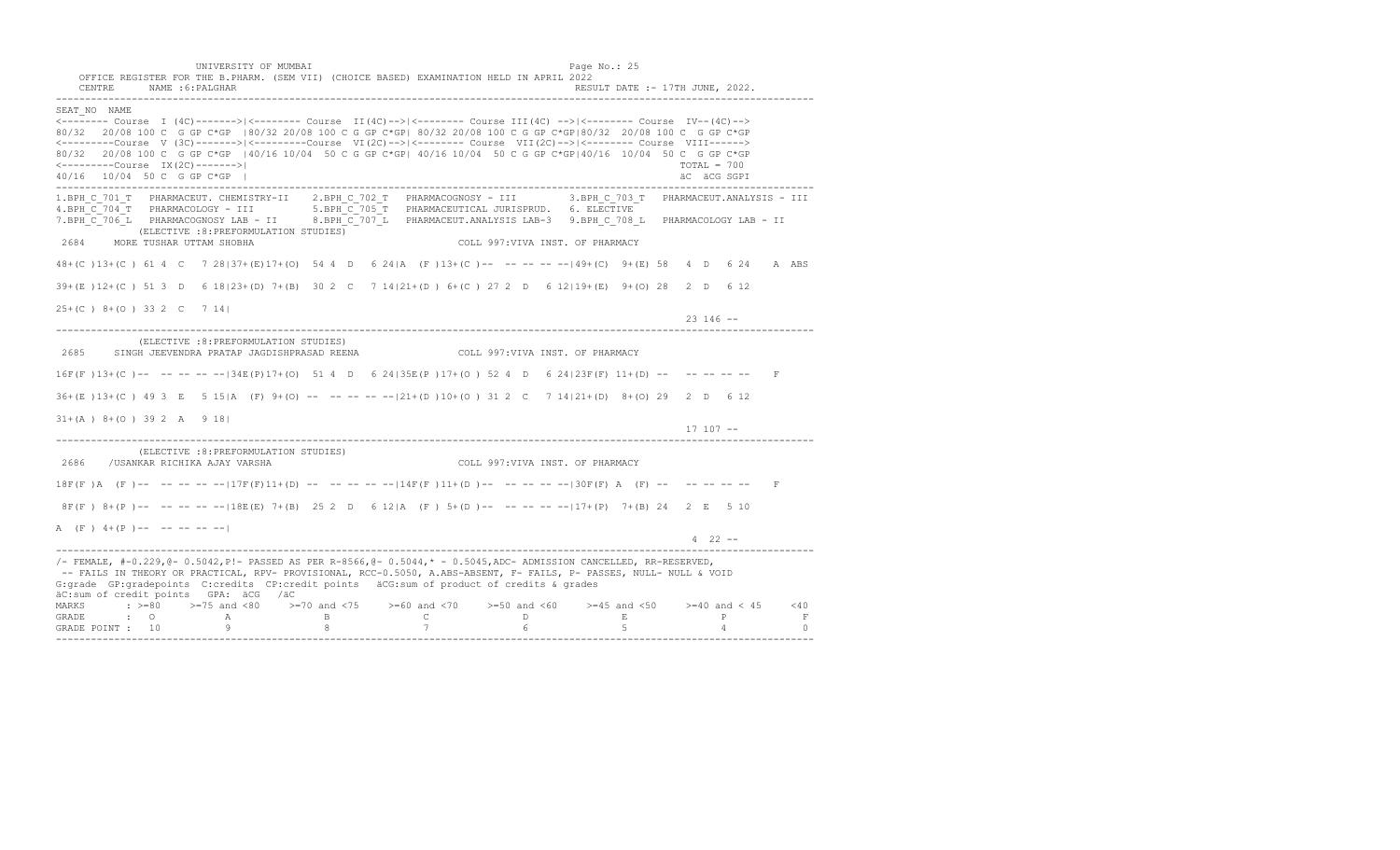UNIVERSITY OF MUMBAI PAGE AND THE PAGE OF STRING PAGE AS A PAGE OF PAGE AND THE PAGE OF PAGE AND THE PAGE OF P OFFICE REGISTER FOR THE B.PHARM. (SEM VII) (CHOICE BASED) EXAMINATION HELD IN APRIL 2022 CENTRE NAME :6:PALGHAR RESULT DATE :- 17TH JUNE, 2022. ---------------------------------------------------------------------------------------------------------------------------------- SEAT\_NO NAME <-------- Course I (4C)------->|<-------- Course II(4C)-->|<-------- Course III(4C) -->|<-------- Course IV--(4C)--> 80/32 20/08 100 C G GP C\*GP |80/32 20/08 100 C G GP C\*GP| 80/32 20/08 100 C G GP C\*GP|80/32 20/08 100 C G GP C\*GP <---------Course V (3C)------->|<---------Course VI(2C)-->|<-------- Course VII(2C)-->|<-------- Course VIII------> 80/32 20/08 100 C G GP C\*GP |40/16 10/04 50 C G GP C\*GP| 40/16 10/04 50 C G GP C\*GP|40/16 10/04 50 C G GP C\*GP <---------Course IX(2C)------->| TOTAL = 700 40/16 10/04 50 C G GP C\*GP | äC äCG SGPI ---------------------------------------------------------------------------------------------------------------------------------- 1.BPH\_C\_701\_T PHARMACEUT. CHEMISTRY-II 2.BPH\_C\_702\_T PHARMACOGNOSY - III 3.BPH\_C\_703\_T PHARMACEUT.ANALYSIS - III 4.BPH\_C\_704\_T PHARMACOLOGY - III 5.BPH\_C\_705\_T PHARMACEUTICAL JURISPRUD. 6. ELECTIVE 7.BPH\_C\_706\_L PHARMACOGNOSY LAB - II 8.BPH\_C\_707\_L PHARMACEUT.ANALYSIS LAB-3 9.BPH\_C\_708\_L PHARMACOLOGY LAB - II (ELECTIVE :8:PREFORMULATION STUDIES) 2684 MORE TUSHAR UTTAM SHOBHA COLL 997:VIVA INST. OF PHARMACY 48+(C )13+(C ) 61 4 C 7 28|37+(E)17+(O) 54 4 D 6 24|A (F )13+(C )-- -- -- -- --|49+(C) 9+(E) 58 4 D 6 24 A ABS 39+(E )12+(C ) 51 3 D 6 18|23+(D) 7+(B) 30 2 C 7 14|21+(D ) 6+(C ) 27 2 D 6 12|19+(E) 9+(O) 28 2 D 6 12 25+(C ) 8+(O ) 33 2 C 7 14| 23 146 -- ---------------------------------------------------------------------------------------------------------------------------------- (ELECTIVE :8:PREFORMULATION STUDIES) 2685 SINGH JEEVENDRA PRATAP JAGDISHPRASAD REENA COLL 997:VIVA INST. OF PHARMACY 16F(F )13+(C )-- -- -- -- --|34E(P)17+(O) 51 4 D 6 24|35E(P )17+(O ) 52 4 D 6 24|23F(F) 11+(D) -- -- -- -- -- F 36+(E )13+(C ) 49 3 E 5 15|A (F) 9+(O) -- -- -- -- --|21+(D )10+(O ) 31 2 C 7 14|21+(D) 8+(O) 29 2 D 6 12 31+(A ) 8+(O ) 39 2 A 9 18| 17 107 -- ---------------------------------------------------------------------------------------------------------------------------------- (ELECTIVE :8:PREFORMULATION STUDIES) 2686 /USANKAR RICHIKA AJAY VARSHA COLL 997:VIVA INST. OF PHARMACY  $18F(F)$  A (F) -- -- -- -- -- -17F(F) 11+(D) -- -- -- -- -14F(F) 11+(D) -- -- -- -- -- 30F(F) A (F) -- -- -- -- -- F 8F(F ) 8+(P )-- -- -- -- --|18E(E) 7+(B) 25 2 D 6 12|A (F ) 5+(D )-- -- -- -- --|17+(P) 7+(B) 24 2 E 5 10 A (F )  $4+(P)$  -- -- -- -- -- |  $4 \t22 -$ ---------------------------------------------------------------------------------------------------------------------------------- /- FEMALE, #-0.229,@- 0.5042,P!- PASSED AS PER R-8566,@- 0.5044,\* - 0.5045,ADC- ADMISSION CANCELLED, RR-RESERVED, -- FAILS IN THEORY OR PRACTICAL, RPV- PROVISIONAL, RCC-0.5050, A.ABS-ABSENT, F- FAILS, P- PASSES, NULL- NULL & VOID G:grade GP:gradepoints C:credits CP:credit points äCG:sum of product of credits & grades äC:sum of credit points GPA: äCG /äC MARKS : >=80 >=75 and <80 >=70 and <75 >=60 and <70 >=50 and <60 >=45 and <50 >=40 and < 45 <40 GRADE : O A B C D E P F<br>GRADE POINT : 10 9 8 7 6 5 4 0 ----------------------------------------------------------------------------------------------------------------------------------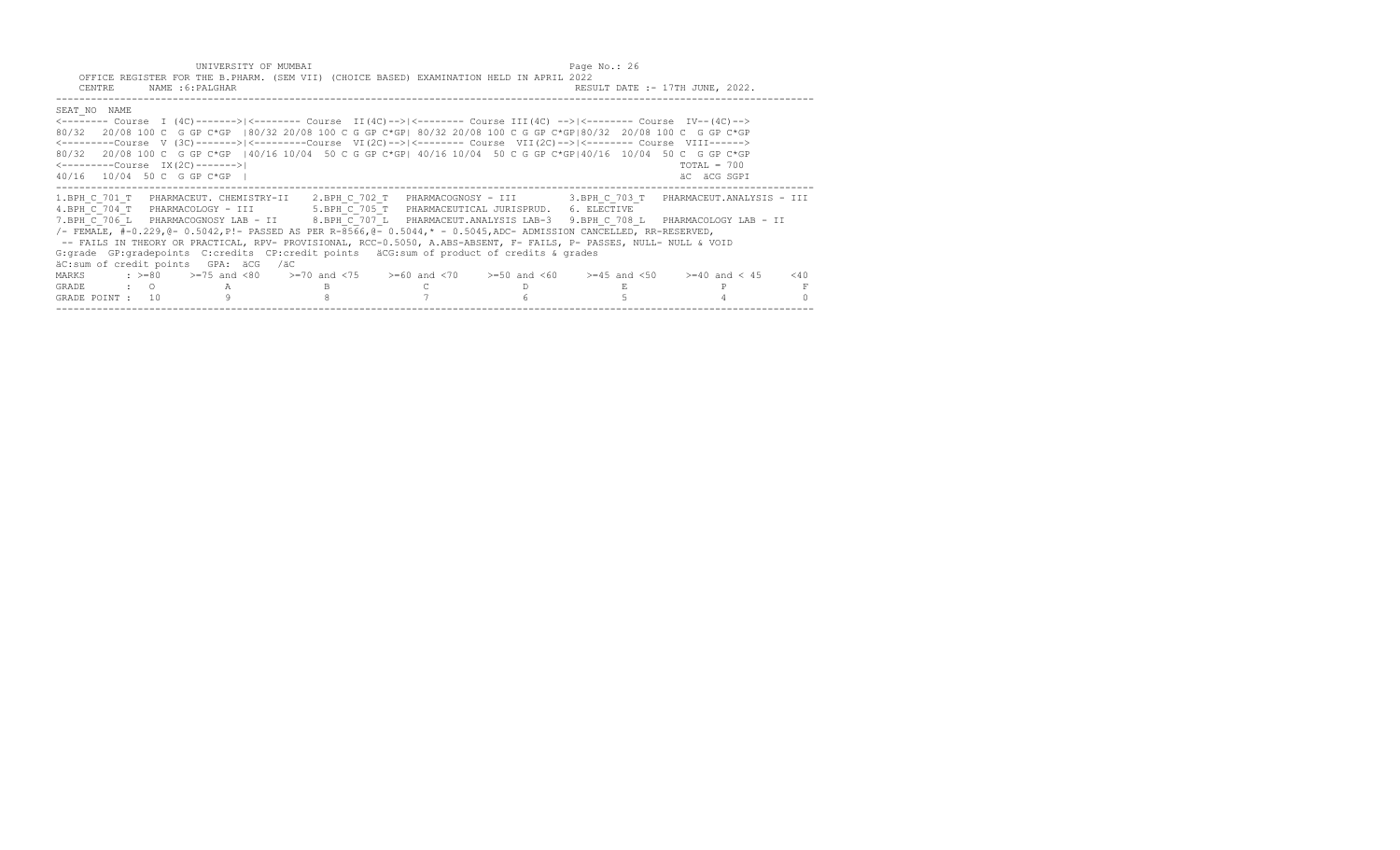| UNIVERSITY OF MUMBAI |  |  | Page |  |
|----------------------|--|--|------|--|
|----------------------|--|--|------|--|

| UNIVERSITY OF MUMBAI<br>OFFICE REGISTER FOR THE B.PHARM. (SEM VII) (CHOICE BASED) EXAMINATION HELD IN APRIL 2022<br>CENTRE<br>NAME : 6: PALGHAR                                                                                                                                                                                                                                                                                                                                                                                                                                                                                                                                                                | Page No.: 26 | RESULT DATE :- 17TH JUNE, 2022. |
|----------------------------------------------------------------------------------------------------------------------------------------------------------------------------------------------------------------------------------------------------------------------------------------------------------------------------------------------------------------------------------------------------------------------------------------------------------------------------------------------------------------------------------------------------------------------------------------------------------------------------------------------------------------------------------------------------------------|--------------|---------------------------------|
| SEAT NO NAME<br><-------- Course I (4C)------->><------- Course II(4C)-->+<------- Course III(4C) -->+<------- Course IV--(4C)--><br>80/32 20/08 100 C G GP C*GP   80/32 20/08 100 C G GP C*GP  80/32 20/08 100 C G GP C*GP  80/32 20/08 100 C G GP C*GP<br><--------Course V (3C)-------> <--------Course VI(2C)--> <-------- Course VII(2C)--> <------- Course VIII------><br>80/32 20/08 100 C G GP C*GP   40/16 10/04 50 C G GP C*GP  40/16 10/04 50 C G GP C*GP  40/16 10/04 50 C G GP C*GP<br>$\leftarrow$ --------Course IX(2C)-------><br>40/16 10/04 50 C G GP C*GP                                                                                                                                   |              | $TOTAL = 700$<br>äC äCG SGPI    |
| 1.BPH C 701 T PHARMACEUT. CHEMISTRY-II 2.BPH C 702 T PHARMACOGNOSY - III 3.BPH C 703 T PHARMACEUT.ANALYSIS - III<br>4.BPH C 704 T PHARMACOLOGY - III 5.BPH C 705 T PHARMACEUTICAL JURISPRUD. 6. ELECTIVE<br>7.BPH C 706 L PHARMACOGNOSY LAB - II 8.BPH C 707 L PHARMACEUT.ANALYSIS LAB-3 9.BPH C 708 L PHARMACOLOGY LAB - II<br>/- FEMALE, #-0.229,0- 0.5042, P!- PASSED AS PER R-8566,0- 0.5044,* - 0.5045, ADC- ADMISSION CANCELLED, RR-RESERVED,<br>-- FAILS IN THEORY OR PRACTICAL, RPV- PROVISIONAL, RCC-0.5050, A.ABS-ABSENT, F- FAILS, P- PASSES, NULL- NULL & VOID<br>G:grade GP:gradepoints C:credits CP:credit points äCG:sum of product of credits & grades<br>äC:sum of credit points GPA: äCG /äC |              |                                 |
| MARKS : >=80 >=75 and <80 >=70 and <75 >=60 and <70 >=50 and <60 >=45 and <50 >=40 and <45<br>GRADE : O<br>$\mathbb{A}$<br>9<br>GRADE POINT : 10                                                                                                                                                                                                                                                                                                                                                                                                                                                                                                                                                               | D.<br>6.     | $<$ 40                          |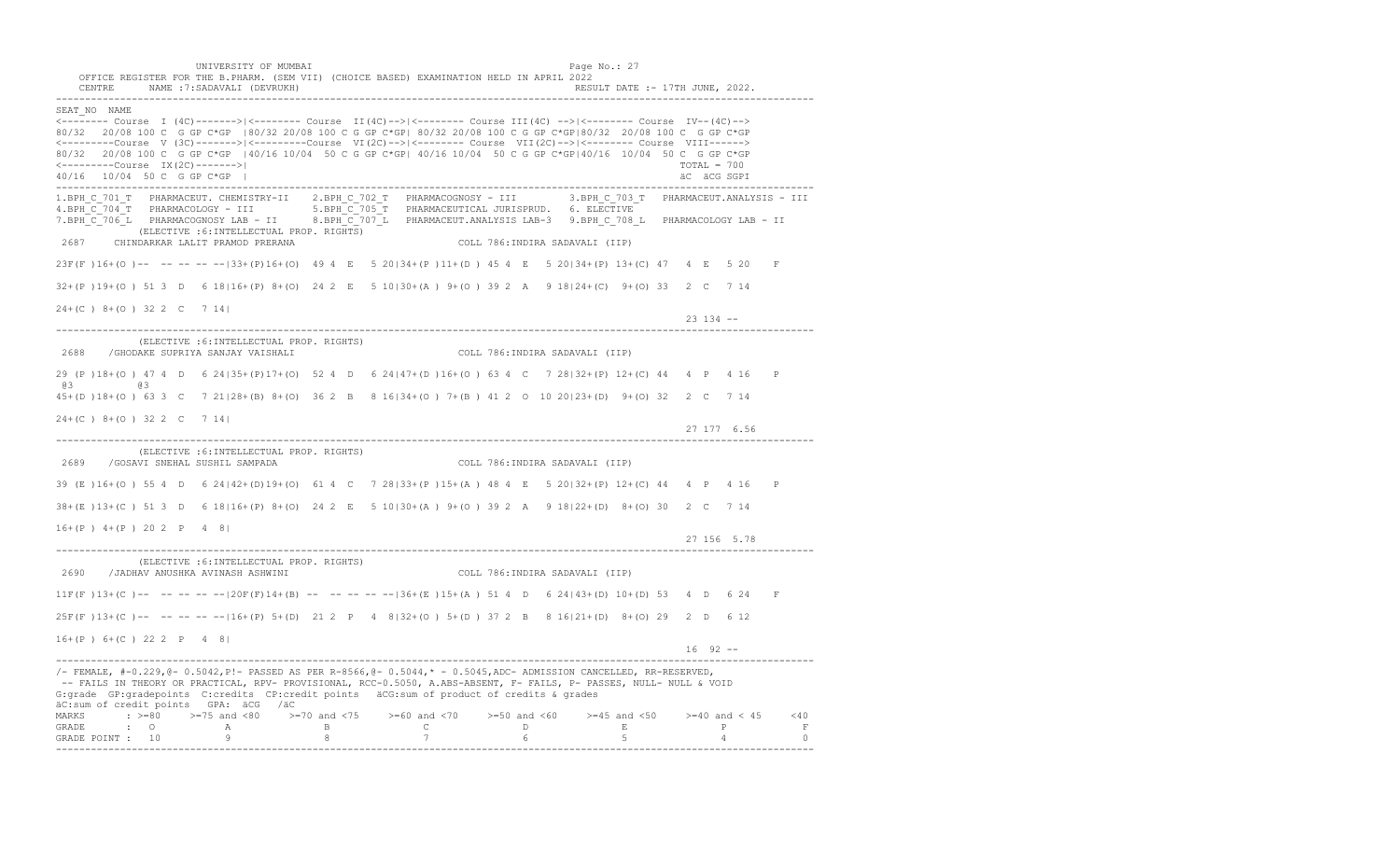UNIVERSITY OF MUMBAI **Example 20** and the control of the control of the control of the control of the control of the control of the control of the control of the control of the control of the control of the control of the OFFICE REGISTER FOR THE B.PHARM. (SEM VII) (CHOICE BASED) EXAMINATION HELD IN APRIL 2022 CENTRE NAME :7:SADAVALI (DEVRUKH) RESULT DATE :- 17TH JUNE, 2022. ---------------------------------------------------------------------------------------------------------------------------------- SEAT\_NO NAME <-------- Course I (4C)------->|<-------- Course II(4C)-->|<-------- Course III(4C) -->|<-------- Course IV--(4C)--> 80/32 20/08 100 C G GP C\*GP |80/32 20/08 100 C G GP C\*GP| 80/32 20/08 100 C G GP C\*GP|80/32 20/08 100 C G GP C\*GP <---------Course V (3C)------->|<---------Course VI(2C)-->|<-------- Course VII(2C)-->|<-------- Course VIII------> 80/32 20/08 100 C G GP C\*GP |40/16 10/04 50 C G GP C\*GP| 40/16 10/04 50 C G GP C\*GP|40/16 10/04 50 C G GP C\*GP <---------Course IX(2C)------->| TOTAL = 700 40/16 10/04 50 C G GP C\*GP | äC äCG SGPI ---------------------------------------------------------------------------------------------------------------------------------- 1.BPH\_C\_701\_T PHARMACEUT. CHEMISTRY-II 2.BPH\_C\_702\_T PHARMACOGNOSY - III 3.BPH\_C\_703\_T PHARMACEUT.ANALYSIS - III 4.BPH\_C\_704\_T PHARMACOLOGY - III 5.BPH\_C\_705\_T PHARMACEUTICAL JURISPRUD. 6. ELECTIVE 7.BPH\_C\_706\_L PHARMACOGNOSY LAB - II 8.BPH\_C\_707\_L PHARMACEUT.ANALYSIS LAB-3 9.BPH\_C\_708\_L PHARMACOLOGY LAB - II (ELECTIVE :6:INTELLECTUAL PROP. RIGHTS) 2687 CHINDARKAR LALIT PRAMOD PRERANA COLL 786:INDIRA SADAVALI (IIP) 23F(F )16+(O )-- -- -- -- --|33+(P)16+(O) 49 4 E 5 20|34+(P )11+(D ) 45 4 E 5 20|34+(P) 13+(C) 47 4 E 5 20 F 32+(P )19+(O ) 51 3 D 6 18|16+(P) 8+(O) 24 2 E 5 10|30+(A ) 9+(O ) 39 2 A 9 18|24+(C) 9+(O) 33 2 C 7 14 24+(C ) 8+(O ) 32 2 C 7 14| 23 134 -- ---------------------------------------------------------------------------------------------------------------------------------- (ELECTIVE :6:INTELLECTUAL PROP. RIGHTS) 2688 /GHODAKE SUPRIYA SANJAY VAISHALI COLL 786:INDIRA SADAVALI (IIP) 29 (P )18+(O ) 47 4 D 6 24|35+(P)17+(O) 52 4 D 6 24|47+(D )16+(O ) 63 4 C 7 28|32+(P) 12+(C) 44 4 P 4 16 P @3 @3 45+(D )18+(O ) 63 3 C 7 21|28+(B) 8+(O) 36 2 B 8 16|34+(O ) 7+(B ) 41 2 O 10 20|23+(D) 9+(O) 32 2 C 7 14 24+(C ) 8+(O ) 32 2 C 7 14| 27 177 6.56 ---------------------------------------------------------------------------------------------------------------------------------- (ELECTIVE :6:INTELLECTUAL PROP. RIGHTS) 2689 /GOSAVI SNEHAL SUSHIL SAMPADA COLL 786:INDIRA SADAVALI (IIP) 39 (E )16+(O ) 55 4 D 6 24|42+(D)19+(O) 61 4 C 7 28|33+(P )15+(A ) 48 4 E 5 20|32+(P) 12+(C) 44 4 P 4 16 P 38+(E )13+(C ) 51 3 D 6 18|16+(P) 8+(O) 24 2 E 5 10|30+(A ) 9+(O ) 39 2 A 9 18|22+(D) 8+(O) 30 2 C 7 14 16+(P ) 4+(P ) 20 2 P 4 8| 27 156 5.78 ---------------------------------------------------------------------------------------------------------------------------------- (ELECTIVE :6:INTELLECTUAL PROP. RIGHTS) 2690 /JADHAV ANUSHKA AVINASH ASHWINI COLL 786:INDIRA SADAVALI (IIP) 11F(F)13+(C)-- -- -- -- -- |20F(F)14+(B) -- -- -- -- -- |36+(E)15+(A) 51 4 D 6 24|43+(D) 10+(D) 53 4 D 6 24 F 25F(F )13+(C )-- -- -- -- --|16+(P) 5+(D) 21 2 P 4 8|32+(O ) 5+(D ) 37 2 B 8 16|21+(D) 8+(O) 29 2 D 6 12 16+(P ) 6+(C ) 22 2 P 4 8|  $16 \t92$  ------------------------------------------------------------------------------------------------------------------------------------ /- FEMALE, #-0.229,@- 0.5042,P!- PASSED AS PER R-8566,@- 0.5044,\* - 0.5045,ADC- ADMISSION CANCELLED, RR-RESERVED, -- FAILS IN THEORY OR PRACTICAL, RPV- PROVISIONAL, RCC-0.5050, A.ABS-ABSENT, F- FAILS, P- PASSES, NULL- NULL & VOID G:grade GP:gradepoints C:credits CP:credit points äCG:sum of product of credits & grades äC:sum of credit points GPA: äCG /äC MARKS : >=80 >=75 and <80 >=70 and <75 >=60 and <70 >=50 and <60 >=45 and <50 >=40 and < 45 <40 GRADE : O A B C D E P F<br>GRADE POINT : 10 9 8 7 6 5 4 0 ----------------------------------------------------------------------------------------------------------------------------------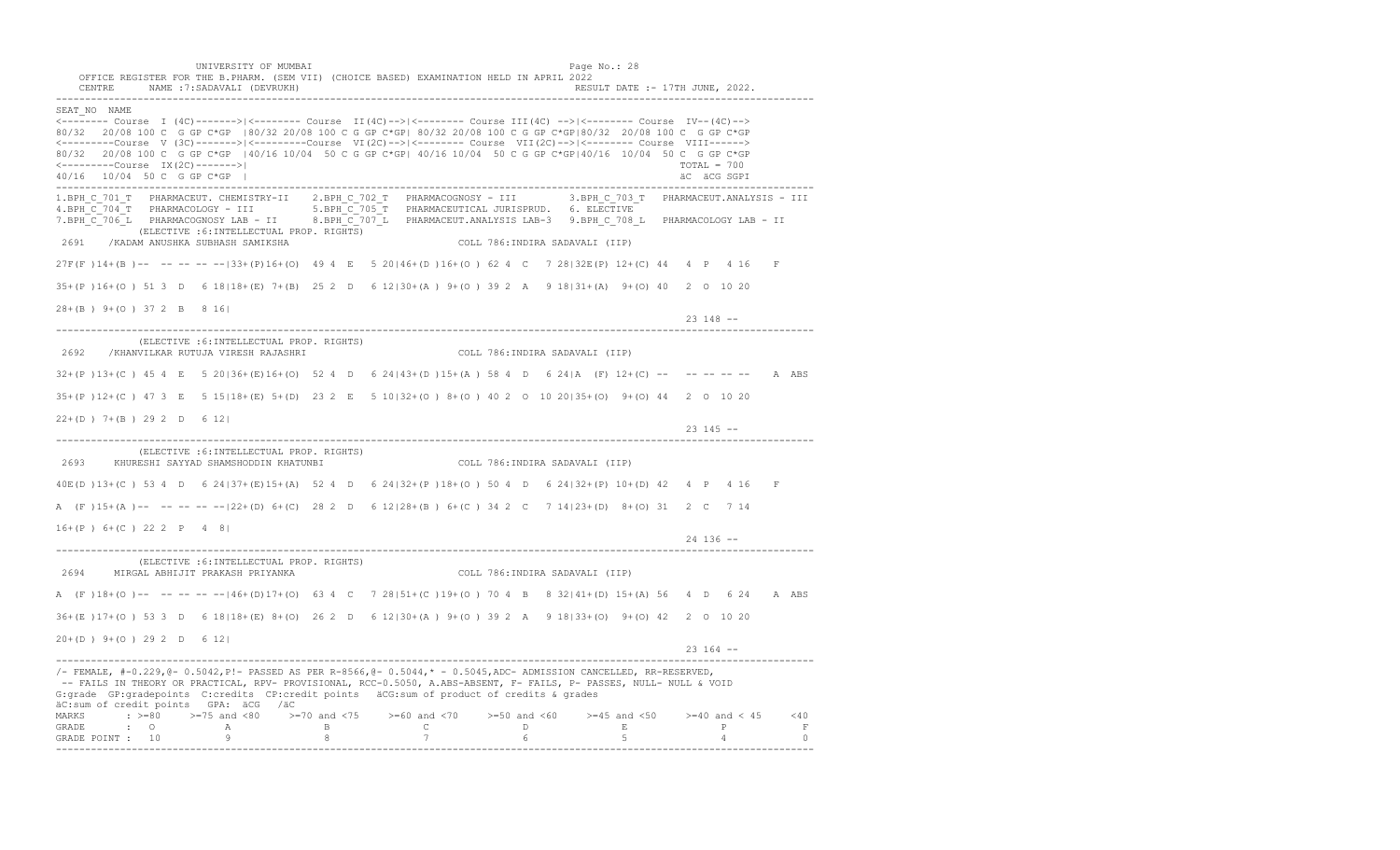UNIVERSITY OF MUMBAI **Example 28** and the contract of the contract of the contract of the contract of the contract of the contract of the contract of the contract of the contract of the contract of the contract of the cont OFFICE REGISTER FOR THE B.PHARM. (SEM VII) (CHOICE BASED) EXAMINATION HELD IN APRIL 2022 CENTRE NAME :7:SADAVALI (DEVRUKH) RESULT DATE :- 17TH JUNE, 2022. ---------------------------------------------------------------------------------------------------------------------------------- SEAT\_NO NAME <-------- Course I (4C)------->|<-------- Course II(4C)-->|<-------- Course III(4C) -->|<-------- Course IV--(4C)--> 80/32 20/08 100 C G GP C\*GP |80/32 20/08 100 C G GP C\*GP| 80/32 20/08 100 C G GP C\*GP|80/32 20/08 100 C G GP C\*GP <---------Course V (3C)------->|<---------Course VI(2C)-->|<-------- Course VII(2C)-->|<-------- Course VIII------> 80/32 20/08 100 C G GP C\*GP |40/16 10/04 50 C G GP C\*GP| 40/16 10/04 50 C G GP C\*GP|40/16 10/04 50 C G GP C\*GP <---------Course IX(2C)------->| TOTAL = 700 40/16 10/04 50 C G GP C\*GP | äC äCG SGPI ---------------------------------------------------------------------------------------------------------------------------------- 1.BPH\_C\_701\_T PHARMACEUT. CHEMISTRY-II 2.BPH\_C\_702\_T PHARMACOGNOSY - III 3.BPH\_C\_703\_T PHARMACEUT.ANALYSIS - III 4.BPH\_C\_704\_T PHARMACOLOGY - III 5.BPH\_C\_705\_T PHARMACEUTICAL JURISPRUD. 6. ELECTIVE 7.BPH\_C\_706\_L PHARMACOGNOSY LAB - II 8.BPH\_C\_707\_L PHARMACEUT.ANALYSIS LAB-3 9.BPH\_C\_708\_L PHARMACOLOGY LAB - II (ELECTIVE :6:INTELLECTUAL PROP. RIGHTS) 2691 /KADAM ANUSHKA SUBHASH SAMIKSHA COLL 786:INDIRA SADAVALI (IIP) 27F(F )14+(B )-- -- -- -- --|33+(P)16+(O) 49 4 E 5 20|46+(D )16+(O ) 62 4 C 7 28|32E(P) 12+(C) 44 4 P 4 16 F 35+(P )16+(O ) 51 3 D 6 18|18+(E) 7+(B) 25 2 D 6 12|30+(A ) 9+(O ) 39 2 A 9 18|31+(A) 9+(O) 40 2 O 10 20 28+(B ) 9+(O ) 37 2 B 8 16| 23 148 -- ---------------------------------------------------------------------------------------------------------------------------------- (ELECTIVE :6:INTELLECTUAL PROP. RIGHTS) 2692 /KHANVILKAR RUTUJA VIRESH RAJASHRI COLL 786:INDIRA SADAVALI (IIP) 32+(P )13+(C ) 45 4 E 5 20|36+(E)16+(O) 52 4 D 6 24|43+(D )15+(A ) 58 4 D 6 24|A (F) 12+(C) -- -- -- -- -- A ABS 35+(P )12+(C ) 47 3 E 5 15|18+(E) 5+(D) 23 2 E 5 10|32+(O ) 8+(O ) 40 2 O 10 20|35+(O) 9+(O) 44 2 O 10 20 22+(D ) 7+(B ) 29 2 D 6 12| 23 145 -- ---------------------------------------------------------------------------------------------------------------------------------- (ELECTIVE :6:INTELLECTUAL PROP. RIGHTS) 2693 KHURESHI SAYYAD SHAMSHODDIN KHATUNBI COLL 786:INDIRA SADAVALI (IIP) 40E(D )13+(C ) 53 4 D 6 24|37+(E)15+(A) 52 4 D 6 24|32+(P )18+(O ) 50 4 D 6 24|32+(P) 10+(D) 42 4 P 4 16 F A (F )15+(A )-- -- -- -- --|22+(D) 6+(C) 28 2 D 6 12|28+(B ) 6+(C ) 34 2 C 7 14|23+(D) 8+(O) 31 2 C 7 14 16+(P ) 6+(C ) 22 2 P 4 8| 24 136 -- ---------------------------------------------------------------------------------------------------------------------------------- (ELECTIVE :6:INTELLECTUAL PROP. RIGHTS) 2694 MIRGAL ABHIJIT PRAKASH PRIYANKA COLL 786:INDIRA SADAVALI (IIP) A (F )18+(O )-- -- -- -- --|46+(D)17+(O) 63 4 C 7 28|51+(C )19+(O ) 70 4 B 8 32|41+(D) 15+(A) 56 4 D 6 24 A ABS 36+(E )17+(O ) 53 3 D 6 18|18+(E) 8+(O) 26 2 D 6 12|30+(A ) 9+(O ) 39 2 A 9 18|33+(O) 9+(O) 42 2 O 10 20 20+(D ) 9+(O ) 29 2 D 6 12| 23 164 -- ---------------------------------------------------------------------------------------------------------------------------------- /- FEMALE, #-0.229,@- 0.5042,P!- PASSED AS PER R-8566,@- 0.5044,\* - 0.5045,ADC- ADMISSION CANCELLED, RR-RESERVED, -- FAILS IN THEORY OR PRACTICAL, RPV- PROVISIONAL, RCC-0.5050, A.ABS-ABSENT, F- FAILS, P- PASSES, NULL- NULL & VOID G:grade GP:gradepoints C:credits CP:credit points äCG:sum of product of credits & grades äC:sum of credit points GPA: äCG /äC MARKS : >=80 >=75 and <80 >=70 and <75 >=60 and <70 >=50 and <60 >=45 and <50 >=40 and < 45 <40 GRADE : O A B C D E P F<br>GRADE POINT : 10 9 8 7 6 5 4 0 ----------------------------------------------------------------------------------------------------------------------------------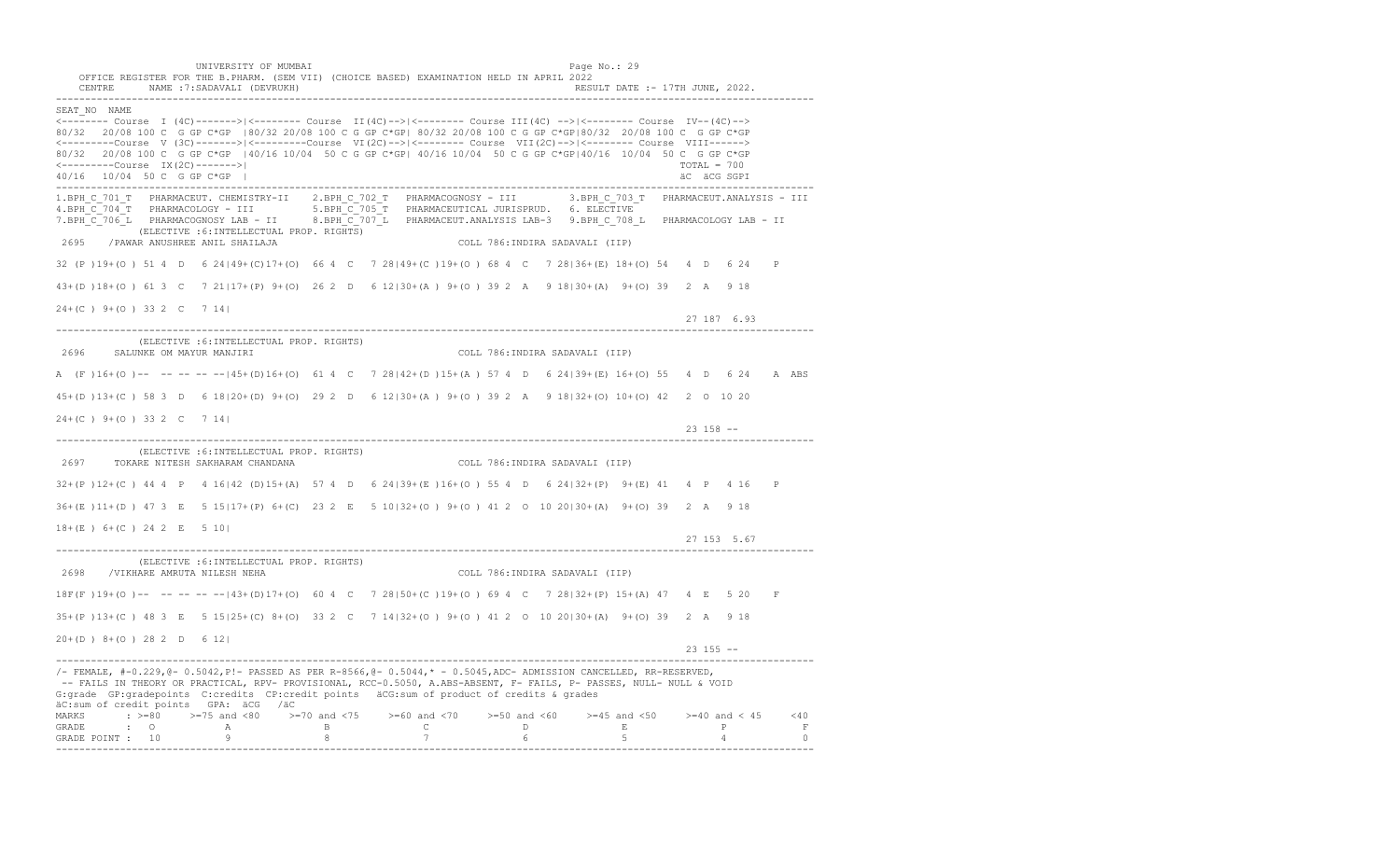UNIVERSITY OF MUMBAI Page No.: 29 OFFICE REGISTER FOR THE B.PHARM. (SEM VII) (CHOICE BASED) EXAMINATION HELD IN APRIL 2022 CENTRE NAME :7:SADAVALI (DEVRUKH) RESULT DATE :- 17TH JUNE, 2022. ---------------------------------------------------------------------------------------------------------------------------------- SEAT\_NO NAME <-------- Course I (4C)------->|<-------- Course II(4C)-->|<-------- Course III(4C) -->|<-------- Course IV--(4C)--> 80/32 20/08 100 C G GP C\*GP |80/32 20/08 100 C G GP C\*GP| 80/32 20/08 100 C G GP C\*GP|80/32 20/08 100 C G GP C\*GP <---------Course V (3C)------->|<---------Course VI(2C)-->|<-------- Course VII(2C)-->|<-------- Course VIII------> 80/32 20/08 100 C G GP C\*GP |40/16 10/04 50 C G GP C\*GP| 40/16 10/04 50 C G GP C\*GP|40/16 10/04 50 C G GP C\*GP <---------Course IX(2C)------->| TOTAL = 700 40/16 10/04 50 C G GP C\*GP | äC äCG SGPI ---------------------------------------------------------------------------------------------------------------------------------- 1.BPH\_C\_701\_T PHARMACEUT. CHEMISTRY-II 2.BPH\_C\_702\_T PHARMACOGNOSY - III 3.BPH\_C\_703\_T PHARMACEUT.ANALYSIS - III 4.BPH\_C\_704\_T PHARMACOLOGY - III 5.BPH\_C\_705\_T PHARMACEUTICAL JURISPRUD. 6. ELECTIVE 7.BPH\_C\_706\_L PHARMACOGNOSY LAB - II 8.BPH\_C\_707\_L PHARMACEUT.ANALYSIS LAB-3 9.BPH\_C\_708\_L PHARMACOLOGY LAB - II (ELECTIVE :6:INTELLECTUAL PROP. RIGHTS) 2695 /PAWAR ANUSHREE ANIL SHAILAJA COLL 786:INDIRA SADAVALI (IIP) 32 (P )19+(O ) 51 4 D 6 24|49+(C)17+(O) 66 4 C 7 28|49+(C )19+(O ) 68 4 C 7 28|36+(E) 18+(O) 54 4 D 6 24 P 43+(D )18+(O ) 61 3 C 7 21|17+(P) 9+(O) 26 2 D 6 12|30+(A ) 9+(O ) 39 2 A 9 18|30+(A) 9+(O) 39 2 A 9 18 24+(C ) 9+(O ) 33 2 C 7 14| 27 187 6.93 ---------------------------------------------------------------------------------------------------------------------------------- (ELECTIVE :6:INTELLECTUAL PROP. RIGHTS) 2696 SALUNKE OM MAYUR MANJIRI COLL 786:INDIRA SADAVALI (IIP) A (F )16+(O )-- -- -- -- --|45+(D)16+(O) 61 4 C 7 28|42+(D )15+(A ) 57 4 D 6 24|39+(E) 16+(O) 55 4 D 6 24 A ABS 45+(D )13+(C ) 58 3 D 6 18|20+(D) 9+(O) 29 2 D 6 12|30+(A ) 9+(O ) 39 2 A 9 18|32+(O) 10+(O) 42 2 O 10 20 24+(C ) 9+(O ) 33 2 C 7 14| 23 158 -- ---------------------------------------------------------------------------------------------------------------------------------- (ELECTIVE :6:INTELLECTUAL PROP. RIGHTS)<br>2697 TOKARE NITESH SAKHARAM CHANDANA 2697 TOKARE NITESH SAKHARAM CHANDANA COLL 786:INDIRA SADAVALI (IIP) 32+(P )12+(C ) 44 4 P 4 16|42 (D)15+(A) 57 4 D 6 24|39+(E )16+(O ) 55 4 D 6 24|32+(P) 9+(E) 41 4 P 4 16 P 36+(E )11+(D ) 47 3 E 5 15|17+(P) 6+(C) 23 2 E 5 10|32+(O ) 9+(O ) 41 2 O 10 20|30+(A) 9+(O) 39 2 A 9 18 18+(E ) 6+(C ) 24 2 E 5 10| 27 153 5.67 ---------------------------------------------------------------------------------------------------------------------------------- (ELECTIVE :6:INTELLECTUAL PROP. RIGHTS) 2698 /VIKHARE AMRUTA NILESH NEHA COLL 786:INDIRA SADAVALI (IIP) 18F(F )19+(O )-- -- -- -- --|43+(D)17+(O) 60 4 C 7 28|50+(C )19+(O ) 69 4 C 7 28|32+(P) 15+(A) 47 4 E 5 20 F 35+(P )13+(C ) 48 3 E 5 15|25+(C) 8+(O) 33 2 C 7 14|32+(O ) 9+(O ) 41 2 O 10 20|30+(A) 9+(O) 39 2 A 9 18 20+(D ) 8+(O ) 28 2 D 6 12| 23 155 -- ---------------------------------------------------------------------------------------------------------------------------------- /- FEMALE, #-0.229,@- 0.5042,P!- PASSED AS PER R-8566,@- 0.5044,\* - 0.5045,ADC- ADMISSION CANCELLED, RR-RESERVED, -- FAILS IN THEORY OR PRACTICAL, RPV- PROVISIONAL, RCC-0.5050, A.ABS-ABSENT, F- FAILS, P- PASSES, NULL- NULL & VOID G:grade GP:gradepoints C:credits CP:credit points äCG:sum of product of credits & grades äC:sum of credit points GPA: äCG /äC MARKS : >=80 >=75 and <80 >=70 and <75 >=60 and <70 >=50 and <60 >=45 and <50 >=40 and < 45 <40 GRADE : O A B C D E P F GRADE POINT : 10 9 8 7 6 5 4 0 ----------------------------------------------------------------------------------------------------------------------------------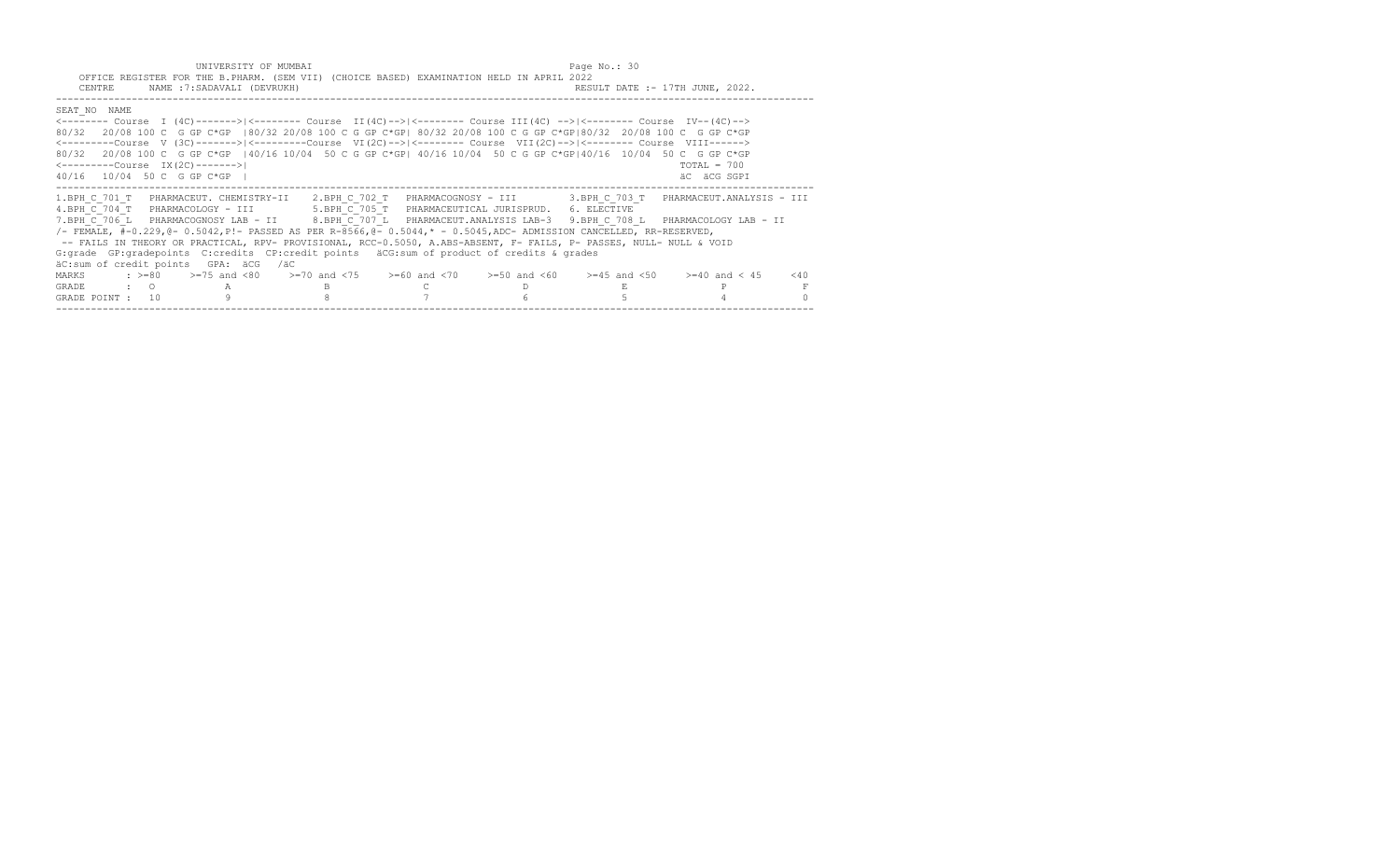|                                                   |            | UNIVERSITY   | OF<br>◡<br>the contract of the contract of the contract of the contract of the contract of the contract of the contract of | MUMBAI                                                                          |                                         |        |                           |  | Page<br>Nc | 30 |
|---------------------------------------------------|------------|--------------|----------------------------------------------------------------------------------------------------------------------------|---------------------------------------------------------------------------------|-----------------------------------------|--------|---------------------------|--|------------|----|
| <b>DECTORED</b><br>$\bigcap \Pi$ $\top$ $\bigcap$ | $H \cap D$ | mun n nuante |                                                                                                                            | $\sqrt{C}$ $\Box M$ $\overline{S}$ $\overline{T}$ $\overline{T}$ $\overline{S}$ | $I$ $C$ <sub>IIO</sub> $T$ $C$ $\Gamma$ | DACEDI | DVAMINAMION UDID IN ADDII |  | $\cap$     |    |

| OFFICE REGISTER FOR THE B.PHARM. (SEM VII) (CHOICE BASED) EXAMINATION HELD IN APRIL 2022<br>CENTRE NAME : 7: SADAVALI (DEVRUKH)<br>RESULT DATE :- 17TH JUNE, 2022.                                                                                                                                                                                                                                                                                                                                                                                                                                                                                                        |                                     |
|---------------------------------------------------------------------------------------------------------------------------------------------------------------------------------------------------------------------------------------------------------------------------------------------------------------------------------------------------------------------------------------------------------------------------------------------------------------------------------------------------------------------------------------------------------------------------------------------------------------------------------------------------------------------------|-------------------------------------|
| SEAT NO NAME<br><-------- Course I (4C)------->><------- Course II(4C)-->+<------- Course III(4C) -->+<------- Course IV--(4C)--><br>80/32 20/08 100 C G GP C*GP   80/32 20/08 100 C G GP C*GP  80/32 20/08 100 C G GP C*GP  80/32 20/08 100 C G GP C*GP<br><--------Course V (3C)-------> <--------Course VI(2C)--> <-------- Course VII(2C)--> <-------- Course VIII------><br>80/32 20/08 100 C G GP C*GP   40/16 10/04 50 C G GP C*GP  40/16 10/04 50 C G GP C*GP  40/16 10/04 50 C G GP C*GP<br>$\leftarrow$ --------Course IX(2C)-------><br>$TOTAL = 700$<br>40/16 10/04 50 C G GP C*GP  <br>äC äCG SGPI                                                           |                                     |
| 1.BPH C 701 T PHARMACEUT. CHEMISTRY-II 2.BPH C 702 T PHARMACOGNOSY - III 3.BPH C 703 T<br>PHARMACEUT.ANALYSIS - III<br>4.BPH C 704 T PHARMACOLOGY - III 5.BPH C 705 T PHARMACEUTICAL JURISPRUD. 6. ELECTIVE<br>7.BPH C 706 L PHARMACOGNOSY LAB - II 8.BPH C 707 L PHARMACEUT.ANALYSIS LAB-3 9.BPH C 708 L PHARMACOLOGY LAB - II<br>/- FEMALE, #-0.229,0- 0.5042, P!- PASSED AS PER R-8566,0- 0.5044,* - 0.5045, ADC- ADMISSION CANCELLED, RR-RESERVED,<br>-- FAILS IN THEORY OR PRACTICAL, RPV- PROVISIONAL, RCC-0.5050, A.ABS-ABSENT, F- FAILS, P- PASSES, NULL- NULL & VOID<br>G:grade GP:gradepoints C:credits CP:credit points aCG:sum of product of credits & grades |                                     |
| äC:sum of credit points GPA: äCG /äC<br>MARKS : >=80 >=75 and <80 >=70 and <75 >=60 and <70 >=50 and <60 >=45 and <50 >=40 and <45<br>GRADE : O<br>A<br>9<br>GRADE POINT : 10                                                                                                                                                                                                                                                                                                                                                                                                                                                                                             | $<$ 40<br>$\mathbf{F}$<br>$\bigcap$ |